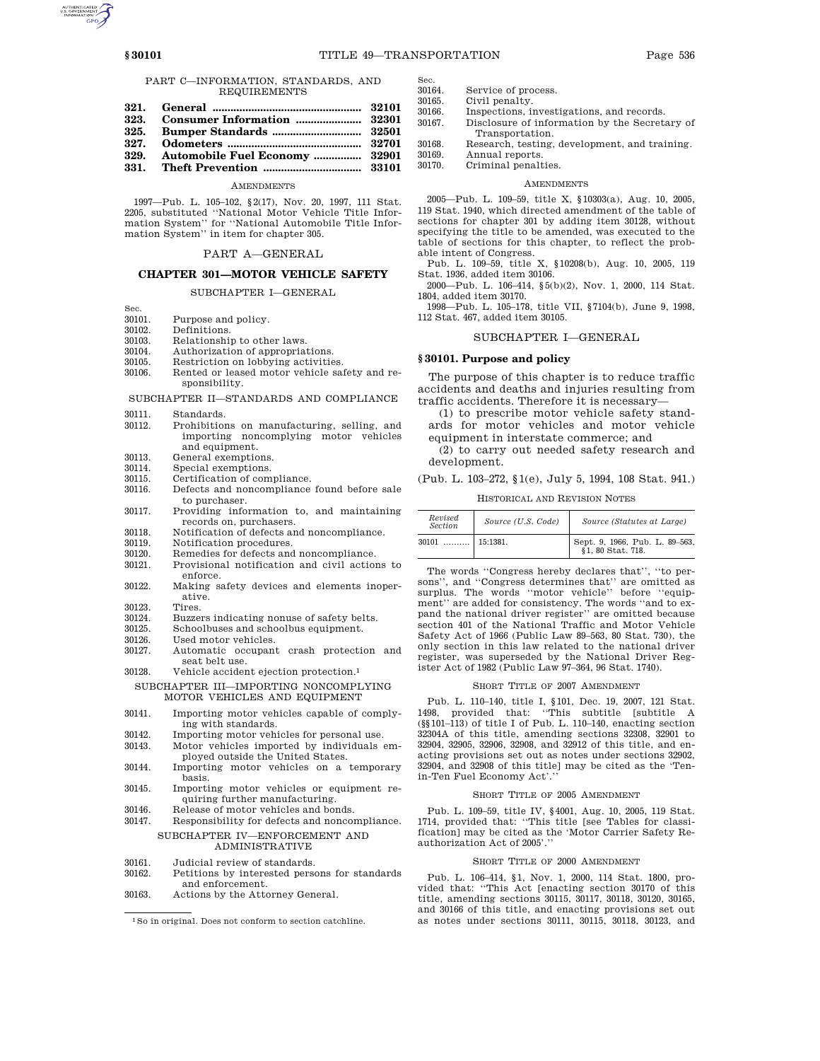### PART C—INFORMATION, STANDARDS, AND REQUIREMENTS

- 
- **329. Automobile Fuel Economy ................ 32901**
- **331. Theft Prevention ................................. 33101**

# AMENDMENTS

1997—Pub. L. 105–102, §2(17), Nov. 20, 1997, 111 Stat. 2205, substituted ''National Motor Vehicle Title Information System'' for ''National Automobile Title Information System'' in item for chapter 305.

# PART A—GENERAL

# **CHAPTER 301—MOTOR VEHICLE SAFETY**

### SUBCHAPTER I—GENERAL

- Sec.<br>30101. Purpose and policy.
- 30102. Definitions.<br>30103. Relationshi
- 30103. Relationship to other laws.<br>30104 Authorization of appropriation
- Authorization of appropriations.
- 30105. Restriction on lobbying activities.<br>30106. Rented or leased motor vehicle sai
- Rented or leased motor vehicle safety and responsibility.
- SUBCHAPTER II—STANDARDS AND COMPLIANCE
- 30111. Standards.<br>30112. Prohibition
- 30112. Prohibitions on manufacturing, selling, and importing noncomplying motor vehicles and equipment.
- 30113. General exemptions.
- 30114. Special exemptions.<br>30115 Certification of com
- Certification of compliance.
- 30116. Defects and noncompliance found before sale to purchaser.
- 30117. Providing information to, and maintaining records on, purchasers.
- 30118. Notification of defects and noncompliance.<br>30119 Notification procedures
- Notification procedures.
- 30120. Remedies for defects and noncompliance.<br>30121 Provisional notification and civil action 30121. Provisional notification and civil actions to
- enforce. 30122. Making safety devices and elements inoper-
- ative.
- 30123. Tires.
- 30124. Buzzers indicating nonuse of safety belts.<br>30125. Schoolbuses and schoolbus equipment.
- 30125. Schoolbuses and schoolbus equipment.<br>30126. Used motor vehicles.
- Used motor vehicles.
- 30127. Automatic occupant crash protection and seat belt use.
- 30128. Vehicle accident ejection protection.1

SUBCHAPTER III—IMPORTING NONCOMPLYING MOTOR VEHICLES AND EQUIPMENT

- 30141. Importing motor vehicles capable of complying with standards.
- 30142. Importing motor vehicles for personal use.
- 30143. Motor vehicles imported by individuals employed outside the United States.
- 30144. Importing motor vehicles on a temporary basis.
- 30145. Importing motor vehicles or equipment requiring further manufacturing.
- 30146. Release of motor vehicles and bonds.<br>30147. Responsibility for defects and nonco
- Responsibility for defects and noncompliance. SUBCHAPTER IV—ENFORCEMENT AND ADMINISTRATIVE
- 30161. Judicial review of standards.
- 30162. Petitions by interested persons for standards and enforcement.
- 30163. Actions by the Attorney General.
- Sec.<br>30164 30164. Service of process.<br>30165 Civil penalty.
- Civil penalty.
- 30166. Inspections, investigations, and records.<br>30167 Disclosure of information by the Secret. Disclosure of information by the Secretary of Transportation.
- 30168. Research, testing, development, and training.
- 30169. Annual reports. Criminal penalties.

#### **AMENDMENTS**

2005—Pub. L. 109–59, title X, §10303(a), Aug. 10, 2005, 119 Stat. 1940, which directed amendment of the table of sections for chapter 301 by adding item 30128, without specifying the title to be amended, was executed to the table of sections for this chapter, to reflect the probable intent of Congress.

Pub. L. 109–59, title X, §10208(b), Aug. 10, 2005, 119 Stat. 1936, added item 30106.

2000—Pub. L. 106–414, §5(b)(2), Nov. 1, 2000, 114 Stat. 1804, added item 30170.

1998—Pub. L. 105–178, title VII, §7104(b), June 9, 1998, 112 Stat. 467, added item 30105.

### SUBCHAPTER I—GENERAL

### **§ 30101. Purpose and policy**

The purpose of this chapter is to reduce traffic accidents and deaths and injuries resulting from traffic accidents. Therefore it is necessary—

(1) to prescribe motor vehicle safety standards for motor vehicles and motor vehicle equipment in interstate commerce; and

(2) to carry out needed safety research and development.

# (Pub. L. 103–272, §1(e), July 5, 1994, 108 Stat. 941.)

HISTORICAL AND REVISION NOTES

| Revised<br><b>Section</b> | Source (U.S. Code) | Source (Statutes at Large)                       |
|---------------------------|--------------------|--------------------------------------------------|
| 30101<br>.                | 15:1381.           | Sept. 9, 1966, Pub. L. 89–563, §1, 80 Stat. 718. |

The words ''Congress hereby declares that'', ''to persons'', and ''Congress determines that'' are omitted as surplus. The words ''motor vehicle'' before ''equipment'' are added for consistency. The words ''and to expand the national driver register'' are omitted because section 401 of the National Traffic and Motor Vehicle Safety Act of 1966 (Public Law 89–563, 80 Stat. 730), the only section in this law related to the national driver register, was superseded by the National Driver Register Act of 1982 (Public Law 97–364, 96 Stat. 1740).

#### SHORT TITLE OF 2007 AMENDMENT

Pub. L. 110–140, title I, §101, Dec. 19, 2007, 121 Stat. 1498, provided that: ''This subtitle [subtitle A (§§101–113) of title I of Pub. L. 110–140, enacting section 32304A of this title, amending sections 32308, 32901 to 32904, 32905, 32906, 32908, and 32912 of this title, and enacting provisions set out as notes under sections 32902, 32904, and 32908 of this title] may be cited as the 'Tenin-Ten Fuel Economy Act'.''

### SHORT TITLE OF 2005 AMENDMENT

Pub. L. 109–59, title IV, §4001, Aug. 10, 2005, 119 Stat. 1714, provided that: ''This title [see Tables for classification] may be cited as the 'Motor Carrier Safety Reauthorization Act of 2005'.''

### SHORT TITLE OF 2000 AMENDMENT

Pub. L. 106–414, §1, Nov. 1, 2000, 114 Stat. 1800, provided that: ''This Act [enacting section 30170 of this title, amending sections 30115, 30117, 30118, 30120, 30165, and 30166 of this title, and enacting provisions set out as notes under sections 30111, 30115, 30118, 30123, and



<sup>1</sup>So in original. Does not conform to section catchline.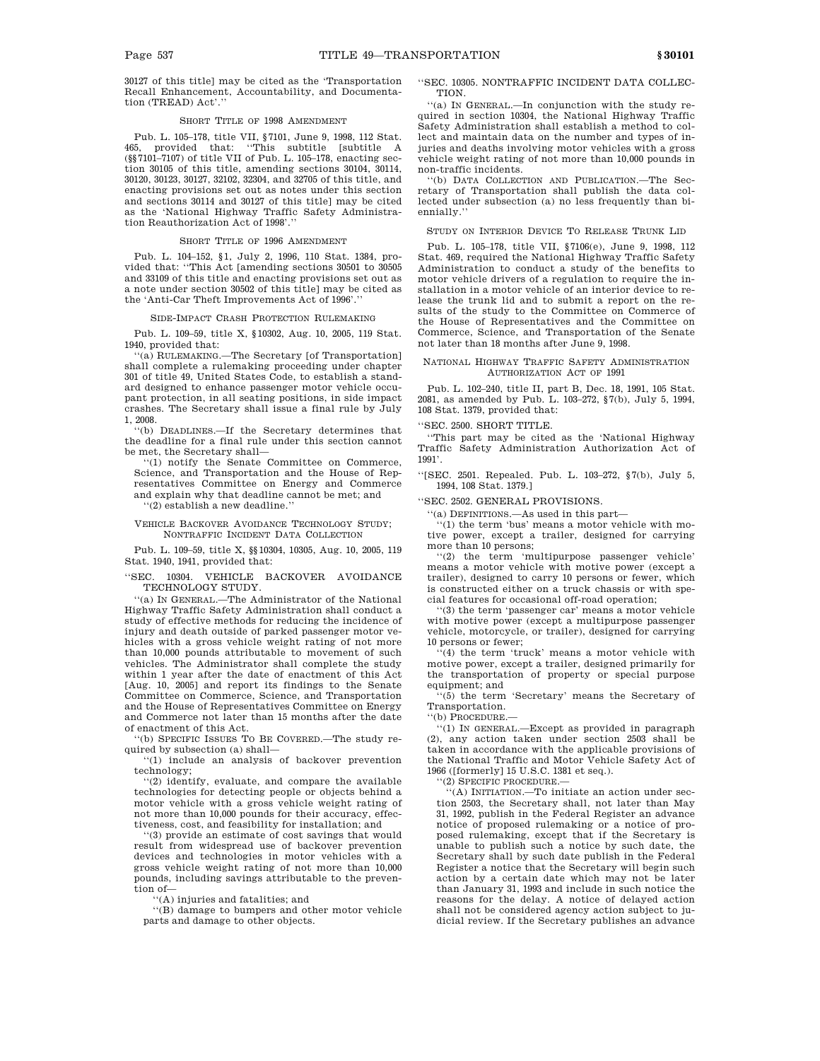30127 of this title] may be cited as the 'Transportation Recall Enhancement, Accountability, and Documentation (TREAD) Act'.''

### SHORT TITLE OF 1998 AMENDMENT

Pub. L. 105–178, title VII, §7101, June 9, 1998, 112 Stat. provided that: "This subtitle [subtitle A (§§7101–7107) of title VII of Pub. L. 105–178, enacting section 30105 of this title, amending sections 30104, 30114, 30120, 30123, 30127, 32102, 32304, and 32705 of this title, and enacting provisions set out as notes under this section and sections 30114 and 30127 of this title] may be cited as the 'National Highway Traffic Safety Administration Reauthorization Act of 1998'.''

# SHORT TITLE OF 1996 AMENDMENT

Pub. L. 104–152, §1, July 2, 1996, 110 Stat. 1384, provided that: ''This Act [amending sections 30501 to 30505 and 33109 of this title and enacting provisions set out as a note under section 30502 of this title] may be cited as the 'Anti-Car Theft Improvements Act of 1996'.''

SIDE-IMPACT CRASH PROTECTION RULEMAKING

Pub. L. 109–59, title X, §10302, Aug. 10, 2005, 119 Stat. 1940, provided that:

''(a) RULEMAKING.—The Secretary [of Transportation] shall complete a rulemaking proceeding under chapter 301 of title 49, United States Code, to establish a standard designed to enhance passenger motor vehicle occupant protection, in all seating positions, in side impact crashes. The Secretary shall issue a final rule by July 1, 2008.

''(b) DEADLINES.—If the Secretary determines that the deadline for a final rule under this section cannot be met, the Secretary shall—

''(1) notify the Senate Committee on Commerce, Science, and Transportation and the House of Representatives Committee on Energy and Commerce and explain why that deadline cannot be met; and

''(2) establish a new deadline.''

### VEHICLE BACKOVER AVOIDANCE TECHNOLOGY STUDY; NONTRAFFIC INCIDENT DATA COLLECTION

Pub. L. 109–59, title X, §§10304, 10305, Aug. 10, 2005, 119 Stat. 1940, 1941, provided that:

''SEC. 10304. VEHICLE BACKOVER AVOIDANCE TECHNOLOGY STUDY.

''(a) IN GENERAL.—The Administrator of the National Highway Traffic Safety Administration shall conduct a study of effective methods for reducing the incidence of injury and death outside of parked passenger motor vehicles with a gross vehicle weight rating of not more than 10,000 pounds attributable to movement of such vehicles. The Administrator shall complete the study within 1 year after the date of enactment of this Act [Aug. 10, 2005] and report its findings to the Senate Committee on Commerce, Science, and Transportation and the House of Representatives Committee on Energy and Commerce not later than 15 months after the date of enactment of this Act.

''(b) SPECIFIC ISSUES TO BE COVERED.—The study required by subsection (a) shall—

''(1) include an analysis of backover prevention technology;

''(2) identify, evaluate, and compare the available technologies for detecting people or objects behind a motor vehicle with a gross vehicle weight rating of not more than 10,000 pounds for their accuracy, effectiveness, cost, and feasibility for installation; and

''(3) provide an estimate of cost savings that would result from widespread use of backover prevention devices and technologies in motor vehicles with a gross vehicle weight rating of not more than 10,000 pounds, including savings attributable to the prevention of—

''(A) injuries and fatalities; and

''(B) damage to bumpers and other motor vehicle parts and damage to other objects.

''SEC. 10305. NONTRAFFIC INCIDENT DATA COLLEC-TION.

''(a) IN GENERAL.—In conjunction with the study required in section 10304, the National Highway Traffic Safety Administration shall establish a method to collect and maintain data on the number and types of injuries and deaths involving motor vehicles with a gross vehicle weight rating of not more than 10,000 pounds in non-traffic incidents.

''(b) DATA COLLECTION AND PUBLICATION.—The Secretary of Transportation shall publish the data collected under subsection (a) no less frequently than biennially.''

### STUDY ON INTERIOR DEVICE TO RELEASE TRUNK LID

Pub. L. 105–178, title VII, §7106(e), June 9, 1998, 112 Stat. 469, required the National Highway Traffic Safety Administration to conduct a study of the benefits to motor vehicle drivers of a regulation to require the installation in a motor vehicle of an interior device to release the trunk lid and to submit a report on the results of the study to the Committee on Commerce of the House of Representatives and the Committee on Commerce, Science, and Transportation of the Senate not later than 18 months after June 9, 1998.

### NATIONAL HIGHWAY TRAFFIC SAFETY ADMINISTRATION AUTHORIZATION ACT OF 1991

Pub. L. 102–240, title II, part B, Dec. 18, 1991, 105 Stat. 2081, as amended by Pub. L. 103–272, §7(b), July 5, 1994, 108 Stat. 1379, provided that:

''SEC. 2500. SHORT TITLE.

''This part may be cited as the 'National Highway Traffic Safety Administration Authorization Act of 1991'.

''[SEC. 2501. Repealed. Pub. L. 103–272, §7(b), July 5, 1994, 108 Stat. 1379.]

''SEC. 2502. GENERAL PROVISIONS.

''(a) DEFINITIONS.—As used in this part—

''(1) the term 'bus' means a motor vehicle with motive power, except a trailer, designed for carrying more than 10 persons;

''(2) the term 'multipurpose passenger vehicle' means a motor vehicle with motive power (except a trailer), designed to carry 10 persons or fewer, which is constructed either on a truck chassis or with special features for occasional off-road operation;

''(3) the term 'passenger car' means a motor vehicle with motive power (except a multipurpose passenger vehicle, motorcycle, or trailer), designed for carrying 10 persons or fewer;

'(4) the term ' $truek$ ' means a motor vehicle with motive power, except a trailer, designed primarily for the transportation of property or special purpose equipment; and

''(5) the term 'Secretary' means the Secretary of Transportation.

''(b) PROCEDURE.—

''(1) IN GENERAL.—Except as provided in paragraph (2), any action taken under section 2503 shall be taken in accordance with the applicable provisions of the National Traffic and Motor Vehicle Safety Act of 1966 ([formerly] 15 U.S.C. 1381 et seq.).

'(2) SPECIFIC PROCEDURE.-

''(A) INITIATION.—To initiate an action under section 2503, the Secretary shall, not later than May 31, 1992, publish in the Federal Register an advance notice of proposed rulemaking or a notice of proposed rulemaking, except that if the Secretary is unable to publish such a notice by such date, the Secretary shall by such date publish in the Federal Register a notice that the Secretary will begin such action by a certain date which may not be later than January 31, 1993 and include in such notice the reasons for the delay. A notice of delayed action shall not be considered agency action subject to judicial review. If the Secretary publishes an advance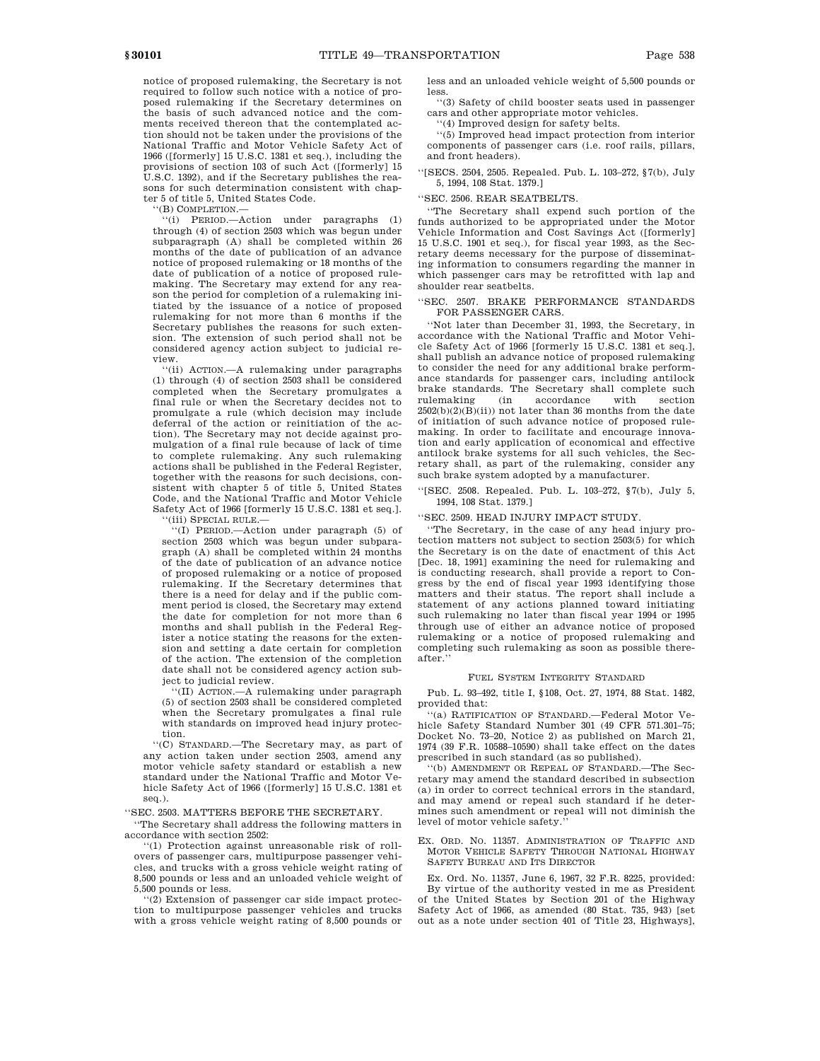notice of proposed rulemaking, the Secretary is not required to follow such notice with a notice of proposed rulemaking if the Secretary determines on the basis of such advanced notice and the comments received thereon that the contemplated action should not be taken under the provisions of the National Traffic and Motor Vehicle Safety Act of 1966 ([formerly] 15 U.S.C. 1381 et seq.), including the provisions of section 103 of such Act ([formerly] 15 U.S.C. 1392), and if the Secretary publishes the reasons for such determination consistent with chapter 5 of title 5, United States Code.

''(B) COMPLETION.—

''(i) PERIOD.—Action under paragraphs (1) through (4) of section 2503 which was begun under subparagraph (A) shall be completed within 26 months of the date of publication of an advance notice of proposed rulemaking or 18 months of the date of publication of a notice of proposed rulemaking. The Secretary may extend for any reason the period for completion of a rulemaking initiated by the issuance of a notice of proposed rulemaking for not more than 6 months if the Secretary publishes the reasons for such extension. The extension of such period shall not be considered agency action subject to judicial review.

''(ii) ACTION.—A rulemaking under paragraphs (1) through (4) of section 2503 shall be considered completed when the Secretary promulgates a final rule or when the Secretary decides not to promulgate a rule (which decision may include deferral of the action or reinitiation of the action). The Secretary may not decide against promulgation of a final rule because of lack of time to complete rulemaking. Any such rulemaking actions shall be published in the Federal Register, together with the reasons for such decisions, consistent with chapter 5 of title 5, United States Code, and the National Traffic and Motor Vehicle Safety Act of 1966 [formerly 15 U.S.C. 1381 et seq.].

''(iii) SPECIAL RULE.—

''(I) PERIOD.—Action under paragraph (5) of section 2503 which was begun under subparagraph (A) shall be completed within 24 months of the date of publication of an advance notice of proposed rulemaking or a notice of proposed rulemaking. If the Secretary determines that there is a need for delay and if the public comment period is closed, the Secretary may extend the date for completion for not more than 6 months and shall publish in the Federal Register a notice stating the reasons for the extension and setting a date certain for completion of the action. The extension of the completion date shall not be considered agency action subject to judicial review.

''(II) ACTION.—A rulemaking under paragraph (5) of section 2503 shall be considered completed when the Secretary promulgates a final rule with standards on improved head injury protection.

''(C) STANDARD.—The Secretary may, as part of any action taken under section 2503, amend any motor vehicle safety standard or establish a new standard under the National Traffic and Motor Vehicle Safety Act of 1966 ([formerly] 15 U.S.C. 1381 et seq.).

''SEC. 2503. MATTERS BEFORE THE SECRETARY.

''The Secretary shall address the following matters in accordance with section 2502:

''(1) Protection against unreasonable risk of rollovers of passenger cars, multipurpose passenger vehicles, and trucks with a gross vehicle weight rating of 8,500 pounds or less and an unloaded vehicle weight of 5,500 pounds or less.

''(2) Extension of passenger car side impact protection to multipurpose passenger vehicles and trucks with a gross vehicle weight rating of 8,500 pounds or less and an unloaded vehicle weight of 5,500 pounds or less.

''(3) Safety of child booster seats used in passenger cars and other appropriate motor vehicles.

''(4) Improved design for safety belts.

''(5) Improved head impact protection from interior components of passenger cars (i.e. roof rails, pillars, and front headers).

''[SECS. 2504, 2505. Repealed. Pub. L. 103–272, §7(b), July 5, 1994, 108 Stat. 1379.]

### ''SEC. 2506. REAR SEATBELTS.

''The Secretary shall expend such portion of the funds authorized to be appropriated under the Motor Vehicle Information and Cost Savings Act ([formerly] 15 U.S.C. 1901 et seq.), for fiscal year 1993, as the Secretary deems necessary for the purpose of disseminating information to consumers regarding the manner in which passenger cars may be retrofitted with lap and shoulder rear seatbelts.

# ''SEC. 2507. BRAKE PERFORMANCE STANDARDS FOR PASSENGER CARS.

''Not later than December 31, 1993, the Secretary, in accordance with the National Traffic and Motor Vehicle Safety Act of 1966 [formerly 15 U.S.C. 1381 et seq.], shall publish an advance notice of proposed rulemaking to consider the need for any additional brake performance standards for passenger cars, including antilock brake standards. The Secretary shall complete such rulemaking (in accordance with section accordance with section  $2502(b)(2)(B)(ii)$  not later than 36 months from the date of initiation of such advance notice of proposed rulemaking. In order to facilitate and encourage innovation and early application of economical and effective antilock brake systems for all such vehicles, the Secretary shall, as part of the rulemaking, consider any such brake system adopted by a manufacturer.

''[SEC. 2508. Repealed. Pub. L. 103–272, §7(b), July 5, 1994, 108 Stat. 1379.]

''SEC. 2509. HEAD INJURY IMPACT STUDY.

''The Secretary, in the case of any head injury protection matters not subject to section 2503(5) for which the Secretary is on the date of enactment of this Act [Dec. 18, 1991] examining the need for rulemaking and is conducting research, shall provide a report to Congress by the end of fiscal year 1993 identifying those matters and their status. The report shall include a statement of any actions planned toward initiating such rulemaking no later than fiscal year 1994 or 1995 through use of either an advance notice of proposed rulemaking or a notice of proposed rulemaking and completing such rulemaking as soon as possible thereafter.''

### FUEL SYSTEM INTEGRITY STANDARD

Pub. L. 93–492, title I, §108, Oct. 27, 1974, 88 Stat. 1482, provided that:

''(a) RATIFICATION OF STANDARD.—Federal Motor Vehicle Safety Standard Number 301 (49 CFR 571.301–75; Docket No. 73–20, Notice 2) as published on March 21, 1974 (39 F.R. 10588–10590) shall take effect on the dates prescribed in such standard (as so published).

''(b) AMENDMENT OR REPEAL OF STANDARD.—The Secretary may amend the standard described in subsection (a) in order to correct technical errors in the standard, and may amend or repeal such standard if he determines such amendment or repeal will not diminish the level of motor vehicle safety.

EX. ORD. NO. 11357. ADMINISTRATION OF TRAFFIC AND MOTOR VEHICLE SAFETY THROUGH NATIONAL HIGHWAY SAFETY BUREAU AND ITS DIRECTOR

Ex. Ord. No. 11357, June 6, 1967, 32 F.R. 8225, provided: By virtue of the authority vested in me as President of the United States by Section 201 of the Highway Safety Act of 1966, as amended (80 Stat. 735, 943) [set out as a note under section 401 of Title 23, Highways],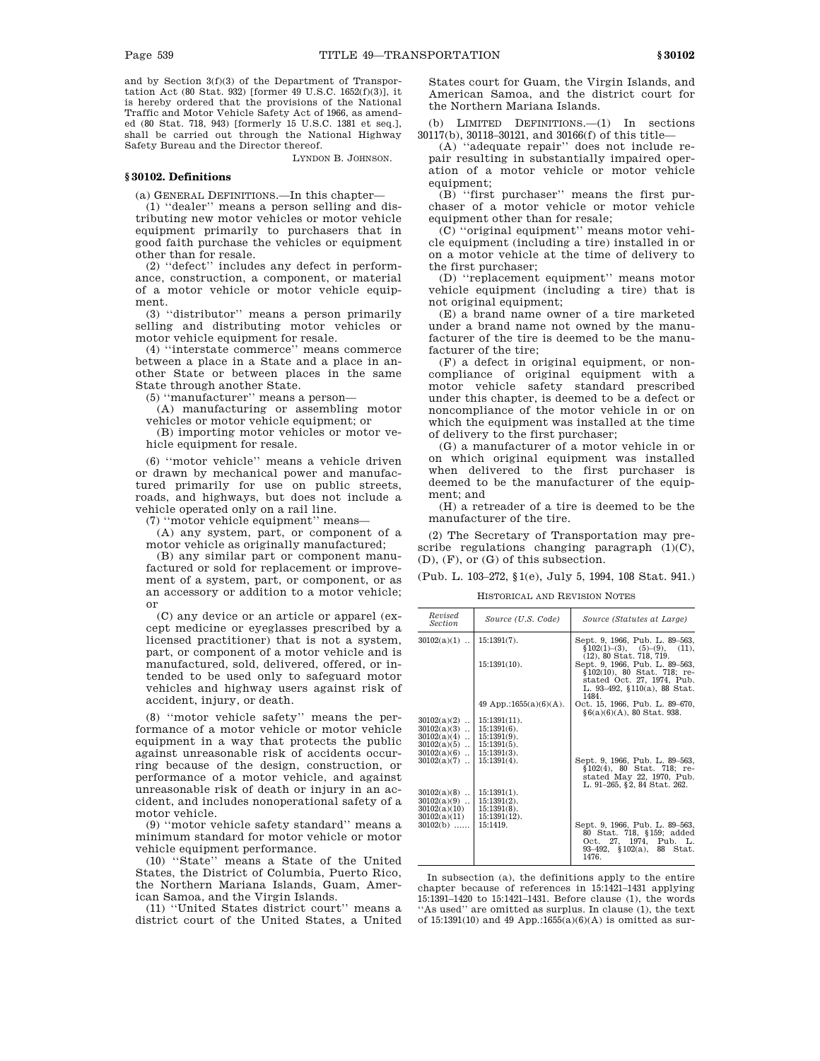and by Section 3(f)(3) of the Department of Transportation Act (80 Stat. 932) [former 49 U.S.C. 1652(f)(3)], it is hereby ordered that the provisions of the National Traffic and Motor Vehicle Safety Act of 1966, as amended (80 Stat. 718, 943) [formerly 15 U.S.C. 1381 et seq.], shall be carried out through the National Highway Safety Bureau and the Director thereof.

LYNDON B. JOHNSON.

# **§ 30102. Definitions**

(a) GENERAL DEFINITIONS.—In this chapter—

(1) ''dealer'' means a person selling and distributing new motor vehicles or motor vehicle equipment primarily to purchasers that in good faith purchase the vehicles or equipment other than for resale.

(2) ''defect'' includes any defect in performance, construction, a component, or material of a motor vehicle or motor vehicle equipment.

(3) ''distributor'' means a person primarily selling and distributing motor vehicles or motor vehicle equipment for resale.

(4) ''interstate commerce'' means commerce between a place in a State and a place in another State or between places in the same State through another State.

(5) ''manufacturer'' means a person—

(A) manufacturing or assembling motor vehicles or motor vehicle equipment; or

(B) importing motor vehicles or motor vehicle equipment for resale.

(6) ''motor vehicle'' means a vehicle driven or drawn by mechanical power and manufactured primarily for use on public streets, roads, and highways, but does not include a vehicle operated only on a rail line.

(7) ''motor vehicle equipment'' means—

(A) any system, part, or component of a motor vehicle as originally manufactured;

(B) any similar part or component manufactured or sold for replacement or improvement of a system, part, or component, or as an accessory or addition to a motor vehicle; or

(C) any device or an article or apparel (except medicine or eyeglasses prescribed by a licensed practitioner) that is not a system, part, or component of a motor vehicle and is manufactured, sold, delivered, offered, or intended to be used only to safeguard motor vehicles and highway users against risk of accident, injury, or death.

(8) ''motor vehicle safety'' means the performance of a motor vehicle or motor vehicle equipment in a way that protects the public against unreasonable risk of accidents occurring because of the design, construction, or performance of a motor vehicle, and against unreasonable risk of death or injury in an accident, and includes nonoperational safety of a motor vehicle.

(9) ''motor vehicle safety standard'' means a minimum standard for motor vehicle or motor vehicle equipment performance.

(10) ''State'' means a State of the United States, the District of Columbia, Puerto Rico, the Northern Mariana Islands, Guam, American Samoa, and the Virgin Islands.

(11) ''United States district court'' means a district court of the United States, a United States court for Guam, the Virgin Islands, and American Samoa, and the district court for the Northern Mariana Islands.

(b) LIMITED DEFINITIONS.—(1) In sections 30117(b), 30118–30121, and 30166(f) of this title—

(A) ''adequate repair'' does not include repair resulting in substantially impaired operation of a motor vehicle or motor vehicle equipment;

 $(B)$  "first purchaser" means the first purchaser of a motor vehicle or motor vehicle equipment other than for resale;

(C) ''original equipment'' means motor vehicle equipment (including a tire) installed in or on a motor vehicle at the time of delivery to the first purchaser;

(D) ''replacement equipment'' means motor vehicle equipment (including a tire) that is not original equipment;

(E) a brand name owner of a tire marketed under a brand name not owned by the manufacturer of the tire is deemed to be the manufacturer of the tire;

(F) a defect in original equipment, or noncompliance of original equipment with a motor vehicle safety standard prescribed under this chapter, is deemed to be a defect or noncompliance of the motor vehicle in or on which the equipment was installed at the time of delivery to the first purchaser;

(G) a manufacturer of a motor vehicle in or on which original equipment was installed when delivered to the first purchaser is deemed to be the manufacturer of the equipment; and

(H) a retreader of a tire is deemed to be the manufacturer of the tire.

(2) The Secretary of Transportation may prescribe regulations changing paragraph  $(1)(C)$ , (D), (F), or (G) of this subsection.

(Pub. L. 103–272, §1(e), July 5, 1994, 108 Stat. 941.)

HISTORICAL AND REVISION NOTES

| Revised<br><i>Section</i> | Source (U.S. Code)     | Source (Statutes at Large)                                                                                                           |
|---------------------------|------------------------|--------------------------------------------------------------------------------------------------------------------------------------|
| $30102(a)(1)$             | $15:1391(7)$ .         | Sept. 9, 1966, Pub. L. 89-563,<br>$$102(1)-(3), (5)-(9), (11),$<br>$(12)$ , 80 Stat. 718, 719.                                       |
|                           | $15:1391(10)$ .        | Sept. 9, 1966, Pub. L. 89-563,<br>§102(10), 80 Stat. 718; re-<br>stated Oct. 27, 1974, Pub.<br>L. 93-492, §110(a), 88 Stat.<br>1484. |
|                           | 49 App.:1655(a)(6)(A). | Oct. 15, 1966, Pub. L. 89-670,<br>$§6(a)(6)(A), 80$ Stat. 938.                                                                       |
| $30102(a)(2)$             | $15:1391(11)$ .        |                                                                                                                                      |
| $30102(a)(3)$             | $15:1391(6)$ .         |                                                                                                                                      |
| $30102(a)(4)$             | $15:1391(9)$ .         |                                                                                                                                      |
| $30102(a)(5)$             | $15:1391(5)$ .         |                                                                                                                                      |
| $30102(a)(6)$             | $15:1391(3)$ .         |                                                                                                                                      |
| $30102(a)(7)$             | $15:1391(4)$ .         | Sept. 9, 1966, Pub. L. 89-563,<br>§102(4), 80 Stat. 718; re-<br>stated May 22, 1970, Pub.<br>L. 91-265, §2, 84 Stat. 262.            |
| $30102(a)(8)$             | $15:1391(1)$ .         |                                                                                                                                      |
| $30102(a)(9)$             | $15:1391(2)$ .         |                                                                                                                                      |
| 30102(a)(10)              | $15:1391(8)$ .         |                                                                                                                                      |
| 30102(a)(11)              | $15:1391(12)$ .        |                                                                                                                                      |
| $30102(b)$                | 15:1419.               | Sept. 9, 1966, Pub. L. 89-563,<br>80 Stat. 718, §159; added<br>Oct. 27, 1974, Pub. L.<br>93-492, §102(a), 88 Stat.<br>1476.          |

In subsection (a), the definitions apply to the entire chapter because of references in 15:1421–1431 applying 15:1391–1420 to 15:1421–1431. Before clause (1), the words ''As used'' are omitted as surplus. In clause (1), the text of 15:1391(10) and 49 App.:1655 $(a)(6)(A)$  is omitted as sur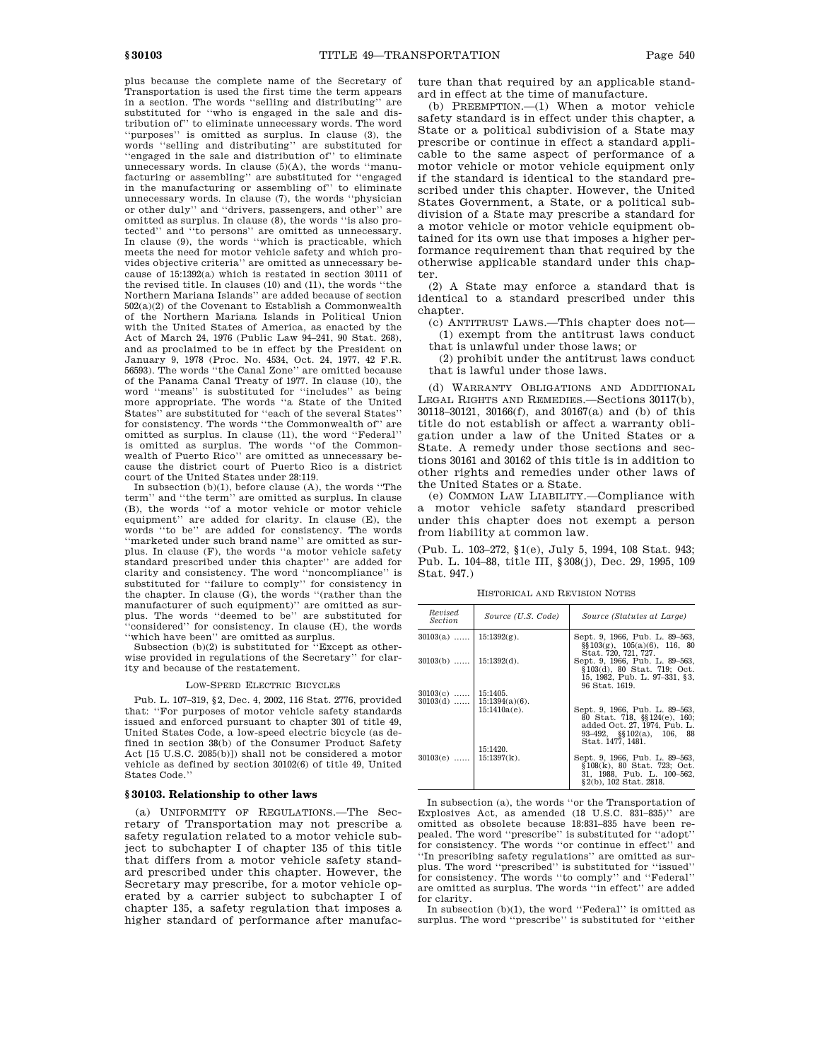plus because the complete name of the Secretary of Transportation is used the first time the term appears in a section. The words "selling and distributing" substituted for ''who is engaged in the sale and distribution of'' to eliminate unnecessary words. The word 'purposes'' is omitted as surplus. In clause (3), the words ''selling and distributing'' are substituted for ''engaged in the sale and distribution of'' to eliminate unnecessary words. In clause  $(5)(A)$ , the words "manufacturing or assembling'' are substituted for ''engaged in the manufacturing or assembling of'' to eliminate unnecessary words. In clause (7), the words ''physician or other duly'' and ''drivers, passengers, and other'' are omitted as surplus. In clause (8), the words ''is also protected'' and ''to persons'' are omitted as unnecessary. In clause (9), the words ''which is practicable, which meets the need for motor vehicle safety and which provides objective criteria'' are omitted as unnecessary because of 15:1392(a) which is restated in section 30111 of the revised title. In clauses (10) and (11), the words ''the Northern Mariana Islands'' are added because of section  $502(a)(2)$  of the Covenant to Establish a Commonwealth of the Northern Mariana Islands in Political Union with the United States of America, as enacted by the Act of March 24, 1976 (Public Law 94–241, 90 Stat. 268), and as proclaimed to be in effect by the President on January 9, 1978 (Proc. No. 4534, Oct. 24, 1977, 42 F.R. 56593). The words ''the Canal Zone'' are omitted because of the Panama Canal Treaty of 1977. In clause (10), the word ''means'' is substituted for ''includes'' as being more appropriate. The words ''a State of the United States'' are substituted for ''each of the several States'' for consistency. The words ''the Commonwealth of'' are omitted as surplus. In clause (11), the word ''Federal'' is omitted as surplus. The words ''of the Commonwealth of Puerto Rico'' are omitted as unnecessary because the district court of Puerto Rico is a district court of the United States under 28:119.

In subsection  $(b)(1)$ , before clause  $(A)$ , the words "The term'' and ''the term'' are omitted as surplus. In clause (B), the words ''of a motor vehicle or motor vehicle equipment'' are added for clarity. In clause (E), the words ''to be'' are added for consistency. The words ''marketed under such brand name'' are omitted as surplus. In clause (F), the words ''a motor vehicle safety standard prescribed under this chapter'' are added for clarity and consistency. The word ''noncompliance'' is substituted for ''failure to comply'' for consistency in the chapter. In clause (G), the words ''(rather than the manufacturer of such equipment)'' are omitted as surplus. The words ''deemed to be'' are substituted for ''considered'' for consistency. In clause (H), the words

''which have been'' are omitted as surplus. Subsection (b)(2) is substituted for ''Except as otherwise provided in regulations of the Secretary'' for clarity and because of the restatement.

#### LOW-SPEED ELECTRIC BICYCLES

Pub. L. 107–319, §2, Dec. 4, 2002, 116 Stat. 2776, provided that: ''For purposes of motor vehicle safety standards issued and enforced pursuant to chapter 301 of title 49, United States Code, a low-speed electric bicycle (as defined in section 38(b) of the Consumer Product Safety Act [15 U.S.C. 2085(b)]) shall not be considered a motor vehicle as defined by section 30102(6) of title 49, United States Code.''

### **§ 30103. Relationship to other laws**

(a) UNIFORMITY OF REGULATIONS.—The Secretary of Transportation may not prescribe a safety regulation related to a motor vehicle subject to subchapter I of chapter 135 of this title that differs from a motor vehicle safety standard prescribed under this chapter. However, the Secretary may prescribe, for a motor vehicle operated by a carrier subject to subchapter I of chapter 135, a safety regulation that imposes a higher standard of performance after manufacture than that required by an applicable standard in effect at the time of manufacture.

(b) PREEMPTION.—(1) When a motor vehicle safety standard is in effect under this chapter, a State or a political subdivision of a State may prescribe or continue in effect a standard applicable to the same aspect of performance of a motor vehicle or motor vehicle equipment only if the standard is identical to the standard prescribed under this chapter. However, the United States Government, a State, or a political subdivision of a State may prescribe a standard for a motor vehicle or motor vehicle equipment obtained for its own use that imposes a higher performance requirement than that required by the otherwise applicable standard under this chapter.

(2) A State may enforce a standard that is identical to a standard prescribed under this chapter.

(c) ANTITRUST LAWS.—This chapter does not—

(1) exempt from the antitrust laws conduct that is unlawful under those laws; or

(2) prohibit under the antitrust laws conduct that is lawful under those laws.

(d) WARRANTY OBLIGATIONS AND ADDITIONAL LEGAL RIGHTS AND REMEDIES.—Sections 30117(b), 30118–30121, 30166(f), and 30167(a) and (b) of this title do not establish or affect a warranty obligation under a law of the United States or a State. A remedy under those sections and sections 30161 and 30162 of this title is in addition to other rights and remedies under other laws of the United States or a State.

(e) COMMON LAW LIABILITY.—Compliance with a motor vehicle safety standard prescribed under this chapter does not exempt a person from liability at common law.

(Pub. L. 103–272, §1(e), July 5, 1994, 108 Stat. 943; Pub. L. 104–88, title III, §308(j), Dec. 29, 1995, 109 Stat. 947.)

HISTORICAL AND REVISION NOTES

| Revised<br><i>Section</i> | Source (U.S. Code)                             | Source (Statutes at Large)                                                                                                               |
|---------------------------|------------------------------------------------|------------------------------------------------------------------------------------------------------------------------------------------|
| $30103(a)$   15:1392(g).  |                                                | Sept. 9, 1966, Pub. L. 89–563,<br>$\S$ [103(g), 105(a)(6), 116, 80                                                                       |
| $30103(b)$   15:1392(d).  |                                                | Stat. 720, 721, 727.<br>Sept. 9, 1966, Pub. L. 89-563,<br>§103(d), 80 Stat. 719; Oct.<br>15, 1982, Pub. L. 97-331, §3,<br>96 Stat. 1619. |
| $30103(c)$   15:1405.     | $30103(d)$   15:1394(a)(6).<br>$15:1410a(e)$ . | Sept. 9, 1966, Pub. L. 89-563,                                                                                                           |
|                           |                                                | 80 Stat. 718, §§124(e), 160;<br>added Oct. 27, 1974, Pub. L.<br>93-492, $\S$ $102(a)$ , 106, 88<br>Stat. 1477. 1481.                     |
| $30103(e)$   15:1397(k).  | 15:1420.                                       | Sept. 9, 1966, Pub. L. 89–563,<br>§108(k), 80 Stat. 723; Oct.<br>31. 1988. Pub. L. 100–562.<br>§2(b), 102 Stat. 2818.                    |

In subsection (a), the words ''or the Transportation of Explosives Act, as amended (18 U.S.C. 831–835)'' are omitted as obsolete because 18:831–835 have been repealed. The word ''prescribe'' is substituted for ''adopt'' for consistency. The words ''or continue in effect'' and ''In prescribing safety regulations'' are omitted as surplus. The word ''prescribed'' is substituted for ''issued'' for consistency. The words ''to comply'' and ''Federal'' are omitted as surplus. The words ''in effect'' are added for clarity.

In subsection (b)(1), the word ''Federal'' is omitted as surplus. The word ''prescribe'' is substituted for ''either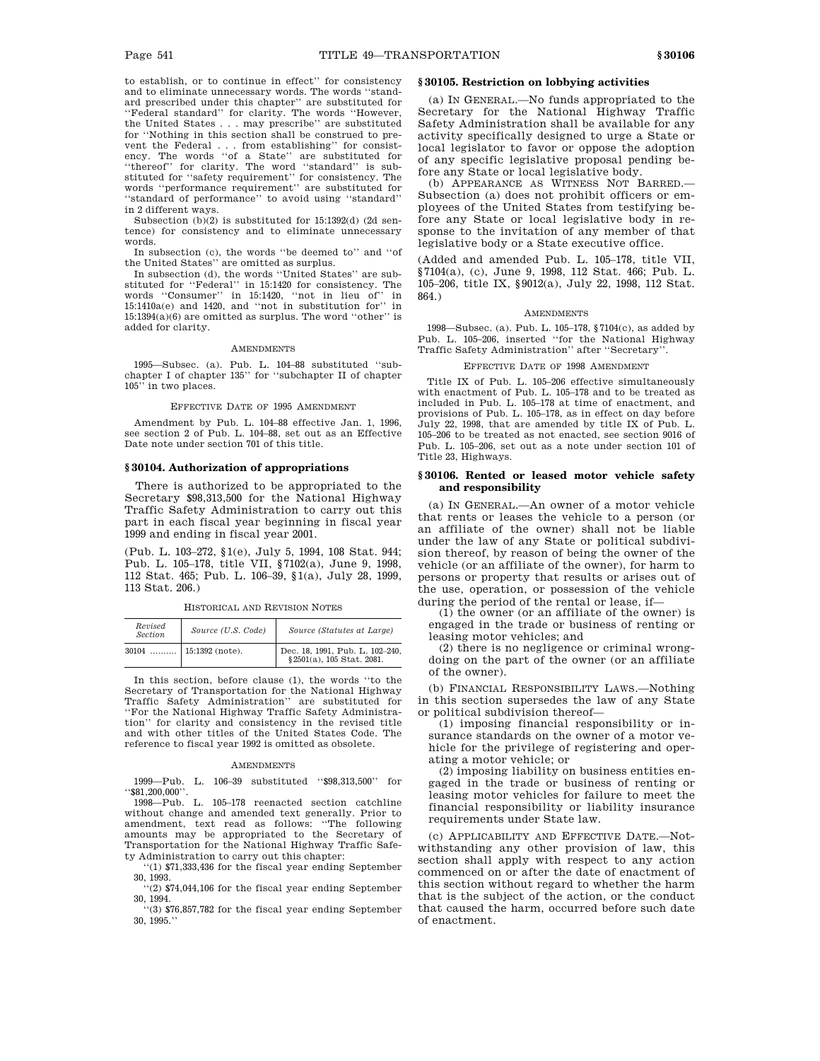to establish, or to continue in effect'' for consistency and to eliminate unnecessary words. The words ''standard prescribed under this chapter'' are substituted for ''Federal standard'' for clarity. The words ''However, the United States . . . may prescribe'' are substituted for ''Nothing in this section shall be construed to prevent the Federal . . . from establishing'' for consistency. The words ''of a State'' are substituted for ''thereof'' for clarity. The word ''standard'' is substituted for ''safety requirement'' for consistency. The words ''performance requirement'' are substituted for 'standard of performance'' to avoid using "standard' in 2 different ways.

Subsection (b)(2) is substituted for 15:1392(d) (2d sentence) for consistency and to eliminate unnecessary words.

In subsection (c), the words ''be deemed to'' and ''of the United States'' are omitted as surplus.

In subsection (d), the words ''United States'' are substituted for ''Federal'' in 15:1420 for consistency. The words ''Consumer'' in 15:1420, ''not in lieu of'' in 15:1410a(e) and 1420, and ''not in substitution for'' in 15:1394(a)(6) are omitted as surplus. The word ''other'' is added for clarity.

#### AMENDMENTS

1995—Subsec. (a). Pub. L. 104–88 substituted ''subchapter I of chapter 135'' for ''subchapter II of chapter 105'' in two places.

#### EFFECTIVE DATE OF 1995 AMENDMENT

Amendment by Pub. L. 104–88 effective Jan. 1, 1996, see section 2 of Pub. L. 104–88, set out as an Effective Date note under section 701 of this title.

#### **§ 30104. Authorization of appropriations**

There is authorized to be appropriated to the Secretary \$98,313,500 for the National Highway Traffic Safety Administration to carry out this part in each fiscal year beginning in fiscal year 1999 and ending in fiscal year 2001.

(Pub. L. 103–272, §1(e), July 5, 1994, 108 Stat. 944; Pub. L. 105–178, title VII, §7102(a), June 9, 1998, 112 Stat. 465; Pub. L. 106–39, §1(a), July 28, 1999, 113 Stat. 206.)

HISTORICAL AND REVISION NOTES

| Revised<br><b>Section</b> | Source (U.S. Code)        | Source (Statutes at Large)                                   |
|---------------------------|---------------------------|--------------------------------------------------------------|
|                           | $30104$   15:1392 (note). | Dec. 18, 1991, Pub. L. 102-240,<br>§2501(a), 105 Stat. 2081. |

In this section, before clause (1), the words ''to the Secretary of Transportation for the National Highway Traffic Safety Administration'' are substituted for ''For the National Highway Traffic Safety Administration'' for clarity and consistency in the revised title and with other titles of the United States Code. The reference to fiscal year 1992 is omitted as obsolete.

### AMENDMENTS

1999—Pub. L. 106–39 substituted ''\$98,313,500'' for ''\$81,200,000''.

1998—Pub. L. 105–178 reenacted section catchline without change and amended text generally. Prior to amendment, text read as follows: ''The following amounts may be appropriated to the Secretary of Transportation for the National Highway Traffic Safety Administration to carry out this chapter:

''(1) \$71,333,436 for the fiscal year ending September 30, 1993.

''(2) \$74,044,106 for the fiscal year ending September 30, 1994.

''(3) \$76,857,782 for the fiscal year ending September 30, 1995.''

# **§ 30105. Restriction on lobbying activities**

(a) IN GENERAL.—No funds appropriated to the Secretary for the National Highway Traffic Safety Administration shall be available for any activity specifically designed to urge a State or local legislator to favor or oppose the adoption of any specific legislative proposal pending before any State or local legislative body.

(b) APPEARANCE AS WITNESS NOT BARRED.— Subsection (a) does not prohibit officers or employees of the United States from testifying before any State or local legislative body in response to the invitation of any member of that legislative body or a State executive office.

(Added and amended Pub. L. 105–178, title VII, §7104(a), (c), June 9, 1998, 112 Stat. 466; Pub. L. 105–206, title IX, §9012(a), July 22, 1998, 112 Stat. 864.)

#### AMENDMENTS

1998—Subsec. (a). Pub. L. 105–178, §7104(c), as added by Pub. L. 105–206, inserted ''for the National Highway Traffic Safety Administration'' after ''Secretary''.

### EFFECTIVE DATE OF 1998 AMENDMENT

Title IX of Pub. L. 105–206 effective simultaneously with enactment of Pub. L. 105–178 and to be treated as included in Pub. L. 105–178 at time of enactment, and provisions of Pub. L. 105–178, as in effect on day before July 22, 1998, that are amended by title IX of Pub. L. 105–206 to be treated as not enacted, see section 9016 of Pub. L. 105–206, set out as a note under section 101 of Title 23, Highways.

# **§ 30106. Rented or leased motor vehicle safety and responsibility**

(a) IN GENERAL.—An owner of a motor vehicle that rents or leases the vehicle to a person (or an affiliate of the owner) shall not be liable under the law of any State or political subdivision thereof, by reason of being the owner of the vehicle (or an affiliate of the owner), for harm to persons or property that results or arises out of the use, operation, or possession of the vehicle during the period of the rental or lease, if—

(1) the owner (or an affiliate of the owner) is engaged in the trade or business of renting or leasing motor vehicles; and

(2) there is no negligence or criminal wrongdoing on the part of the owner (or an affiliate of the owner).

(b) FINANCIAL RESPONSIBILITY LAWS.—Nothing in this section supersedes the law of any State or political subdivision thereof—

(1) imposing financial responsibility or insurance standards on the owner of a motor vehicle for the privilege of registering and operating a motor vehicle; or

(2) imposing liability on business entities engaged in the trade or business of renting or leasing motor vehicles for failure to meet the financial responsibility or liability insurance requirements under State law.

(c) APPLICABILITY AND EFFECTIVE DATE.—Notwithstanding any other provision of law, this section shall apply with respect to any action commenced on or after the date of enactment of this section without regard to whether the harm that is the subject of the action, or the conduct that caused the harm, occurred before such date of enactment.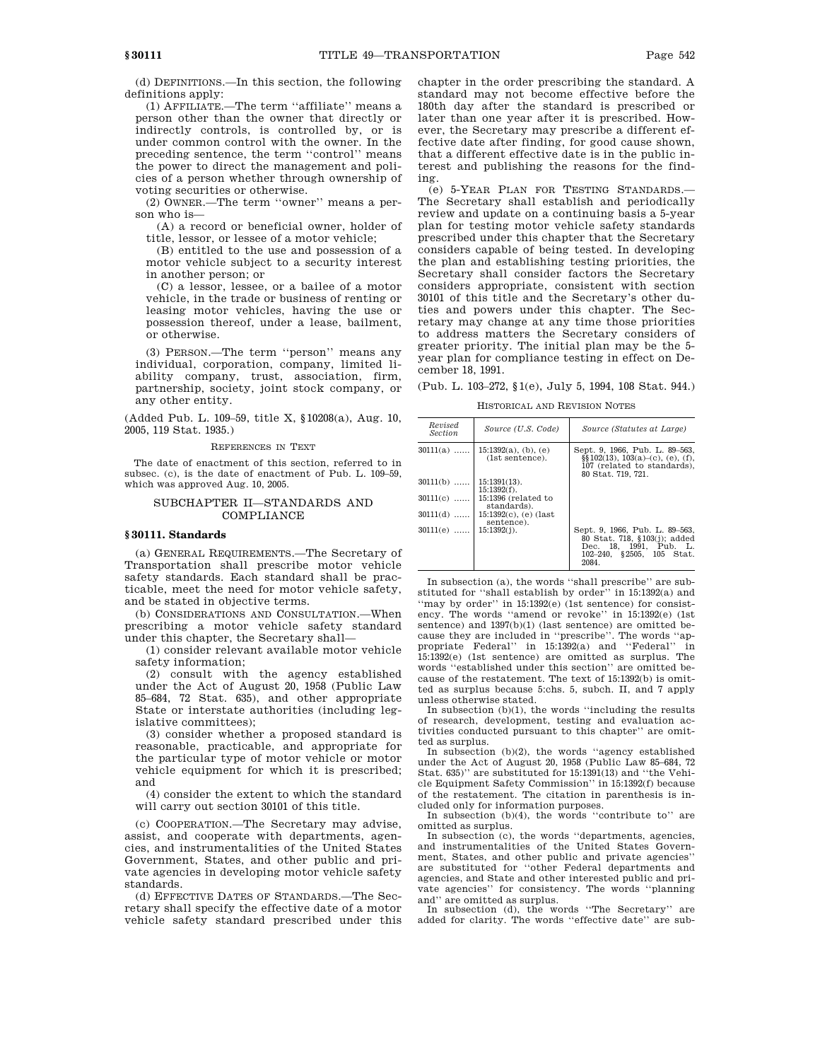(d) DEFINITIONS.—In this section, the following definitions apply:

(1) AFFILIATE.—The term ''affiliate'' means a person other than the owner that directly or indirectly controls, is controlled by, or is under common control with the owner. In the preceding sentence, the term ''control'' means the power to direct the management and policies of a person whether through ownership of voting securities or otherwise.

(2) OWNER.—The term ''owner'' means a person who is—

(A) a record or beneficial owner, holder of title, lessor, or lessee of a motor vehicle;

(B) entitled to the use and possession of a motor vehicle subject to a security interest in another person; or

(C) a lessor, lessee, or a bailee of a motor vehicle, in the trade or business of renting or leasing motor vehicles, having the use or possession thereof, under a lease, bailment, or otherwise.

(3) PERSON.—The term ''person'' means any individual, corporation, company, limited liability company, trust, association, firm, partnership, society, joint stock company, or any other entity.

(Added Pub. L. 109–59, title X, §10208(a), Aug. 10, 2005, 119 Stat. 1935.)

### REFERENCES IN TEXT

The date of enactment of this section, referred to in subsec. (c), is the date of enactment of Pub. L. 109–59, which was approved Aug. 10, 2005.

# SUBCHAPTER II—STANDARDS AND COMPLIANCE

# **§ 30111. Standards**

(a) GENERAL REQUIREMENTS.—The Secretary of Transportation shall prescribe motor vehicle safety standards. Each standard shall be practicable, meet the need for motor vehicle safety, and be stated in objective terms.

(b) CONSIDERATIONS AND CONSULTATION.—When prescribing a motor vehicle safety standard under this chapter, the Secretary shall—

(1) consider relevant available motor vehicle safety information;

(2) consult with the agency established under the Act of August 20, 1958 (Public Law 85–684, 72 Stat. 635), and other appropriate State or interstate authorities (including legislative committees);

(3) consider whether a proposed standard is reasonable, practicable, and appropriate for the particular type of motor vehicle or motor vehicle equipment for which it is prescribed; and

(4) consider the extent to which the standard will carry out section 30101 of this title.

(c) COOPERATION.—The Secretary may advise, assist, and cooperate with departments, agencies, and instrumentalities of the United States Government, States, and other public and private agencies in developing motor vehicle safety standards.

(d) EFFECTIVE DATES OF STANDARDS.—The Secretary shall specify the effective date of a motor vehicle safety standard prescribed under this chapter in the order prescribing the standard. A standard may not become effective before the 180th day after the standard is prescribed or later than one year after it is prescribed. However, the Secretary may prescribe a different effective date after finding, for good cause shown, that a different effective date is in the public interest and publishing the reasons for the finding.

(e) 5-YEAR PLAN FOR TESTING STANDARDS.— The Secretary shall establish and periodically review and update on a continuing basis a 5-year plan for testing motor vehicle safety standards prescribed under this chapter that the Secretary considers capable of being tested. In developing the plan and establishing testing priorities, the Secretary shall consider factors the Secretary considers appropriate, consistent with section 30101 of this title and the Secretary's other duties and powers under this chapter. The Secretary may change at any time those priorities to address matters the Secretary considers of greater priority. The initial plan may be the 5 year plan for compliance testing in effect on December 18, 1991.

(Pub. L. 103–272, §1(e), July 5, 1994, 108 Stat. 944.)

HISTORICAL AND REVISION NOTES

| Revised<br><i>Section</i> | Source (U.S. Code)                               | Source (Statutes at Large)                                                                                                     |
|---------------------------|--------------------------------------------------|--------------------------------------------------------------------------------------------------------------------------------|
| $30111(a)$                | $15:1392(a)$ , (b), (e)<br>(1st sentence).       | Sept. 9, 1966, Pub. L. 89-563,<br>$\S$ [102(13), 103(a)–(c), (e), (f),<br>107 (related to standards).<br>80 Stat. 719, 721.    |
| $30111(b)$                | $15:1391(13)$ .<br>$15:1392(f)$ .                |                                                                                                                                |
|                           | $30111(c)$ 15:1396 (related to<br>standards).    |                                                                                                                                |
|                           | $30111(d)$   15:1392(c), (e) (last<br>sentence). |                                                                                                                                |
| $30111(e)$   15:1392(j).  |                                                  | Sept. 9, 1966, Pub. L. 89-563,<br>80 Stat. 718, §103(j); added<br>Dec. 18, 1991, Pub. L.<br>102-240, §2505, 105 Stat.<br>2084. |

In subsection (a), the words ''shall prescribe'' are substituted for ''shall establish by order'' in 15:1392(a) and ''may by order'' in 15:1392(e) (1st sentence) for consistency. The words ''amend or revoke'' in 15:1392(e) (1st sentence) and 1397(b)(1) (last sentence) are omitted because they are included in ''prescribe''. The words ''appropriate Federal'' in 15:1392(a) and ''Federal'' in 15:1392(e) (1st sentence) are omitted as surplus. The words ''established under this section'' are omitted because of the restatement. The text of 15:1392(b) is omitted as surplus because 5:chs. 5, subch. II, and 7 apply unless otherwise stated.

In subsection (b)(1), the words ''including the results of research, development, testing and evaluation activities conducted pursuant to this chapter'' are omitted as surplus.

In subsection (b)(2), the words ''agency established under the Act of August 20, 1958 (Public Law 85–684, 72 Stat. 635)'' are substituted for 15:1391(13) and ''the Vehicle Equipment Safety Commission'' in 15:1392(f) because of the restatement. The citation in parenthesis is included only for information purposes.

In subsection (b)(4), the words ''contribute to'' are omitted as surplus.

In subsection (c), the words "departments, agencies, and instrumentalities of the United States Government, States, and other public and private agencies'' are substituted for ''other Federal departments and agencies, and State and other interested public and private agencies'' for consistency. The words ''planning and'' are omitted as surplus.

In subsection (d), the words ''The Secretary'' are added for clarity. The words ''effective date'' are sub-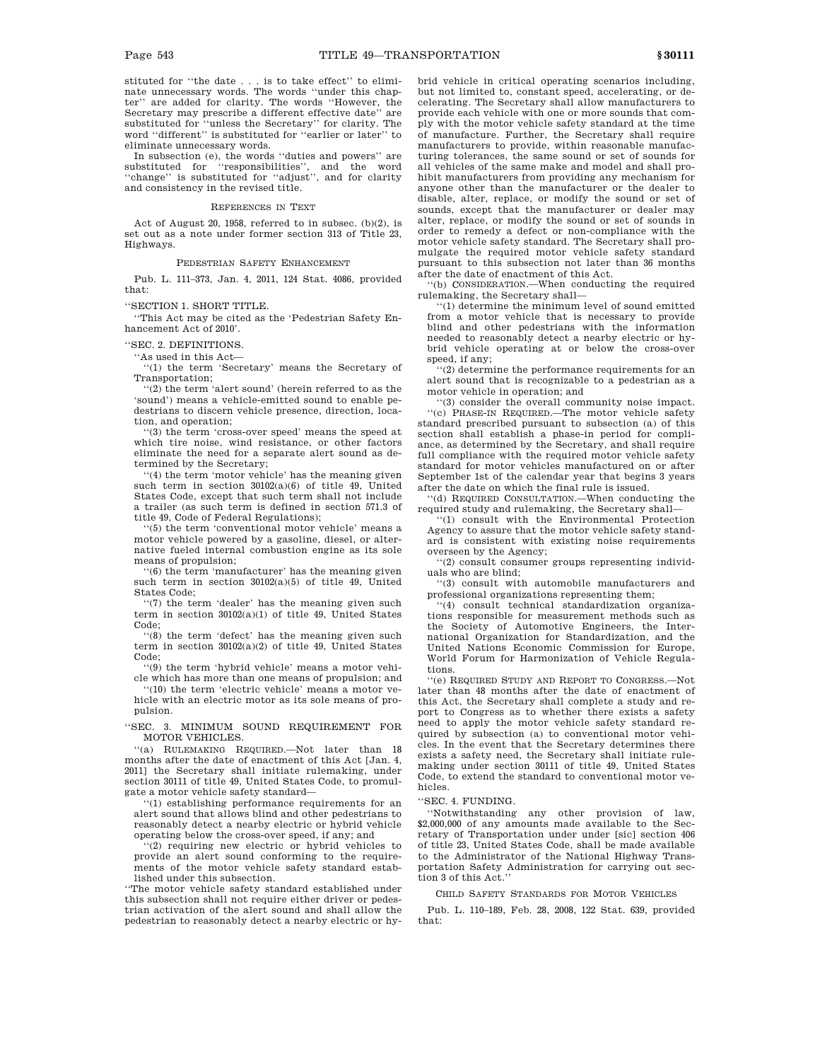stituted for ''the date . . . is to take effect'' to eliminate unnecessary words. The words ''under this chapter'' are added for clarity. The words ''However, the Secretary may prescribe a different effective date'' are substituted for ''unless the Secretary'' for clarity. The word ''different'' is substituted for ''earlier or later'' to eliminate unnecessary words.

In subsection (e), the words ''duties and powers'' are substituted for ''responsibilities'', and the word ''change'' is substituted for ''adjust'', and for clarity and consistency in the revised title.

#### REFERENCES IN TEXT

Act of August 20, 1958, referred to in subsec. (b)(2), is set out as a note under former section 313 of Title 23, Highways.

### PEDESTRIAN SAFETY ENHANCEMENT

Pub. L. 111–373, Jan. 4, 2011, 124 Stat. 4086, provided that:

# ''SECTION 1. SHORT TITLE.

''This Act may be cited as the 'Pedestrian Safety Enhancement Act of 2010'.

#### ''SEC. 2. DEFINITIONS.

''As used in this Act—

''(1) the term 'Secretary' means the Secretary of Transportation;

''(2) the term 'alert sound' (herein referred to as the 'sound') means a vehicle-emitted sound to enable pedestrians to discern vehicle presence, direction, location, and operation;

'(3) the term 'cross-over speed' means the speed at which tire noise, wind resistance, or other factors eliminate the need for a separate alert sound as determined by the Secretary;

''(4) the term 'motor vehicle' has the meaning given such term in section 30102(a)(6) of title 49, United States Code, except that such term shall not include a trailer (as such term is defined in section 571.3 of title 49, Code of Federal Regulations);

''(5) the term 'conventional motor vehicle' means a motor vehicle powered by a gasoline, diesel, or alternative fueled internal combustion engine as its sole means of propulsion;

''(6) the term 'manufacturer' has the meaning given such term in section 30102(a)(5) of title 49, United States Code;

''(7) the term 'dealer' has the meaning given such term in section 30102(a)(1) of title 49, United States Code;

''(8) the term 'defect' has the meaning given such term in section 30102(a)(2) of title 49, United States Code;

''(9) the term 'hybrid vehicle' means a motor vehicle which has more than one means of propulsion; and

''(10) the term 'electric vehicle' means a motor vehicle with an electric motor as its sole means of propulsion.

''SEC. 3. MINIMUM SOUND REQUIREMENT FOR MOTOR VEHICLES.

''(a) RULEMAKING REQUIRED.—Not later than 18 months after the date of enactment of this Act [Jan. 4, 2011] the Secretary shall initiate rulemaking, under section 30111 of title 49, United States Code, to promulgate a motor vehicle safety standard—

''(1) establishing performance requirements for an alert sound that allows blind and other pedestrians to reasonably detect a nearby electric or hybrid vehicle operating below the cross-over speed, if any; and

''(2) requiring new electric or hybrid vehicles to provide an alert sound conforming to the requirements of the motor vehicle safety standard established under this subsection.

''The motor vehicle safety standard established under this subsection shall not require either driver or pedestrian activation of the alert sound and shall allow the pedestrian to reasonably detect a nearby electric or hybrid vehicle in critical operating scenarios including, but not limited to, constant speed, accelerating, or decelerating. The Secretary shall allow manufacturers to provide each vehicle with one or more sounds that comply with the motor vehicle safety standard at the time of manufacture. Further, the Secretary shall require manufacturers to provide, within reasonable manufacturing tolerances, the same sound or set of sounds for all vehicles of the same make and model and shall prohibit manufacturers from providing any mechanism for anyone other than the manufacturer or the dealer to disable, alter, replace, or modify the sound or set of sounds, except that the manufacturer or dealer may alter, replace, or modify the sound or set of sounds in order to remedy a defect or non-compliance with the motor vehicle safety standard. The Secretary shall promulgate the required motor vehicle safety standard pursuant to this subsection not later than 36 months after the date of enactment of this Act.

''(b) CONSIDERATION.—When conducting the required rulemaking, the Secretary shall—

''(1) determine the minimum level of sound emitted from a motor vehicle that is necessary to provide blind and other pedestrians with the information needed to reasonably detect a nearby electric or hybrid vehicle operating at or below the cross-over speed, if any;

''(2) determine the performance requirements for an alert sound that is recognizable to a pedestrian as a motor vehicle in operation; and

''(3) consider the overall community noise impact. ''(c) PHASE-IN REQUIRED.—The motor vehicle safety standard prescribed pursuant to subsection (a) of this section shall establish a phase-in period for compliance, as determined by the Secretary, and shall require full compliance with the required motor vehicle safety standard for motor vehicles manufactured on or after September 1st of the calendar year that begins 3 years after the date on which the final rule is issued.

''(d) REQUIRED CONSULTATION.—When conducting the required study and rulemaking, the Secretary shall—

''(1) consult with the Environmental Protection Agency to assure that the motor vehicle safety standard is consistent with existing noise requirements overseen by the Agency;

''(2) consult consumer groups representing individuals who are blind;

''(3) consult with automobile manufacturers and professional organizations representing them;

''(4) consult technical standardization organizations responsible for measurement methods such as the Society of Automotive Engineers, the International Organization for Standardization, and the United Nations Economic Commission for Europe, World Forum for Harmonization of Vehicle Regulations.

''(e) REQUIRED STUDY AND REPORT TO CONGRESS.—Not later than 48 months after the date of enactment of this Act, the Secretary shall complete a study and report to Congress as to whether there exists a safety need to apply the motor vehicle safety standard required by subsection (a) to conventional motor vehicles. In the event that the Secretary determines there exists a safety need, the Secretary shall initiate rulemaking under section 30111 of title 49, United States Code, to extend the standard to conventional motor vehicles.

### ''SEC. 4. FUNDING.

''Notwithstanding any other provision of law, \$2,000,000 of any amounts made available to the Secretary of Transportation under under [sic] section 406 of title 23, United States Code, shall be made available to the Administrator of the National Highway Transportation Safety Administration for carrying out section 3 of this Act.

#### CHILD SAFETY STANDARDS FOR MOTOR VEHICLES

Pub. L. 110–189, Feb. 28, 2008, 122 Stat. 639, provided that: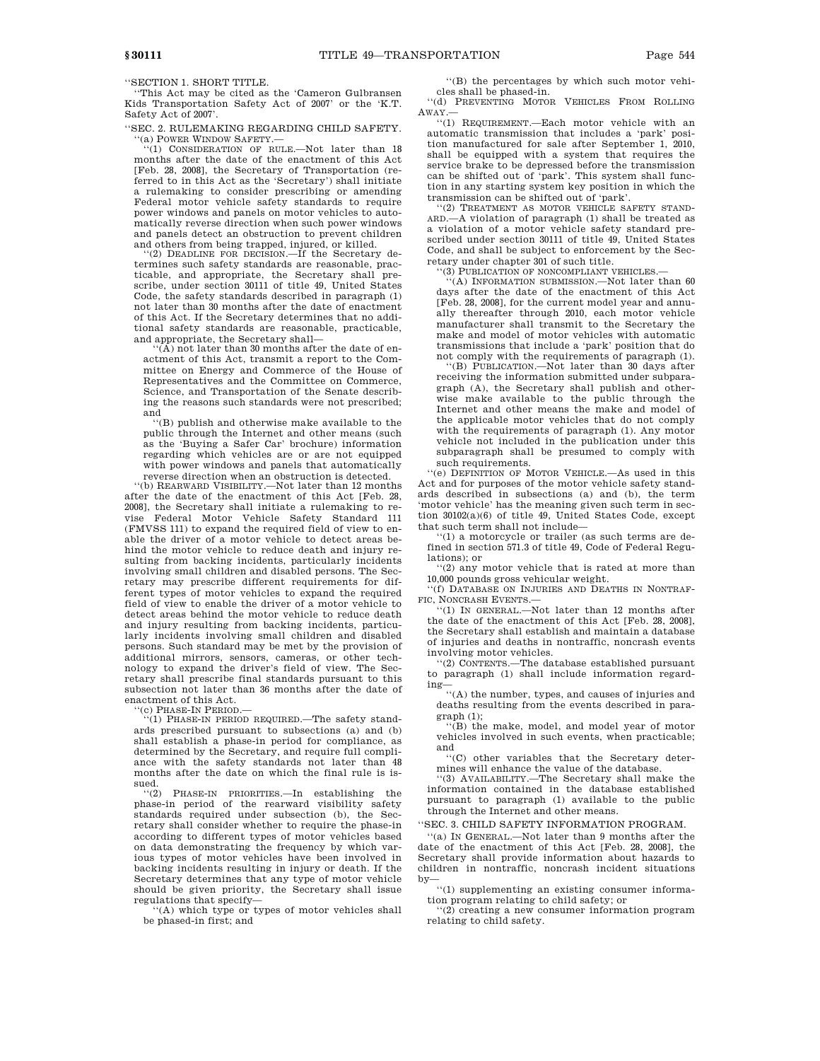''SECTION 1. SHORT TITLE.

''This Act may be cited as the 'Cameron Gulbransen Kids Transportation Safety Act of 2007' or the 'K.T. Safety Act of 2007'.

''SEC. 2. RULEMAKING REGARDING CHILD SAFETY. ''(a) POWER WINDOW SAFETY.—

''(1) CONSIDERATION OF RULE.—Not later than 18 months after the date of the enactment of this Act [Feb. 28, 2008], the Secretary of Transportation (referred to in this Act as the 'Secretary') shall initiate a rulemaking to consider prescribing or amending Federal motor vehicle safety standards to require power windows and panels on motor vehicles to automatically reverse direction when such power windows and panels detect an obstruction to prevent children and others from being trapped, injured, or killed.

(2) DEADLINE FOR DECISION.—If the Secretary determines such safety standards are reasonable, practicable, and appropriate, the Secretary shall prescribe, under section 30111 of title 49, United States Code, the safety standards described in paragraph (1) not later than 30 months after the date of enactment of this Act. If the Secretary determines that no additional safety standards are reasonable, practicable, and appropriate, the Secretary shall—

 $(\overline{A})$  not later than 30 months after the date of enactment of this Act, transmit a report to the Committee on Energy and Commerce of the House of Representatives and the Committee on Commerce, Science, and Transportation of the Senate describing the reasons such standards were not prescribed; and

''(B) publish and otherwise make available to the public through the Internet and other means (such as the 'Buying a Safer Car' brochure) information regarding which vehicles are or are not equipped with power windows and panels that automatically reverse direction when an obstruction is detected.

''(b) REARWARD VISIBILITY.—Not later than 12 months after the date of the enactment of this Act [Feb. 28, 2008], the Secretary shall initiate a rulemaking to revise Federal Motor Vehicle Safety Standard 111 (FMVSS 111) to expand the required field of view to enable the driver of a motor vehicle to detect areas behind the motor vehicle to reduce death and injury resulting from backing incidents, particularly incidents involving small children and disabled persons. The Secretary may prescribe different requirements for different types of motor vehicles to expand the required field of view to enable the driver of a motor vehicle to detect areas behind the motor vehicle to reduce death and injury resulting from backing incidents, particularly incidents involving small children and disabled persons. Such standard may be met by the provision of additional mirrors, sensors, cameras, or other technology to expand the driver's field of view. The Secretary shall prescribe final standards pursuant to this subsection not later than 36 months after the date of enactment of this Act.

''(c) PHASE-IN PERIOD.— ''(1) PHASE-IN PERIOD REQUIRED.—The safety standards prescribed pursuant to subsections (a) and (b) shall establish a phase-in period for compliance, as determined by the Secretary, and require full compliance with the safety standards not later than 48 months after the date on which the final rule is issued.

''(2) PHASE-IN PRIORITIES.—In establishing the phase-in period of the rearward visibility safety standards required under subsection (b), the Secretary shall consider whether to require the phase-in according to different types of motor vehicles based on data demonstrating the frequency by which various types of motor vehicles have been involved in backing incidents resulting in injury or death. If the Secretary determines that any type of motor vehicle should be given priority, the Secretary shall issue regulations that specify—

''(A) which type or types of motor vehicles shall be phased-in first; and

''(B) the percentages by which such motor vehicles shall be phased-in.

''(d) PREVENTING MOTOR VEHICLES FROM ROLLING AWAY.—

''(1) REQUIREMENT.—Each motor vehicle with an automatic transmission that includes a 'park' position manufactured for sale after September 1, 2010, shall be equipped with a system that requires the service brake to be depressed before the transmission can be shifted out of 'park'. This system shall function in any starting system key position in which the transmission can be shifted out of 'park'.

''(2) TREATMENT AS MOTOR VEHICLE SAFETY STAND-ARD.—A violation of paragraph (1) shall be treated as a violation of a motor vehicle safety standard prescribed under section 30111 of title 49, United States Code, and shall be subject to enforcement by the Secretary under chapter 301 of such title.

''(3) PUBLICATION OF NONCOMPLIANT VEHICLES.—

''(A) INFORMATION SUBMISSION.—Not later than 60 days after the date of the enactment of this Act [Feb. 28, 2008], for the current model year and annually thereafter through 2010, each motor vehicle manufacturer shall transmit to the Secretary the make and model of motor vehicles with automatic transmissions that include a 'park' position that do not comply with the requirements of paragraph (1).

''(B) PUBLICATION.—Not later than 30 days after receiving the information submitted under subparagraph (A), the Secretary shall publish and otherwise make available to the public through the Internet and other means the make and model of the applicable motor vehicles that do not comply with the requirements of paragraph (1). Any motor vehicle not included in the publication under this subparagraph shall be presumed to comply with such requirements.

''(e) DEFINITION OF MOTOR VEHICLE.—As used in this Act and for purposes of the motor vehicle safety standards described in subsections (a) and (b), the term 'motor vehicle' has the meaning given such term in section 30102(a)(6) of title 49, United States Code, except that such term shall not include—

''(1) a motorcycle or trailer (as such terms are defined in section 571.3 of title 49, Code of Federal Regulations); or

''(2) any motor vehicle that is rated at more than 10,000 pounds gross vehicular weight.

''(f) DATABASE ON INJURIES AND DEATHS IN NONTRAF-FIC, NONCRASH EVENTS.—

''(1) IN GENERAL.—Not later than 12 months after the date of the enactment of this Act [Feb. 28, 2008], the Secretary shall establish and maintain a database of injuries and deaths in nontraffic, noncrash events involving motor vehicles.

''(2) CONTENTS.—The database established pursuant to paragraph (1) shall include information regard-

ing— ''(A) the number, types, and causes of injuries and deaths resulting from the events described in paragraph (1);

''(B) the make, model, and model year of motor vehicles involved in such events, when practicable; and

''(C) other variables that the Secretary determines will enhance the value of the database.

''(3) AVAILABILITY.—The Secretary shall make the information contained in the database established pursuant to paragraph (1) available to the public through the Internet and other means.

''SEC. 3. CHILD SAFETY INFORMATION PROGRAM.

''(a) IN GENERAL.—Not later than 9 months after the date of the enactment of this Act [Feb. 28, 2008], the Secretary shall provide information about hazards to children in nontraffic, noncrash incident situations by—

''(1) supplementing an existing consumer information program relating to child safety; or

''(2) creating a new consumer information program relating to child safety.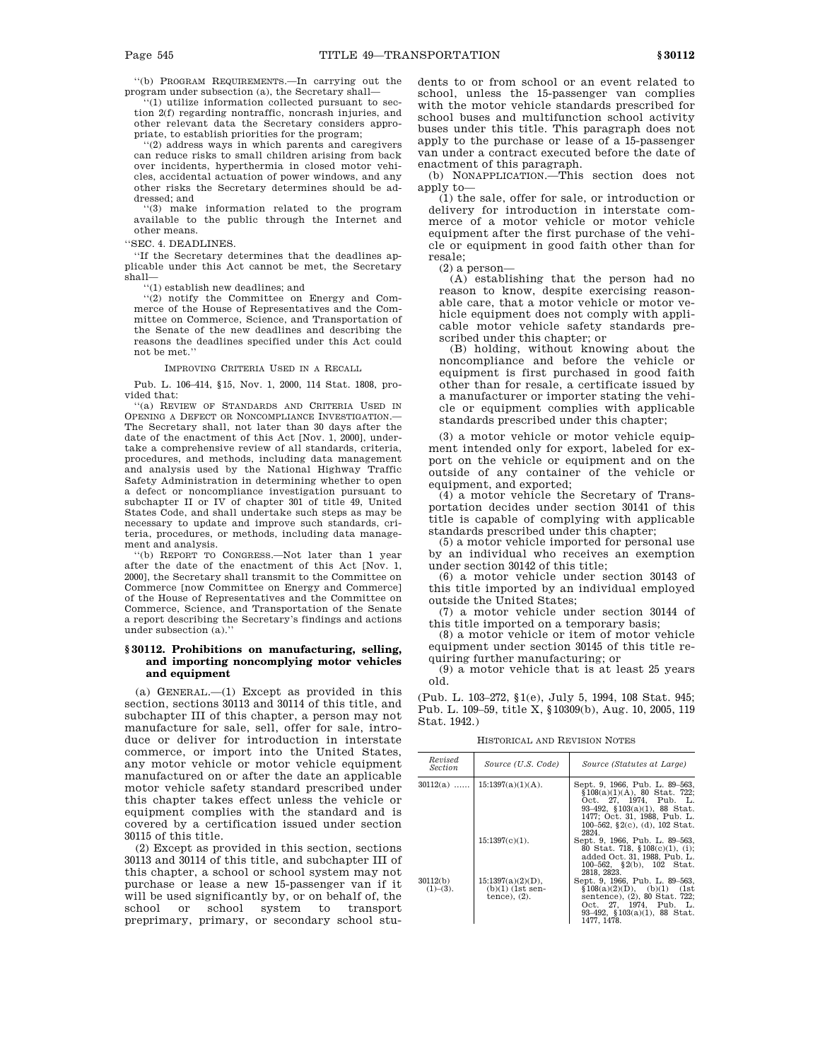''(b) PROGRAM REQUIREMENTS.—In carrying out the program under subsection (a), the Secretary shall—

'(1) utilize information collected pursuant to section 2(f) regarding nontraffic, noncrash injuries, and other relevant data the Secretary considers appropriate, to establish priorities for the program;

''(2) address ways in which parents and caregivers can reduce risks to small children arising from back over incidents, hyperthermia in closed motor vehicles, accidental actuation of power windows, and any other risks the Secretary determines should be addressed; and

''(3) make information related to the program available to the public through the Internet and other means.

''SEC. 4. DEADLINES.

''If the Secretary determines that the deadlines applicable under this Act cannot be met, the Secretary shall—

''(1) establish new deadlines; and

''(2) notify the Committee on Energy and Commerce of the House of Representatives and the Committee on Commerce, Science, and Transportation of the Senate of the new deadlines and describing the reasons the deadlines specified under this Act could not be met.''

IMPROVING CRITERIA USED IN A RECALL

Pub. L. 106–414, §15, Nov. 1, 2000, 114 Stat. 1808, provided that:

''(a) REVIEW OF STANDARDS AND CRITERIA USED IN OPENING A DEFECT OR NONCOMPLIANCE INVESTIGATION. The Secretary shall, not later than 30 days after the date of the enactment of this Act [Nov. 1, 2000], undertake a comprehensive review of all standards, criteria, procedures, and methods, including data management and analysis used by the National Highway Traffic Safety Administration in determining whether to open a defect or noncompliance investigation pursuant to subchapter II or IV of chapter 301 of title 49, United States Code, and shall undertake such steps as may be necessary to update and improve such standards, criteria, procedures, or methods, including data management and analysis.

''(b) REPORT TO CONGRESS.—Not later than 1 year after the date of the enactment of this Act [Nov. 1, 2000], the Secretary shall transmit to the Committee on Commerce [now Committee on Energy and Commerce] of the House of Representatives and the Committee on Commerce, Science, and Transportation of the Senate a report describing the Secretary's findings and actions under subsection (a).''

# **§ 30112. Prohibitions on manufacturing, selling, and importing noncomplying motor vehicles and equipment**

(a) GENERAL.—(1) Except as provided in this section, sections 30113 and 30114 of this title, and subchapter III of this chapter, a person may not manufacture for sale, sell, offer for sale, introduce or deliver for introduction in interstate commerce, or import into the United States, any motor vehicle or motor vehicle equipment manufactured on or after the date an applicable motor vehicle safety standard prescribed under this chapter takes effect unless the vehicle or equipment complies with the standard and is covered by a certification issued under section 30115 of this title.

(2) Except as provided in this section, sections 30113 and 30114 of this title, and subchapter III of this chapter, a school or school system may not purchase or lease a new 15-passenger van if it will be used significantly by, or on behalf of, the school or school system to transport preprimary, primary, or secondary school students to or from school or an event related to school, unless the 15-passenger van complies with the motor vehicle standards prescribed for school buses and multifunction school activity buses under this title. This paragraph does not apply to the purchase or lease of a 15-passenger van under a contract executed before the date of enactment of this paragraph.

(b) NONAPPLICATION.—This section does not apply to—

(1) the sale, offer for sale, or introduction or delivery for introduction in interstate commerce of a motor vehicle or motor vehicle equipment after the first purchase of the vehicle or equipment in good faith other than for resale;

 $(2)$  a person-

(A) establishing that the person had no reason to know, despite exercising reasonable care, that a motor vehicle or motor vehicle equipment does not comply with applicable motor vehicle safety standards prescribed under this chapter; or

(B) holding, without knowing about the noncompliance and before the vehicle or equipment is first purchased in good faith other than for resale, a certificate issued by a manufacturer or importer stating the vehicle or equipment complies with applicable standards prescribed under this chapter;

(3) a motor vehicle or motor vehicle equipment intended only for export, labeled for export on the vehicle or equipment and on the outside of any container of the vehicle or equipment, and exported;

(4) a motor vehicle the Secretary of Transportation decides under section 30141 of this title is capable of complying with applicable standards prescribed under this chapter;

(5) a motor vehicle imported for personal use by an individual who receives an exemption under section 30142 of this title;

(6) a motor vehicle under section 30143 of this title imported by an individual employed outside the United States;

(7) a motor vehicle under section 30144 of this title imported on a temporary basis;

(8) a motor vehicle or item of motor vehicle equipment under section 30145 of this title requiring further manufacturing; or

(9) a motor vehicle that is at least 25 years old.

(Pub. L. 103–272, §1(e), July 5, 1994, 108 Stat. 945; Pub. L. 109–59, title X, §10309(b), Aug. 10, 2005, 119 Stat. 1942.)

HISTORICAL AND REVISION NOTES

| Revised<br><i>Section</i> | Source (U.S. Code)                                            | Source (Statutes at Large)                                                                                                                                                                                       |
|---------------------------|---------------------------------------------------------------|------------------------------------------------------------------------------------------------------------------------------------------------------------------------------------------------------------------|
| $30112(a)$                | $15:1397(a)(1)(A)$ .                                          | Sept. 9, 1966, Pub. L. 89-563,<br>$$108(a)(1)(A)$ , 80 Stat. 722;<br>Oct. 27, 1974, Pub. L.<br>$93-492$ , $$103(a)(1)$ , 88 Stat.<br>1477; Oct. 31, 1988, Pub. L.<br>100-562, $\S2(c)$ , (d), 102 Stat.<br>2824. |
|                           | $15:1397(c)(1)$ .                                             | Sept. 9, 1966, Pub. L. 89-563,<br>80 Stat. 718, §108(c)(1), (i);<br>added Oct. 31, 1988, Pub. L.<br>100-562, $\S$ 2(b), 102 Stat.<br>2818, 2823.                                                                 |
| 30112(b)<br>$(1)–(3)$ .   | $15:1397(a)(2)(D)$ ,<br>$(b)(1)$ (1st sen-<br>tence), $(2)$ . | Sept. 9, 1966, Pub. L. 89-563,<br>$$108(a)(2)(D), (b)(1)$ (1st<br>sentence), (2), 80 Stat. 722;<br>Oct. 27, 1974, Pub. L.<br>$93-492$ , $103(a)(1)$ , 88 Stat.<br>1477, 1478.                                    |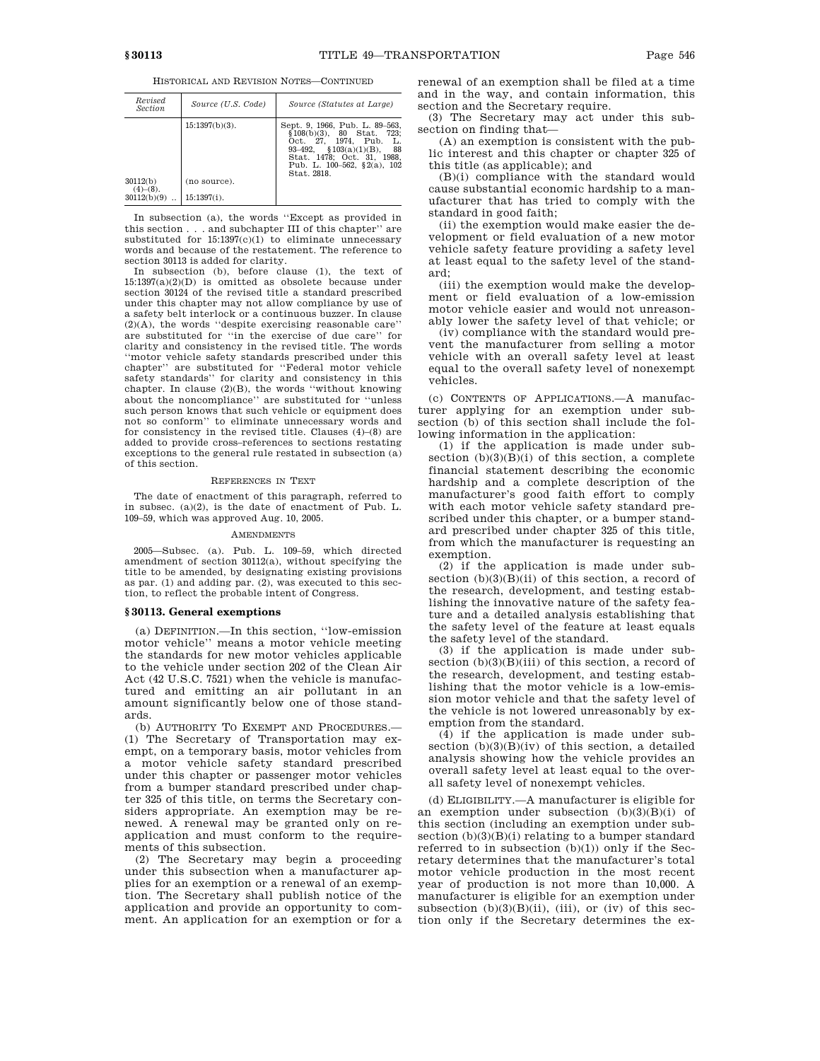HISTORICAL AND REVISION NOTES—CONTINUED

| Revised<br><i>Section</i>              | Source (U.S. Code)                                  | Source (Statutes at Large)                                                                                                                                                                                        |
|----------------------------------------|-----------------------------------------------------|-------------------------------------------------------------------------------------------------------------------------------------------------------------------------------------------------------------------|
| 30112(b)<br>$(4)–(8)$ .<br>30112(b)(9) | $15:1397(b)(3)$ .<br>(no source).<br>$15:1397(i)$ . | Sept. 9, 1966, Pub. L. 89–563,<br>$$108(b)(3), 80$ Stat.<br>723;<br>Oct. 27, 1974, Pub.<br>L.<br>$$103(a)(1)(B)$ ,<br>- 88<br>93–492.<br>Stat. 1478; Oct. 31, 1988.<br>Pub. L. 100-562, §2(a), 102<br>Stat. 2818. |

In subsection (a), the words ''Except as provided in this section . . . and subchapter III of this chapter'' are substituted for  $15:1397(c)(1)$  to eliminate unnecessary words and because of the restatement. The reference to section 30113 is added for clarity.

In subsection (b), before clause (1), the text of 15:1397(a)(2)(D) is omitted as obsolete because under section 30124 of the revised title a standard prescribed under this chapter may not allow compliance by use of a safety belt interlock or a continuous buzzer. In clause (2)(A), the words ''despite exercising reasonable care'' are substituted for ''in the exercise of due care'' for clarity and consistency in the revised title. The words ''motor vehicle safety standards prescribed under this chapter'' are substituted for ''Federal motor vehicle safety standards'' for clarity and consistency in this chapter. In clause (2)(B), the words ''without knowing about the noncompliance'' are substituted for ''unless such person knows that such vehicle or equipment does not so conform'' to eliminate unnecessary words and for consistency in the revised title. Clauses (4)–(8) are added to provide cross–references to sections restating exceptions to the general rule restated in subsection (a) of this section.

#### REFERENCES IN TEXT

The date of enactment of this paragraph, referred to in subsec. (a)(2), is the date of enactment of Pub. L. 109–59, which was approved Aug. 10, 2005.

#### **AMENDMENTS**

2005—Subsec. (a). Pub. L. 109–59, which directed amendment of section 30112(a), without specifying the title to be amended, by designating existing provisions as par. (1) and adding par. (2), was executed to this section, to reflect the probable intent of Congress.

# **§ 30113. General exemptions**

(a) DEFINITION.—In this section, ''low-emission motor vehicle'' means a motor vehicle meeting the standards for new motor vehicles applicable to the vehicle under section 202 of the Clean Air Act (42 U.S.C. 7521) when the vehicle is manufactured and emitting an air pollutant in an amount significantly below one of those standards.

(b) AUTHORITY TO EXEMPT AND PROCEDURES.— (1) The Secretary of Transportation may exempt, on a temporary basis, motor vehicles from a motor vehicle safety standard prescribed under this chapter or passenger motor vehicles from a bumper standard prescribed under chapter 325 of this title, on terms the Secretary considers appropriate. An exemption may be renewed. A renewal may be granted only on reapplication and must conform to the requirements of this subsection.

(2) The Secretary may begin a proceeding under this subsection when a manufacturer applies for an exemption or a renewal of an exemption. The Secretary shall publish notice of the application and provide an opportunity to comment. An application for an exemption or for a renewal of an exemption shall be filed at a time and in the way, and contain information, this section and the Secretary require.

(3) The Secretary may act under this subsection on finding that—

(A) an exemption is consistent with the public interest and this chapter or chapter 325 of this title (as applicable); and

(B)(i) compliance with the standard would cause substantial economic hardship to a manufacturer that has tried to comply with the standard in good faith;

(ii) the exemption would make easier the development or field evaluation of a new motor vehicle safety feature providing a safety level at least equal to the safety level of the standard;

(iii) the exemption would make the development or field evaluation of a low-emission motor vehicle easier and would not unreasonably lower the safety level of that vehicle; or

(iv) compliance with the standard would prevent the manufacturer from selling a motor vehicle with an overall safety level at least equal to the overall safety level of nonexempt vehicles.

(c) CONTENTS OF APPLICATIONS.—A manufacturer applying for an exemption under subsection (b) of this section shall include the following information in the application:

(1) if the application is made under subsection  $(b)(3)(B)(i)$  of this section, a complete financial statement describing the economic hardship and a complete description of the manufacturer's good faith effort to comply with each motor vehicle safety standard prescribed under this chapter, or a bumper standard prescribed under chapter 325 of this title, from which the manufacturer is requesting an exemption.

(2) if the application is made under subsection  $(b)(3)(B)(ii)$  of this section, a record of the research, development, and testing establishing the innovative nature of the safety feature and a detailed analysis establishing that the safety level of the feature at least equals the safety level of the standard.

(3) if the application is made under subsection  $(b)(3)(B)(iii)$  of this section, a record of the research, development, and testing establishing that the motor vehicle is a low-emission motor vehicle and that the safety level of the vehicle is not lowered unreasonably by exemption from the standard.

(4) if the application is made under subsection  $(b)(3)(B)(iv)$  of this section, a detailed analysis showing how the vehicle provides an overall safety level at least equal to the overall safety level of nonexempt vehicles.

(d) ELIGIBILITY.—A manufacturer is eligible for an exemption under subsection  $(b)(3)(B)(i)$  of this section (including an exemption under subsection  $(b)(3)(B)(i)$  relating to a bumper standard referred to in subsection  $(b)(1))$  only if the Secretary determines that the manufacturer's total motor vehicle production in the most recent year of production is not more than 10,000. A manufacturer is eligible for an exemption under subsection  $(b)(3)(B)(ii)$ , (iii), or (iv) of this section only if the Secretary determines the ex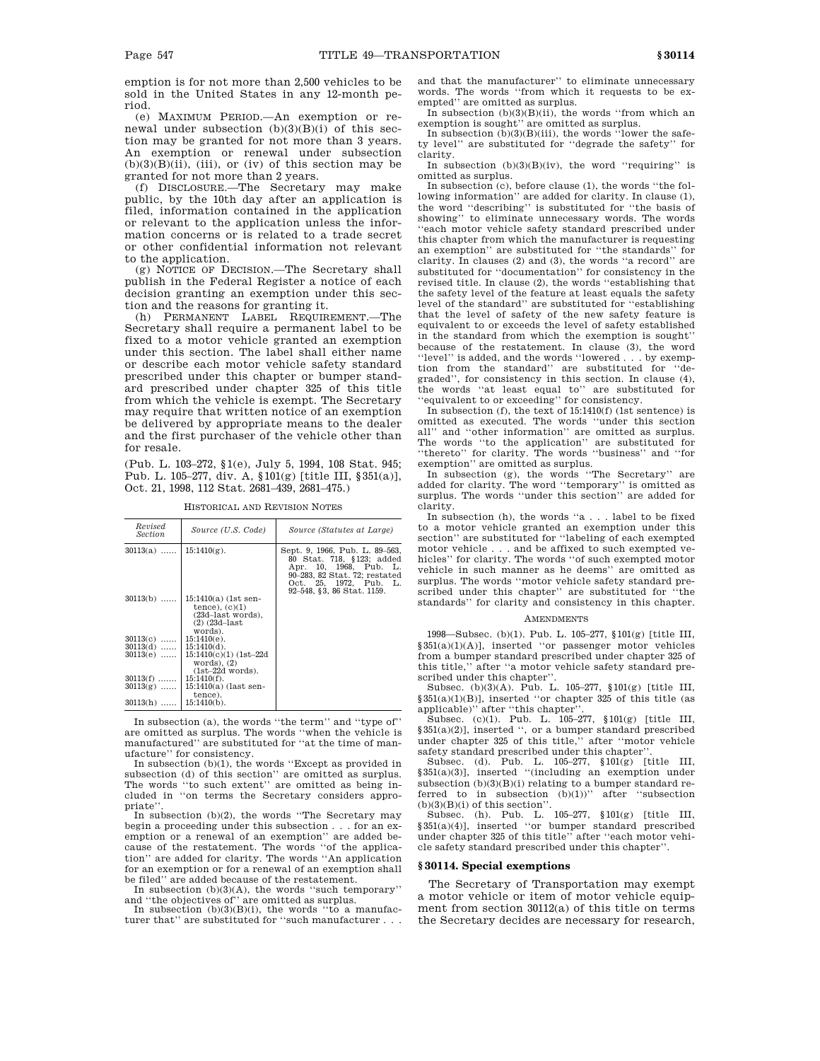emption is for not more than 2,500 vehicles to be sold in the United States in any 12-month period.

(e) MAXIMUM PERIOD.—An exemption or renewal under subsection  $(b)(3)(B)(i)$  of this section may be granted for not more than 3 years. An exemption or renewal under subsection  $(b)(3)(B)(ii)$ , (iii), or (iv) of this section may be granted for not more than 2 years.

(f) DISCLOSURE.—The Secretary may make public, by the 10th day after an application is filed, information contained in the application or relevant to the application unless the information concerns or is related to a trade secret or other confidential information not relevant to the application.

(g) NOTICE OF DECISION.—The Secretary shall publish in the Federal Register a notice of each decision granting an exemption under this section and the reasons for granting it.

(h) PERMANENT LABEL REQUIREMENT.—The Secretary shall require a permanent label to be fixed to a motor vehicle granted an exemption under this section. The label shall either name or describe each motor vehicle safety standard prescribed under this chapter or bumper standard prescribed under chapter 325 of this title from which the vehicle is exempt. The Secretary may require that written notice of an exemption be delivered by appropriate means to the dealer and the first purchaser of the vehicle other than for resale.

(Pub. L. 103–272, §1(e), July 5, 1994, 108 Stat. 945; Pub. L. 105–277, div. A, §101(g) [title III, §351(a)], Oct. 21, 1998, 112 Stat. 2681–439, 2681–475.)

| Revised<br>Section | Source (U.S. Code)                                                                                 | Source (Statutes at Large)                                                                                                                                                     |  |
|--------------------|----------------------------------------------------------------------------------------------------|--------------------------------------------------------------------------------------------------------------------------------------------------------------------------------|--|
| $30113(a)$         | $15:1410(g)$ .                                                                                     | Sept. 9, 1966, Pub. L. 89–563,<br>80 Stat. 718, §123; added<br>Apr. 10, 1968, Pub. L.<br>90-283, 82 Stat. 72; restated<br>Oct. 25, 1972, Pub. L.<br>92-548, §3, 86 Stat. 1159. |  |
| $30113(b)$         | $15:1410(a)$ (1st sen-<br>tence), $(c)(1)$<br>(23d-last words),<br>$(2)$ $(23d - last)$<br>words). |                                                                                                                                                                                |  |
| $30113(c)$         | $15:1410(e)$ .                                                                                     |                                                                                                                                                                                |  |
| $30113(d)$         | $15:1410(d)$ .                                                                                     |                                                                                                                                                                                |  |
| $30113(e)$         | 15:1410(c)(1)(1st-22d<br>words), $(2)$<br>$(1st-22d$ words).                                       |                                                                                                                                                                                |  |
| $30113(f)$         | $15:1410(f)$ .                                                                                     |                                                                                                                                                                                |  |
| $30113(g)$         | 15:1410(a) (last sen-<br>tence).                                                                   |                                                                                                                                                                                |  |
| $30113(h)$         | $15:1410(b)$ .                                                                                     |                                                                                                                                                                                |  |

HISTORICAL AND REVISION NOTES

In subsection (a), the words "the term" and "type of" are omitted as surplus. The words ''when the vehicle is manufactured'' are substituted for ''at the time of manufacture'' for consistency.

In subsection (b)(1), the words ''Except as provided in subsection (d) of this section'' are omitted as surplus. The words ''to such extent'' are omitted as being included in ''on terms the Secretary considers appropriate'

In subsection (b)(2), the words ''The Secretary may begin a proceeding under this subsection . . . for an exemption or a renewal of an exemption'' are added because of the restatement. The words ''of the application'' are added for clarity. The words ''An application for an exemption or for a renewal of an exemption shall

be filed'' are added because of the restatement. In subsection (b)(3)(A), the words ''such temporary'' and ''the objectives of'' are omitted as surplus.

In subsection  $(b)(3)(B)(i)$ , the words "to a manufacturer that'' are substituted for ''such manufacturer . . . and that the manufacturer'' to eliminate unnecessary words. The words ''from which it requests to be exempted'' are omitted as surplus.

In subsection  $(b)(3)(B)(ii)$ , the words "from which an exemption is sought'' are omitted as surplus. In subsection (b)(3)(B)(iii), the words ''lower the safe-

ty level'' are substituted for ''degrade the safety'' for clarity.

In subsection  $(b)(3)(B)(iv)$ , the word "requiring" is omitted as surplus.

In subsection (c), before clause (1), the words ''the following information'' are added for clarity. In clause (1), the word ''describing'' is substituted for ''the basis of showing'' to eliminate unnecessary words. The words ''each motor vehicle safety standard prescribed under this chapter from which the manufacturer is requesting an exemption'' are substituted for ''the standards'' for clarity. In clauses (2) and (3), the words ''a record'' are substituted for ''documentation'' for consistency in the revised title. In clause (2), the words ''establishing that the safety level of the feature at least equals the safety level of the standard'' are substituted for ''establishing that the level of safety of the new safety feature is equivalent to or exceeds the level of safety established in the standard from which the exemption is sought'' because of the restatement. In clause (3), the word ''level'' is added, and the words ''lowered . . . by exemption from the standard'' are substituted for ''degraded'', for consistency in this section. In clause (4), the words ''at least equal to'' are substituted for 'equivalent to or exceeding'' for consistency.

In subsection (f), the text of 15:1410(f) (1st sentence) is omitted as executed. The words ''under this section all'' and ''other information'' are omitted as surplus. The words "to the application" are substituted for ''thereto'' for clarity. The words ''business'' and ''for exemption'' are omitted as surplus.

In subsection (g), the words ''The Secretary'' are added for clarity. The word ''temporary'' is omitted as surplus. The words ''under this section'' are added for clarity.

In subsection (h), the words ''a  $\ldots$  . label to be fixed to a motor vehicle granted an exemption under this section'' are substituted for ''labeling of each exempted motor vehicle . . . and be affixed to such exempted vehicles'' for clarity. The words ''of such exempted motor vehicle in such manner as he deems'' are omitted as surplus. The words ''motor vehicle safety standard prescribed under this chapter'' are substituted for ''the standards'' for clarity and consistency in this chapter.

# **AMENDMENTS**

1998—Subsec. (b)(1). Pub. L. 105–277, §101(g) [title III, §351(a)(1)(A)], inserted ''or passenger motor vehicles from a bumper standard prescribed under chapter 325 of this title,'' after ''a motor vehicle safety standard prescribed under this chapter''.

Subsec. (b)(3)(A). Pub. L. 105–277, §101(g) [title III, §351(a)(1)(B)], inserted ''or chapter 325 of this title (as applicable)'' after ''this chapter''.

Subsec.  $(c)(1)$ . Pub. L. 105–277, §101 $(g)$  [title III, §351(a)(2)], inserted '', or a bumper standard prescribed under chapter 325 of this title,'' after ''motor vehicle safety standard prescribed under this chapter''.

Subsec. (d). Pub. L. 105–277, §101(g) [title III, §351(a)(3)], inserted ''(including an exemption under subsection  $(b)(3)(B)(i)$  relating to a bumper standard referred to in subsection  $(b)(1))$ " after "subsection  $(b)(3)(B)(i)$  of this section".

Subsec. (h). Pub. L. 105–277, §101(g) [title III, §351(a)(4)], inserted ''or bumper standard prescribed under chapter 325 of this title'' after ''each motor vehicle safety standard prescribed under this chapter''.

### **§ 30114. Special exemptions**

The Secretary of Transportation may exempt a motor vehicle or item of motor vehicle equipment from section 30112(a) of this title on terms the Secretary decides are necessary for research,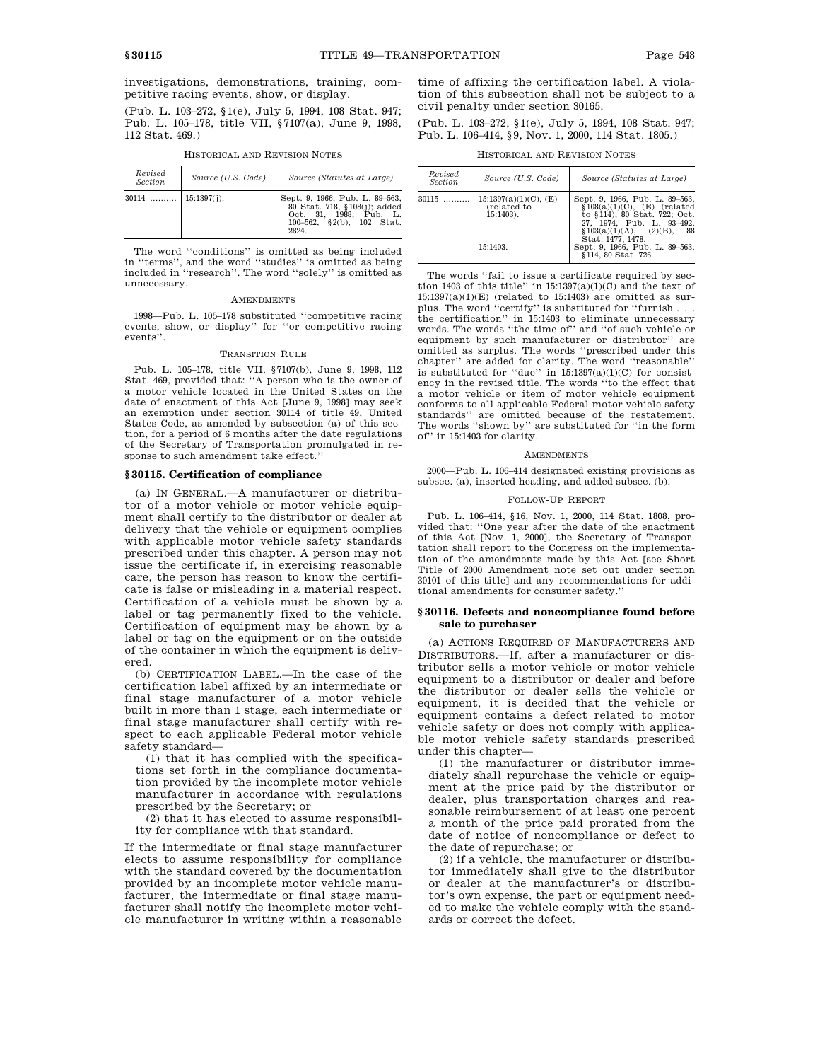investigations, demonstrations, training, competitive racing events, show, or display.

(Pub. L. 103–272, §1(e), July 5, 1994, 108 Stat. 947; Pub. L. 105–178, title VII, §7107(a), June 9, 1998, 112 Stat. 469.)

| Revised<br>Section    | Source (U.S. Code) | Source (Statutes at Large)                                                                                                    |
|-----------------------|--------------------|-------------------------------------------------------------------------------------------------------------------------------|
| $30114$   15:1397(j). |                    | Sept. 9, 1966, Pub. L. 89-563,<br>80 Stat. 718, §108(j); added<br>Oct. 31. 1988. Pub. L.<br>100-562, §2(b), 102 Stat.<br>2824 |

HISTORICAL AND REVISION NOTES

The word ''conditions'' is omitted as being included in ''terms'', and the word ''studies'' is omitted as being included in ''research''. The word ''solely'' is omitted as unnecessary.

#### **AMENDMENTS**

1998—Pub. L. 105–178 substituted ''competitive racing events, show, or display'' for ''or competitive racing events'

# TRANSITION RULE

Pub. L. 105–178, title VII, §7107(b), June 9, 1998, 112 Stat. 469, provided that: ''A person who is the owner of a motor vehicle located in the United States on the date of enactment of this Act [June 9, 1998] may seek an exemption under section 30114 of title 49, United States Code, as amended by subsection (a) of this section, for a period of 6 months after the date regulations of the Secretary of Transportation promulgated in response to such amendment take effect.''

# **§ 30115. Certification of compliance**

(a) IN GENERAL.—A manufacturer or distributor of a motor vehicle or motor vehicle equipment shall certify to the distributor or dealer at delivery that the vehicle or equipment complies with applicable motor vehicle safety standards prescribed under this chapter. A person may not issue the certificate if, in exercising reasonable care, the person has reason to know the certificate is false or misleading in a material respect. Certification of a vehicle must be shown by a label or tag permanently fixed to the vehicle. Certification of equipment may be shown by a label or tag on the equipment or on the outside of the container in which the equipment is delivered.

(b) CERTIFICATION LABEL.—In the case of the certification label affixed by an intermediate or final stage manufacturer of a motor vehicle built in more than 1 stage, each intermediate or final stage manufacturer shall certify with respect to each applicable Federal motor vehicle safety standard—

(1) that it has complied with the specifications set forth in the compliance documentation provided by the incomplete motor vehicle manufacturer in accordance with regulations prescribed by the Secretary; or

(2) that it has elected to assume responsibility for compliance with that standard.

If the intermediate or final stage manufacturer elects to assume responsibility for compliance with the standard covered by the documentation provided by an incomplete motor vehicle manufacturer, the intermediate or final stage manufacturer shall notify the incomplete motor vehicle manufacturer in writing within a reasonable time of affixing the certification label. A violation of this subsection shall not be subject to a civil penalty under section 30165.

(Pub. L. 103–272, §1(e), July 5, 1994, 108 Stat. 947; Pub. L. 106–414, §9, Nov. 1, 2000, 114 Stat. 1805.)

HISTORICAL AND REVISION NOTES

| Revised<br>Source (U.S. Code)<br>Source (Statutes at Large)<br>Section                                        |       |                          |                                                                                                                                                                        |
|---------------------------------------------------------------------------------------------------------------|-------|--------------------------|------------------------------------------------------------------------------------------------------------------------------------------------------------------------|
|                                                                                                               |       |                          |                                                                                                                                                                        |
| (related to<br>$15:1403$ .<br>\$103(a)(1)(A), (2)(B),<br>Stat. 1477. 1478.<br>15:1403.<br>§114, 80 Stat. 726. | 30115 | $15:1397(a)(1)(C)$ , (E) | Sept. 9, 1966, Pub. L. 89-563,<br>$$108(a)(1)(C)$ , (E) (related<br>to §114), 80 Stat, 722; Oct.<br>27, 1974, Pub. L. 93-492,<br>-88<br>Sept. 9, 1966, Pub. L. 89-563, |

The words ''fail to issue a certificate required by section 1403 of this title" in  $15:1397(a)(1)(C)$  and the text of  $15:1397(a)(1)(E)$  (related to 15:1403) are omitted as surplus. The word ''certify'' is substituted for ''furnish . . . the certification'' in 15:1403 to eliminate unnecessary words. The words ''the time of'' and ''of such vehicle or equipment by such manufacturer or distributor'' are omitted as surplus. The words ''prescribed under this chapter'' are added for clarity. The word ''reasonable'' is substituted for "due" in  $15:1397(a)(1)(C)$  for consistency in the revised title. The words ''to the effect that a motor vehicle or item of motor vehicle equipment conforms to all applicable Federal motor vehicle safety standards'' are omitted because of the restatement. The words ''shown by'' are substituted for ''in the form of'' in 15:1403 for clarity.

### **AMENDMENTS**

2000—Pub. L. 106–414 designated existing provisions as subsec. (a), inserted heading, and added subsec. (b).

# FOLLOW-UP REPORT

Pub. L. 106–414, §16, Nov. 1, 2000, 114 Stat. 1808, provided that: ''One year after the date of the enactment of this Act [Nov. 1, 2000], the Secretary of Transportation shall report to the Congress on the implementation of the amendments made by this Act [see Short Title of 2000 Amendment note set out under section 30101 of this title] and any recommendations for additional amendments for consumer safety.''

# **§ 30116. Defects and noncompliance found before sale to purchaser**

(a) ACTIONS REQUIRED OF MANUFACTURERS AND DISTRIBUTORS.—If, after a manufacturer or distributor sells a motor vehicle or motor vehicle equipment to a distributor or dealer and before the distributor or dealer sells the vehicle or equipment, it is decided that the vehicle or equipment contains a defect related to motor vehicle safety or does not comply with applicable motor vehicle safety standards prescribed under this chapter—

(1) the manufacturer or distributor immediately shall repurchase the vehicle or equipment at the price paid by the distributor or dealer, plus transportation charges and reasonable reimbursement of at least one percent a month of the price paid prorated from the date of notice of noncompliance or defect to the date of repurchase; or

(2) if a vehicle, the manufacturer or distributor immediately shall give to the distributor or dealer at the manufacturer's or distributor's own expense, the part or equipment needed to make the vehicle comply with the standards or correct the defect.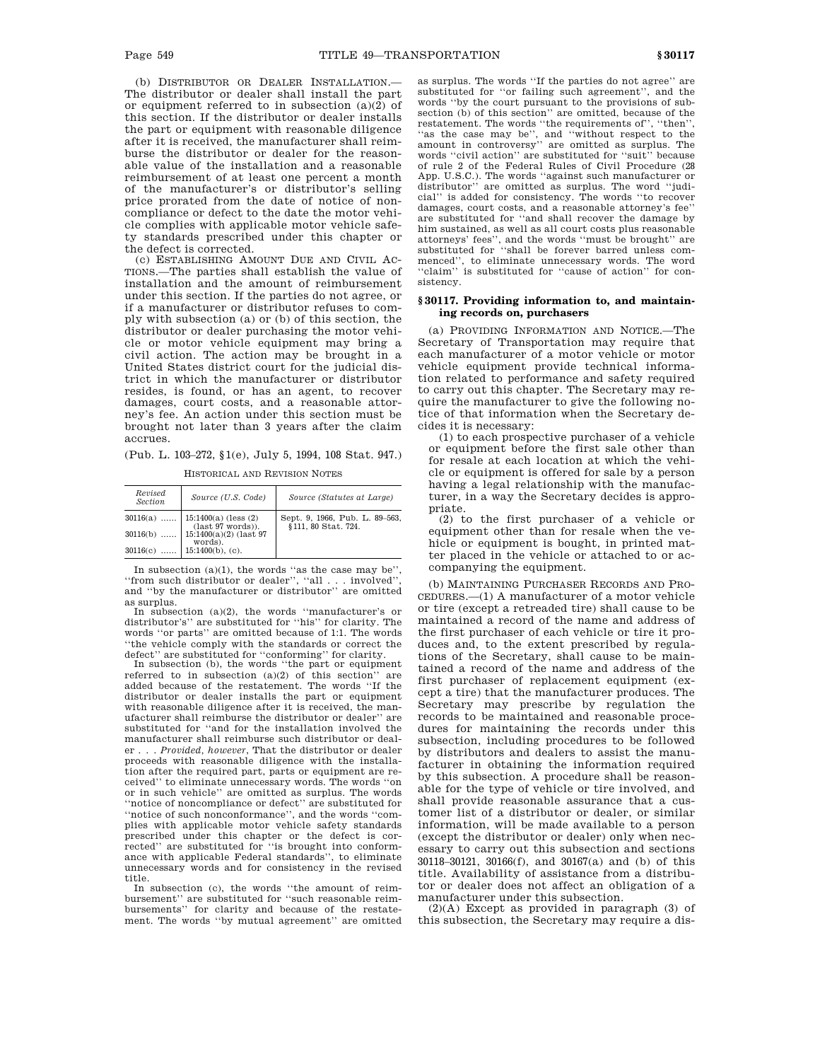(b) DISTRIBUTOR OR DEALER INSTALLATION.— The distributor or dealer shall install the part or equipment referred to in subsection (a)(2) of this section. If the distributor or dealer installs the part or equipment with reasonable diligence after it is received, the manufacturer shall reimburse the distributor or dealer for the reasonable value of the installation and a reasonable reimbursement of at least one percent a month of the manufacturer's or distributor's selling price prorated from the date of notice of noncompliance or defect to the date the motor vehicle complies with applicable motor vehicle safety standards prescribed under this chapter or the defect is corrected.

(c) ESTABLISHING AMOUNT DUE AND CIVIL AC-TIONS.—The parties shall establish the value of installation and the amount of reimbursement under this section. If the parties do not agree, or if a manufacturer or distributor refuses to comply with subsection (a) or (b) of this section, the distributor or dealer purchasing the motor vehicle or motor vehicle equipment may bring a civil action. The action may be brought in a United States district court for the judicial district in which the manufacturer or distributor resides, is found, or has an agent, to recover damages, court costs, and a reasonable attorney's fee. An action under this section must be brought not later than 3 years after the claim accrues.

(Pub. L. 103–272, §1(e), July 5, 1994, 108 Stat. 947.)

| Revised<br>Section | Source (U.S. Code)                                  | Source (Statutes at Large)                            |
|--------------------|-----------------------------------------------------|-------------------------------------------------------|
|                    | $30116(a)$   15:1400(a) (less (2)                   | Sept. 9, 1966, Pub. L. 89-563,<br>§111, 80 Stat, 724. |
|                    | $30116(b) \dots 1511400(a)(2) (last 97)$<br>words). |                                                       |
|                    | 30116(c)  15:1400(b), (c).                          |                                                       |

HISTORICAL AND REVISION NOTES

In subsection  $(a)(1)$ , the words "as the case may be", ''from such distributor or dealer'', ''all . . . involved'', and ''by the manufacturer or distributor'' are omitted as surplus.

In subsection (a)(2), the words ''manufacturer's or distributor's'' are substituted for ''his'' for clarity. The words ''or parts'' are omitted because of 1:1. The words ''the vehicle comply with the standards or correct the defect'' are substituted for ''conforming'' for clarity.

In subsection (b), the words ''the part or equipment referred to in subsection (a)(2) of this section'' are added because of the restatement. The words ''If the distributor or dealer installs the part or equipment with reasonable diligence after it is received, the manufacturer shall reimburse the distributor or dealer'' are substituted for ''and for the installation involved the manufacturer shall reimburse such distributor or dealer . . . *Provided, however*, That the distributor or dealer proceeds with reasonable diligence with the installation after the required part, parts or equipment are received'' to eliminate unnecessary words. The words ''on or in such vehicle'' are omitted as surplus. The words ''notice of noncompliance or defect'' are substituted for ''notice of such nonconformance'', and the words ''complies with applicable motor vehicle safety standards prescribed under this chapter or the defect is corrected'' are substituted for "is brought into conformance with applicable Federal standards'', to eliminate unnecessary words and for consistency in the revised title.

In subsection (c), the words ''the amount of reimbursement'' are substituted for ''such reasonable reimbursements'' for clarity and because of the restatement. The words ''by mutual agreement'' are omitted as surplus. The words ''If the parties do not agree'' are substituted for ''or failing such agreement'', and the words ''by the court pursuant to the provisions of subsection (b) of this section'' are omitted, because of the restatement. The words ''the requirements of'', ''then'', ''as the case may be'', and ''without respect to the amount in controversy'' are omitted as surplus. The words ''civil action'' are substituted for ''suit'' because of rule 2 of the Federal Rules of Civil Procedure (28 App. U.S.C.). The words ''against such manufacturer or distributor'' are omitted as surplus. The word ''judicial'' is added for consistency. The words ''to recover damages, court costs, and a reasonable attorney's fee'' are substituted for ''and shall recover the damage by him sustained, as well as all court costs plus reasonable attorneys' fees'', and the words ''must be brought'' are substituted for ''shall be forever barred unless commenced'', to eliminate unnecessary words. The word "claim" is substituted for "cause of action" for consistency.

# **§ 30117. Providing information to, and maintaining records on, purchasers**

(a) PROVIDING INFORMATION AND NOTICE.—The Secretary of Transportation may require that each manufacturer of a motor vehicle or motor vehicle equipment provide technical information related to performance and safety required to carry out this chapter. The Secretary may require the manufacturer to give the following notice of that information when the Secretary decides it is necessary:

(1) to each prospective purchaser of a vehicle or equipment before the first sale other than for resale at each location at which the vehicle or equipment is offered for sale by a person having a legal relationship with the manufacturer, in a way the Secretary decides is appropriate.

(2) to the first purchaser of a vehicle or equipment other than for resale when the vehicle or equipment is bought, in printed matter placed in the vehicle or attached to or accompanying the equipment.

(b) MAINTAINING PURCHASER RECORDS AND PRO-CEDURES.—(1) A manufacturer of a motor vehicle or tire (except a retreaded tire) shall cause to be maintained a record of the name and address of the first purchaser of each vehicle or tire it produces and, to the extent prescribed by regulations of the Secretary, shall cause to be maintained a record of the name and address of the first purchaser of replacement equipment (except a tire) that the manufacturer produces. The Secretary may prescribe by regulation the records to be maintained and reasonable procedures for maintaining the records under this subsection, including procedures to be followed by distributors and dealers to assist the manufacturer in obtaining the information required by this subsection. A procedure shall be reasonable for the type of vehicle or tire involved, and shall provide reasonable assurance that a customer list of a distributor or dealer, or similar information, will be made available to a person (except the distributor or dealer) only when necessary to carry out this subsection and sections 30118–30121, 30166(f), and 30167(a) and (b) of this title. Availability of assistance from a distributor or dealer does not affect an obligation of a manufacturer under this subsection.

(2)(A) Except as provided in paragraph (3) of this subsection, the Secretary may require a dis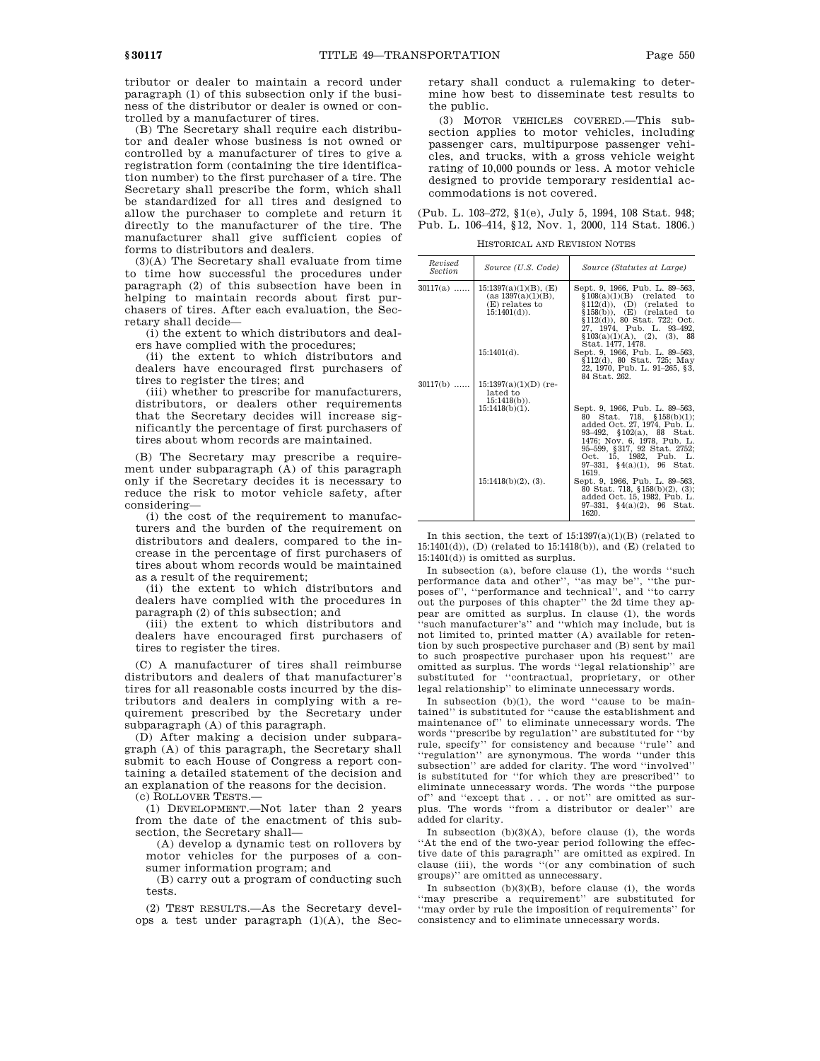tributor or dealer to maintain a record under paragraph (1) of this subsection only if the business of the distributor or dealer is owned or controlled by a manufacturer of tires.

(B) The Secretary shall require each distributor and dealer whose business is not owned or controlled by a manufacturer of tires to give a registration form (containing the tire identification number) to the first purchaser of a tire. The Secretary shall prescribe the form, which shall be standardized for all tires and designed to allow the purchaser to complete and return it directly to the manufacturer of the tire. The manufacturer shall give sufficient copies of forms to distributors and dealers.

(3)(A) The Secretary shall evaluate from time to time how successful the procedures under paragraph (2) of this subsection have been in helping to maintain records about first purchasers of tires. After each evaluation, the Secretary shall decide—

(i) the extent to which distributors and dealers have complied with the procedures;

(ii) the extent to which distributors and dealers have encouraged first purchasers of tires to register the tires; and

(iii) whether to prescribe for manufacturers, distributors, or dealers other requirements that the Secretary decides will increase significantly the percentage of first purchasers of tires about whom records are maintained.

(B) The Secretary may prescribe a requirement under subparagraph (A) of this paragraph only if the Secretary decides it is necessary to reduce the risk to motor vehicle safety, after considering—

(i) the cost of the requirement to manufacturers and the burden of the requirement on distributors and dealers, compared to the increase in the percentage of first purchasers of tires about whom records would be maintained as a result of the requirement;

(ii) the extent to which distributors and dealers have complied with the procedures in paragraph (2) of this subsection; and

(iii) the extent to which distributors and dealers have encouraged first purchasers of tires to register the tires.

(C) A manufacturer of tires shall reimburse distributors and dealers of that manufacturer's tires for all reasonable costs incurred by the distributors and dealers in complying with a requirement prescribed by the Secretary under subparagraph (A) of this paragraph.

(D) After making a decision under subparagraph (A) of this paragraph, the Secretary shall submit to each House of Congress a report containing a detailed statement of the decision and an explanation of the reasons for the decision.

(c) ROLLOVER TESTS.—

(1) DEVELOPMENT.—Not later than 2 years from the date of the enactment of this subsection, the Secretary shall—

(A) develop a dynamic test on rollovers by motor vehicles for the purposes of a consumer information program; and

(B) carry out a program of conducting such tests.

(2) TEST RESULTS.—As the Secretary develops a test under paragraph (1)(A), the Secretary shall conduct a rulemaking to determine how best to disseminate test results to the public.

(3) MOTOR VEHICLES COVERED.—This subsection applies to motor vehicles, including passenger cars, multipurpose passenger vehicles, and trucks, with a gross vehicle weight rating of 10,000 pounds or less. A motor vehicle designed to provide temporary residential accommodations is not covered.

(Pub. L. 103–272, §1(e), July 5, 1994, 108 Stat. 948; Pub. L. 106–414, §12, Nov. 1, 2000, 114 Stat. 1806.)

HISTORICAL AND REVISION NOTES

| Revised<br><i>Section</i> | Source (U.S. Code)                                                                 | Source (Statutes at Large)                                                                                                                                                                                                                          |
|---------------------------|------------------------------------------------------------------------------------|-----------------------------------------------------------------------------------------------------------------------------------------------------------------------------------------------------------------------------------------------------|
| $30117(a)$                | $15:1397(a)(1)(B)$ , (E)<br>(as 1397(a)(1)(B),<br>(E) relates to<br>$15:1401(d)$ . | Sept. 9, 1966, Pub. L. 89–563,<br>$$108(a)(1)(B)$ (related to<br>$$112(d)$ , (D) (related<br>to<br>$$158(b)$ . (E) (related<br>to<br>§112(d)), 80 Stat. 722; Oct.<br>27, 1974, Pub. L. 93-492,<br>\$103(a)(1)(A), (2), (3), 88<br>Stat. 1477. 1478. |
|                           | $15:1401(d)$ .                                                                     | Sept. 9, 1966, Pub. L. 89-563,<br>§112(d), 80 Stat. 725; May<br>22, 1970, Pub. L. 91-265, §3,<br>84 Stat. 262.                                                                                                                                      |
| $30117(b)$                | $15:1397(a)(1)(D)$ (re-<br>lated to<br>$15:1418(b)$ ).<br>$15:1418(b)(1)$ .        | Sept. 9, 1966, Pub. L. 89-563,<br>Stat. 718, $$158(b)(1)$ ;<br>80                                                                                                                                                                                   |
|                           |                                                                                    | added Oct. 27, 1974, Pub. L.<br>93-492, §102(a), 88 Stat.<br>1476; Nov. 6, 1978, Pub. L.<br>95-599, §317, 92 Stat. 2752;<br>Oct. 15, 1982, Pub. L.<br>$97-331$ , $94(a)(1)$ , $96$ Stat.<br>1619.                                                   |
|                           | $15:1418(b)(2)$ , (3).                                                             | Sept. 9, 1966, Pub. L. 89-563,<br>80 Stat. 718, $$158(b)(2), (3);$<br>added Oct. 15, 1982, Pub. L.<br>$97-331$ , $94(a)(2)$ , $96$ Stat.<br>1620.                                                                                                   |

In this section, the text of  $15:1397(a)(1)(B)$  (related to 15:1401(d)), (D) (related to 15:1418(b)), and (E) (related to 15:1401(d)) is omitted as surplus.

In subsection (a), before clause (1), the words ''such performance data and other'', ''as may be'', ''the purposes of'', ''performance and technical'', and ''to carry out the purposes of this chapter'' the 2d time they appear are omitted as surplus. In clause (1), the words ''such manufacturer's'' and ''which may include, but is not limited to, printed matter (A) available for retention by such prospective purchaser and (B) sent by mail to such prospective purchaser upon his request'' are omitted as surplus. The words ''legal relationship'' are substituted for ''contractual, proprietary, or other legal relationship'' to eliminate unnecessary words.

In subsection (b)(1), the word ''cause to be maintained'' is substituted for ''cause the establishment and maintenance of'' to eliminate unnecessary words. The words ''prescribe by regulation'' are substituted for ''by rule, specify'' for consistency and because ''rule'' and ''regulation'' are synonymous. The words ''under this subsection'' are added for clarity. The word ''involved'' is substituted for ''for which they are prescribed'' to eliminate unnecessary words. The words ''the purpose of'' and ''except that . . . or not'' are omitted as surplus. The words ''from a distributor or dealer'' are added for clarity.

In subsection  $(b)(3)(A)$ , before clause (i), the words ''At the end of the two-year period following the effective date of this paragraph'' are omitted as expired. In clause (iii), the words ''(or any combination of such groups)'' are omitted as unnecessary.

In subsection  $(b)(3)(B)$ , before clause (i), the words ''may prescribe a requirement'' are substituted for ''may order by rule the imposition of requirements'' for consistency and to eliminate unnecessary words.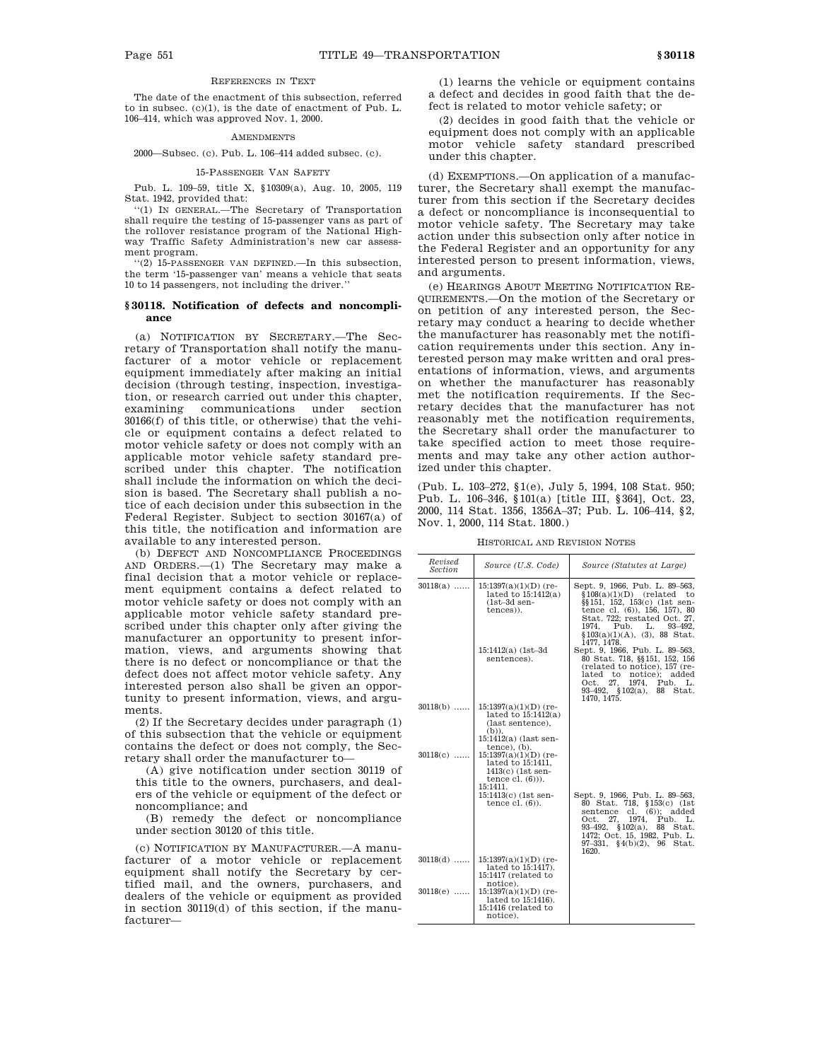### REFERENCES IN TEXT

The date of the enactment of this subsection, referred to in subsec. (c)(1), is the date of enactment of Pub. L. 106–414, which was approved Nov. 1, 2000.

#### **AMENDMENTS**

2000—Subsec. (c). Pub. L. 106–414 added subsec. (c).

# 15-PASSENGER VAN SAFETY

Pub. L. 109–59, title X, §10309(a), Aug. 10, 2005, 119 Stat. 1942, provided that:

''(1) IN GENERAL.—The Secretary of Transportation shall require the testing of 15-passenger vans as part of the rollover resistance program of the National Highway Traffic Safety Administration's new car assessment program.

''(2) 15-PASSENGER VAN DEFINED.—In this subsection, the term '15-passenger van' means a vehicle that seats 10 to 14 passengers, not including the driver.''

# **§ 30118. Notification of defects and noncompliance**

(a) NOTIFICATION BY SECRETARY.—The Secretary of Transportation shall notify the manufacturer of a motor vehicle or replacement equipment immediately after making an initial decision (through testing, inspection, investigation, or research carried out under this chapter, examining communications under section 30166(f) of this title, or otherwise) that the vehicle or equipment contains a defect related to motor vehicle safety or does not comply with an applicable motor vehicle safety standard prescribed under this chapter. The notification shall include the information on which the decision is based. The Secretary shall publish a notice of each decision under this subsection in the Federal Register. Subject to section 30167(a) of this title, the notification and information are available to any interested person.

(b) DEFECT AND NONCOMPLIANCE PROCEEDINGS AND ORDERS.—(1) The Secretary may make a final decision that a motor vehicle or replacement equipment contains a defect related to motor vehicle safety or does not comply with an applicable motor vehicle safety standard prescribed under this chapter only after giving the manufacturer an opportunity to present information, views, and arguments showing that there is no defect or noncompliance or that the defect does not affect motor vehicle safety. Any interested person also shall be given an opportunity to present information, views, and arguments.

(2) If the Secretary decides under paragraph (1) of this subsection that the vehicle or equipment contains the defect or does not comply, the Secretary shall order the manufacturer to—

(A) give notification under section 30119 of this title to the owners, purchasers, and dealers of the vehicle or equipment of the defect or noncompliance; and

(B) remedy the defect or noncompliance under section 30120 of this title.

(c) NOTIFICATION BY MANUFACTURER.—A manufacturer of a motor vehicle or replacement equipment shall notify the Secretary by certified mail, and the owners, purchasers, and dealers of the vehicle or equipment as provided in section 30119(d) of this section, if the manufacturer—

(1) learns the vehicle or equipment contains a defect and decides in good faith that the defect is related to motor vehicle safety; or

(2) decides in good faith that the vehicle or equipment does not comply with an applicable motor vehicle safety standard prescribed under this chapter.

(d) EXEMPTIONS.—On application of a manufacturer, the Secretary shall exempt the manufacturer from this section if the Secretary decides a defect or noncompliance is inconsequential to motor vehicle safety. The Secretary may take action under this subsection only after notice in the Federal Register and an opportunity for any interested person to present information, views, and arguments.

(e) HEARINGS ABOUT MEETING NOTIFICATION RE-QUIREMENTS.—On the motion of the Secretary or on petition of any interested person, the Secretary may conduct a hearing to decide whether the manufacturer has reasonably met the notification requirements under this section. Any interested person may make written and oral presentations of information, views, and arguments on whether the manufacturer has reasonably met the notification requirements. If the Secretary decides that the manufacturer has not reasonably met the notification requirements, the Secretary shall order the manufacturer to take specified action to meet those requirements and may take any other action authorized under this chapter.

(Pub. L. 103–272, §1(e), July 5, 1994, 108 Stat. 950; Pub. L. 106–346, §101(a) [title III, §364], Oct. 23, 2000, 114 Stat. 1356, 1356A–37; Pub. L. 106–414, §2, Nov. 1, 2000, 114 Stat. 1800.)

HISTORICAL AND REVISION NOTES

| Revised<br><b>Section</b> | Source (U.S. Code)                                                                                                    | Source (Statutes at Large)                                                                                                                                                                                                               |
|---------------------------|-----------------------------------------------------------------------------------------------------------------------|------------------------------------------------------------------------------------------------------------------------------------------------------------------------------------------------------------------------------------------|
| $30118(a)$                | $15:1397(a)(1)(D)$ (re-<br>lated to $15:1412(a)$<br>$(1st-3d sen-$<br>tences)).                                       | Sept. 9, 1966, Pub. L. 89-563,<br>$$108(a)(1)(D)$ (related to<br>§§151, 152, 153(c) (1st sen-<br>tence cl. (6)), 156, 157), 80<br>Stat. 722; restated Oct. 27,<br>1974. Pub. L. 93-492.<br>$$103(a)(1)(A), (3), 88$ Stat.<br>1477, 1478. |
|                           | 15:1412(a) (1st-3d<br>sentences).                                                                                     | Sept. 9, 1966, Pub. L. 89-563,<br>80 Stat. 718, §§151, 152, 156<br>(related to notice), 157 (re-<br>lated to notice); added<br>27. 1974. Pub.<br>Oct.<br>L.<br>93-492, §102(a), 88 Stat.<br>1470, 1475.                                  |
| $30118(b)$                | $15:1397(a)(1)(D)$ (re-<br>lated to $15:1412(a)$<br>(last sentence),<br>$(b)$ ).<br>15:1412(a) (last sen-             |                                                                                                                                                                                                                                          |
| $30118(c)$                | tence), (b).<br>$15:1397(a)(1)(D)$ (re-<br>lated to 15:1411.<br>$1413(c)$ (1st sen-<br>tence $cl. (6)$ ).<br>15:1411. |                                                                                                                                                                                                                                          |
|                           | 15:1413(c) (1st sen-<br>tence $cl. (6)$ ).                                                                            | Sept. 9, 1966, Pub. L. 89-563,<br>80 Stat. 718, §153(c) (1st<br>sentence cl. (6)); added<br>27, 1974, Pub. L.<br>Oct.<br>93-492, §102(a), 88 Stat.<br>1472; Oct. 15, 1982, Pub. L.<br>$97-331$ , $(4(b)(2)$ , $96$ Stat.<br>1620.        |
| $30118(d)$                | $15:1397(a)(1)(D)$ (re-<br>lated to 15:1417).<br>15:1417 (related to                                                  |                                                                                                                                                                                                                                          |
| $30118(e)$                | notice).<br>$15:1397(a)(1)(D)$ (re-<br>lated to 15:1416).<br>15:1416 (related to<br>notice).                          |                                                                                                                                                                                                                                          |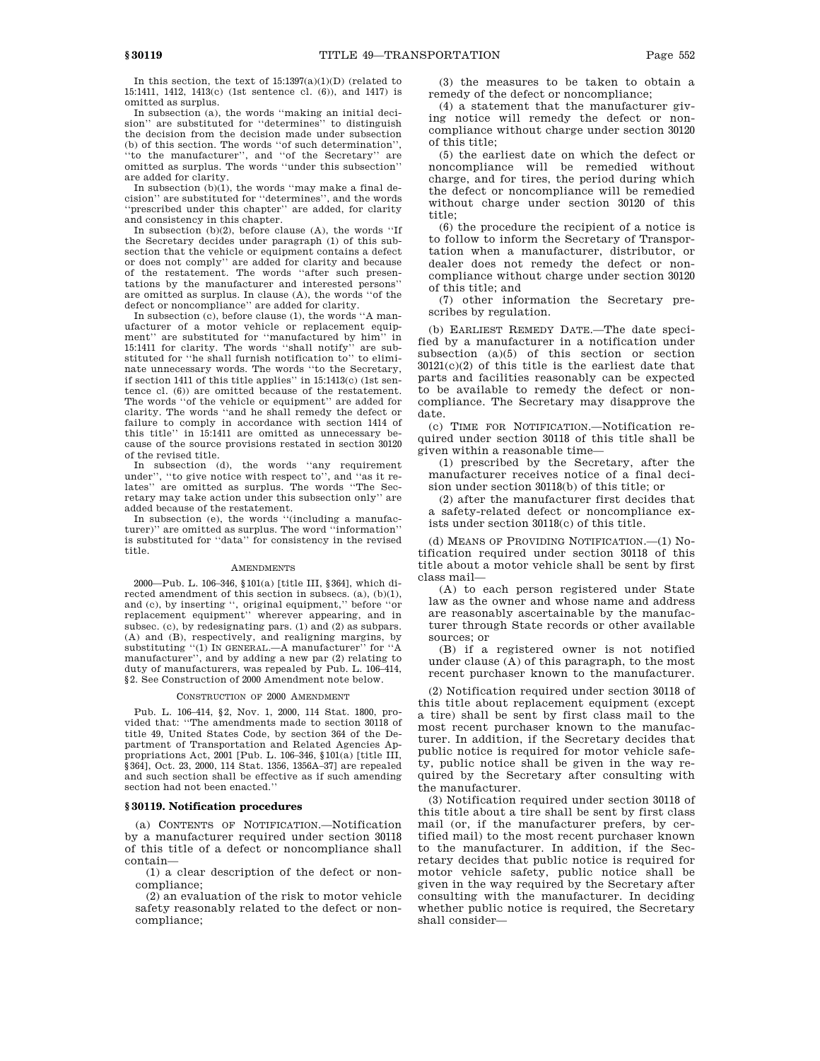In this section, the text of  $15:1397(a)(1)(D)$  (related to 15:1411, 1412, 1413(c) (1st sentence cl. (6)), and 1417) is omitted as surplus.

In subsection (a), the words ''making an initial decision'' are substituted for ''determines'' to distinguish the decision from the decision made under subsection (b) of this section. The words ''of such determination'', to the manufacturer", and "of the Secretary" are omitted as surplus. The words ''under this subsection'' are added for clarity.

In subsection  $(b)(1)$ , the words "may make a final decision'' are substituted for ''determines'', and the words 'prescribed under this chapter'' are added, for clarity and consistency in this chapter.

In subsection (b)(2), before clause (A), the words ''If the Secretary decides under paragraph (1) of this subsection that the vehicle or equipment contains a defect or does not comply'' are added for clarity and because of the restatement. The words ''after such presentations by the manufacturer and interested persons'' are omitted as surplus. In clause (A), the words ''of the defect or noncompliance'' are added for clarity.

In subsection (c), before clause (1), the words ''A manufacturer of a motor vehicle or replacement equipment'' are substituted for ''manufactured by him'' in 15:1411 for clarity. The words ''shall notify'' are substituted for ''he shall furnish notification to'' to eliminate unnecessary words. The words ''to the Secretary, if section 1411 of this title applies'' in 15:1413(c) (1st sentence cl. (6)) are omitted because of the restatement. The words ''of the vehicle or equipment'' are added for clarity. The words ''and he shall remedy the defect or failure to comply in accordance with section 1414 of this title'' in 15:1411 are omitted as unnecessary because of the source provisions restated in section 30120 of the revised title.

In subsection (d), the words ''any requirement under'', ''to give notice with respect to'', and ''as it relates'' are omitted as surplus. The words ''The Secretary may take action under this subsection only'' are added because of the restatement.

In subsection (e), the words ''(including a manufacturer)'' are omitted as surplus. The word ''information'' is substituted for ''data'' for consistency in the revised title.

#### AMENDMENTS

2000—Pub. L. 106–346, §101(a) [title III, §364], which directed amendment of this section in subsecs. (a), (b)(1), and (c), by inserting '', original equipment,'' before ''or replacement equipment'' wherever appearing, and in subsec. (c), by redesignating pars. (1) and (2) as subpars. (A) and (B), respectively, and realigning margins, by substituting "(1) IN GENERAL.—A manufacturer" for "A manufacturer'', and by adding a new par (2) relating to duty of manufacturers, was repealed by Pub. L. 106–414, §2. See Construction of 2000 Amendment note below.

#### CONSTRUCTION OF 2000 AMENDMENT

Pub. L. 106–414, §2, Nov. 1, 2000, 114 Stat. 1800, provided that: ''The amendments made to section 30118 of title 49, United States Code, by section 364 of the Department of Transportation and Related Agencies Appropriations Act, 2001 [Pub. L. 106–346, §101(a) [title III, §364], Oct. 23, 2000, 114 Stat. 1356, 1356A–37] are repealed and such section shall be effective as if such amending section had not been enacted.''

#### **§ 30119. Notification procedures**

(a) CONTENTS OF NOTIFICATION.—Notification by a manufacturer required under section 30118 of this title of a defect or noncompliance shall contain—

(1) a clear description of the defect or noncompliance;

(2) an evaluation of the risk to motor vehicle safety reasonably related to the defect or noncompliance;

(3) the measures to be taken to obtain a remedy of the defect or noncompliance;

(4) a statement that the manufacturer giving notice will remedy the defect or noncompliance without charge under section 30120 of this title;

(5) the earliest date on which the defect or noncompliance will be remedied without charge, and for tires, the period during which the defect or noncompliance will be remedied without charge under section 30120 of this title;

(6) the procedure the recipient of a notice is to follow to inform the Secretary of Transportation when a manufacturer, distributor, or dealer does not remedy the defect or noncompliance without charge under section 30120 of this title; and

(7) other information the Secretary prescribes by regulation.

(b) EARLIEST REMEDY DATE.—The date specified by a manufacturer in a notification under subsection (a)(5) of this section or section 30121(c)(2) of this title is the earliest date that parts and facilities reasonably can be expected to be available to remedy the defect or noncompliance. The Secretary may disapprove the date.

(c) TIME FOR NOTIFICATION.—Notification required under section 30118 of this title shall be given within a reasonable time—

(1) prescribed by the Secretary, after the manufacturer receives notice of a final decision under section 30118(b) of this title; or

(2) after the manufacturer first decides that a safety-related defect or noncompliance exists under section 30118(c) of this title.

(d) MEANS OF PROVIDING NOTIFICATION.—(1) Notification required under section 30118 of this title about a motor vehicle shall be sent by first class mail—

(A) to each person registered under State law as the owner and whose name and address are reasonably ascertainable by the manufacturer through State records or other available sources; or

(B) if a registered owner is not notified under clause (A) of this paragraph, to the most recent purchaser known to the manufacturer.

(2) Notification required under section 30118 of this title about replacement equipment (except a tire) shall be sent by first class mail to the most recent purchaser known to the manufacturer. In addition, if the Secretary decides that public notice is required for motor vehicle safety, public notice shall be given in the way required by the Secretary after consulting with the manufacturer.

(3) Notification required under section 30118 of this title about a tire shall be sent by first class mail (or, if the manufacturer prefers, by certified mail) to the most recent purchaser known to the manufacturer. In addition, if the Secretary decides that public notice is required for motor vehicle safety, public notice shall be given in the way required by the Secretary after consulting with the manufacturer. In deciding whether public notice is required, the Secretary shall consider—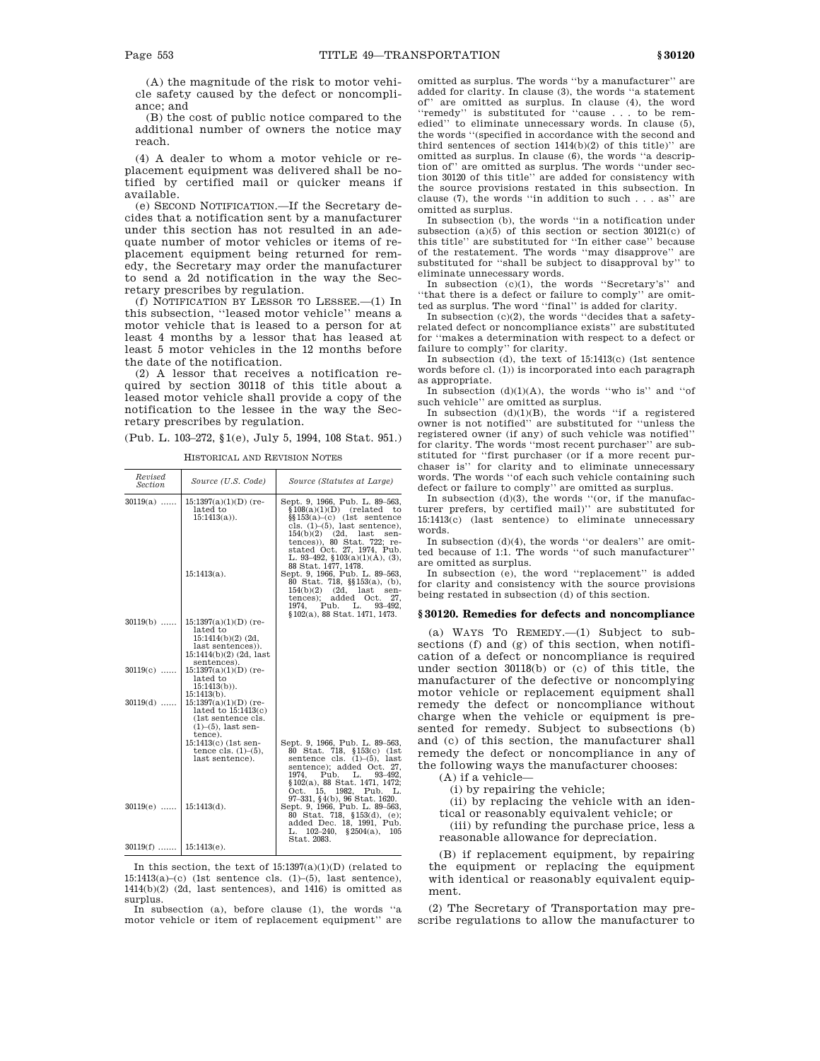(A) the magnitude of the risk to motor vehicle safety caused by the defect or noncompliance; and

(B) the cost of public notice compared to the additional number of owners the notice may reach.

(4) A dealer to whom a motor vehicle or replacement equipment was delivered shall be notified by certified mail or quicker means if available.

(e) SECOND NOTIFICATION.—If the Secretary decides that a notification sent by a manufacturer under this section has not resulted in an adequate number of motor vehicles or items of replacement equipment being returned for remedy, the Secretary may order the manufacturer to send a 2d notification in the way the Secretary prescribes by regulation.

(f) NOTIFICATION BY LESSOR TO LESSEE.—(1) In this subsection, ''leased motor vehicle'' means a motor vehicle that is leased to a person for at least 4 months by a lessor that has leased at least 5 motor vehicles in the 12 months before the date of the notification.

(2) A lessor that receives a notification required by section 30118 of this title about a leased motor vehicle shall provide a copy of the notification to the lessee in the way the Secretary prescribes by regulation.

(Pub. L. 103–272, §1(e), July 5, 1994, 108 Stat. 951.)

HISTORICAL AND REVISION NOTES

| Revised                  |                                                                                                                                |                                                                                                                                                                                                                                                                                       |
|--------------------------|--------------------------------------------------------------------------------------------------------------------------------|---------------------------------------------------------------------------------------------------------------------------------------------------------------------------------------------------------------------------------------------------------------------------------------|
| <b>Section</b>           | Source (U.S. Code)                                                                                                             | Source (Statutes at Large)                                                                                                                                                                                                                                                            |
| $30119(a)$               | $15:1397(a)(1)(D)$ (re-<br>lated to<br>$15:1413(a)$ .                                                                          | Sept. 9, 1966, Pub. L. 89-563,<br>$$108(a)(1)(D)$ (related<br>to<br>$\S$ [153(a)–(c) (1st sentence<br>cls. $(1)$ – $(5)$ , last sentence),<br>$154(b)(2)$ $(2d, 1ast)$<br>sen-<br>tences)), 80 Stat. 722; re-                                                                         |
|                          | $15:1413(a)$ .                                                                                                                 | stated Oct. 27, 1974, Pub.<br>L. 93-492, §103(a)(1)(A), (3),<br>88 Stat. 1477, 1478.<br>Sept. 9, 1966, Pub. L. 89-563,<br>80 Stat. 718, §§153(a), (b),<br>$154(b)(2)$ (2d, last<br>sen-<br>tences); added Oct.<br>27.<br>Pub. L.<br>1974.<br>93-492.<br>§102(a), 88 Stat. 1471, 1473. |
| $30119(b)$               | $15:1397(a)(1)(D)$ (re-<br>lated to<br>$15:1414(b)(2)$ (2d,<br>last sentences)).<br>$15:1414(b)(2)$ (2d, last<br>sentences).   |                                                                                                                                                                                                                                                                                       |
| $30119(c)$               | $15:1397(a)(1)(D)$ (re-<br>lated to<br>$15:1413(b)$ .                                                                          |                                                                                                                                                                                                                                                                                       |
| $30119(d)$               | $15:1413(b)$ .<br>$15:1397(a)(1)(D)$ (re-<br>lated to 15:1413(c)<br>(1st sentence cls.<br>$(1)$ – $(5)$ , last sen-<br>tence). |                                                                                                                                                                                                                                                                                       |
|                          | 15:1413(c) (1st sen-<br>tence cls. $(1)$ – $(5)$ ,<br>last sentence).                                                          | Sept. 9, 1966, Pub. L. 89-563,<br>80 Stat. 718, §153(c) (1st<br>sentence cls. $(1)$ – $(5)$ , last<br>sentence); added Oct. 27,<br>1974.<br>Pub.<br>$L.$ 93-492.                                                                                                                      |
| $30119(e)$               | $15:1413(d)$ .                                                                                                                 | §102(a), 88 Stat. 1471, 1472;<br>Oct. 15.<br>1982, Pub.<br>L.<br>97-331, §4(b), 96 Stat. 1620.<br>Sept. 9, 1966, Pub. L. 89-563,<br>80 Stat. 718, §153(d), (e);<br>added Dec. 18, 1991, Pub.<br>$102 - 240.$<br>§2504(a),<br>105<br>L.<br>Stat. 2083.                                 |
| $30119(f)$   15:1413(e). |                                                                                                                                |                                                                                                                                                                                                                                                                                       |

In this section, the text of  $15:1397(a)(1)(D)$  (related to  $15:1413(a)$ –(c) (1st sentence cls.  $(1)$ – $(5)$ , last sentence), 1414(b)(2) (2d, last sentences), and 1416) is omitted as surplus.

In subsection (a), before clause (1), the words ''a motor vehicle or item of replacement equipment'' are

omitted as surplus. The words ''by a manufacturer'' are added for clarity. In clause (3), the words ''a statement of'' are omitted as surplus. In clause (4), the word ''remedy'' is substituted for ''cause . . . to be remedied'' to eliminate unnecessary words. In clause (5), the words ''(specified in accordance with the second and third sentences of section 1414(b)(2) of this title)'' are omitted as surplus. In clause (6), the words ''a description of'' are omitted as surplus. The words ''under section 30120 of this title'' are added for consistency with the source provisions restated in this subsection. In clause (7), the words ''in addition to such . . . as'' are omitted as surplus.

In subsection (b), the words ''in a notification under subsection (a)(5) of this section or section 30121(c) of this title'' are substituted for ''In either case'' because of the restatement. The words ''may disapprove'' are substituted for ''shall be subject to disapproval by'' to eliminate unnecessary words.

In subsection  $(c)(1)$ , the words "Secretary's" and ''that there is a defect or failure to comply'' are omitted as surplus. The word ''final'' is added for clarity.

In subsection  $(c)(2)$ , the words "decides that a safetyrelated defect or noncompliance exists'' are substituted for ''makes a determination with respect to a defect or failure to comply'' for clarity.

In subsection (d), the text of 15:1413(c) (1st sentence words before cl. (1)) is incorporated into each paragraph as appropriate.

In subsection  $(d)(1)(A)$ , the words "who is" and "of such vehicle'' are omitted as surplus.

In subsection  $(d)(1)(B)$ , the words "if a registered owner is not notified'' are substituted for ''unless the registered owner (if any) of such vehicle was notified'' for clarity. The words ''most recent purchaser'' are substituted for ''first purchaser (or if a more recent purchaser is'' for clarity and to eliminate unnecessary words. The words ''of each such vehicle containing such defect or failure to comply'' are omitted as surplus.

In subsection  $(d)(3)$ , the words "(or, if the manufacturer prefers, by certified mail)'' are substituted for 15:1413(c) (last sentence) to eliminate unnecessary words.

In subsection  $(d)(4)$ , the words "or dealers" are omitted because of 1:1. The words ''of such manufacturer'' are omitted as surplus.

In subsection (e), the word ''replacement'' is added for clarity and consistency with the source provisions being restated in subsection (d) of this section.

#### **§ 30120. Remedies for defects and noncompliance**

(a) WAYS TO REMEDY.—(1) Subject to subsections (f) and (g) of this section, when notification of a defect or noncompliance is required under section 30118(b) or (c) of this title, the manufacturer of the defective or noncomplying motor vehicle or replacement equipment shall remedy the defect or noncompliance without charge when the vehicle or equipment is presented for remedy. Subject to subsections (b) and (c) of this section, the manufacturer shall remedy the defect or noncompliance in any of the following ways the manufacturer chooses:

(A) if a vehicle—

(i) by repairing the vehicle;

(ii) by replacing the vehicle with an iden-

tical or reasonably equivalent vehicle; or

(iii) by refunding the purchase price, less a reasonable allowance for depreciation.

(B) if replacement equipment, by repairing the equipment or replacing the equipment with identical or reasonably equivalent equipment.

(2) The Secretary of Transportation may prescribe regulations to allow the manufacturer to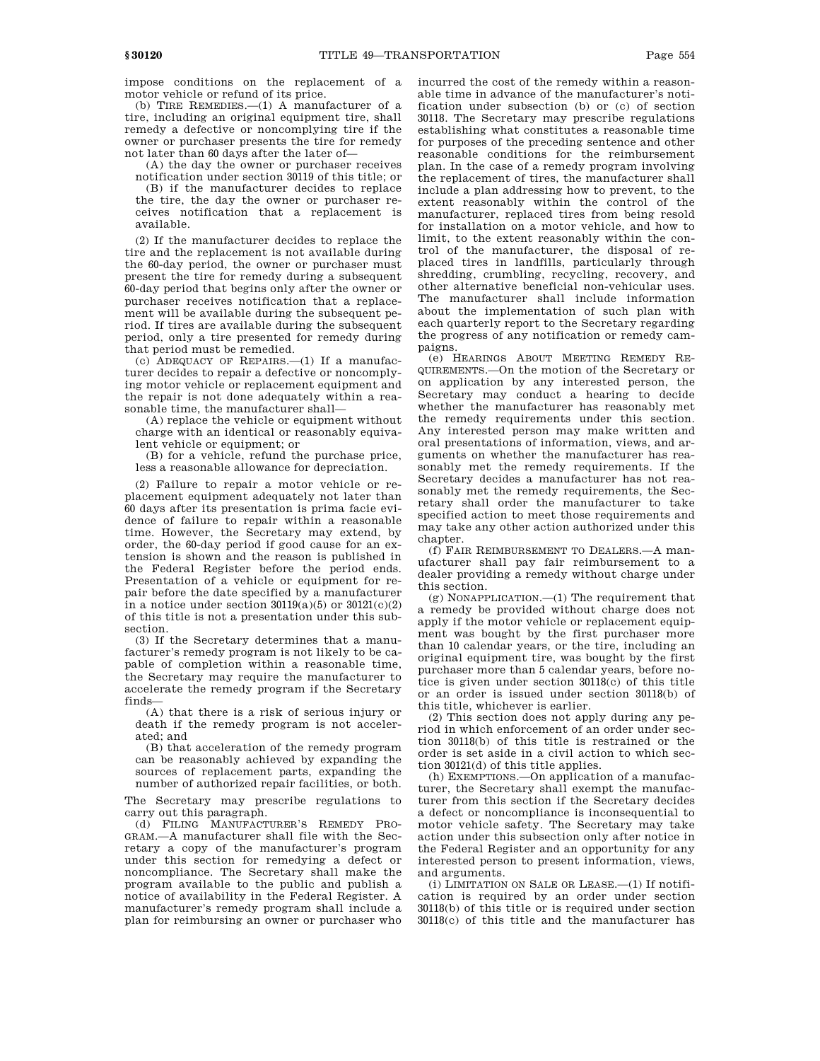impose conditions on the replacement of a motor vehicle or refund of its price.

(b) TIRE REMEDIES.—(1) A manufacturer of a tire, including an original equipment tire, shall remedy a defective or noncomplying tire if the owner or purchaser presents the tire for remedy not later than 60 days after the later of—

(A) the day the owner or purchaser receives notification under section 30119 of this title; or

(B) if the manufacturer decides to replace the tire, the day the owner or purchaser receives notification that a replacement is available.

(2) If the manufacturer decides to replace the tire and the replacement is not available during the 60-day period, the owner or purchaser must present the tire for remedy during a subsequent 60-day period that begins only after the owner or purchaser receives notification that a replacement will be available during the subsequent period. If tires are available during the subsequent period, only a tire presented for remedy during that period must be remedied.

(c) ADEQUACY OF REPAIRS.—(1) If a manufacturer decides to repair a defective or noncomplying motor vehicle or replacement equipment and the repair is not done adequately within a reasonable time, the manufacturer shall—

(A) replace the vehicle or equipment without charge with an identical or reasonably equivalent vehicle or equipment; or

(B) for a vehicle, refund the purchase price, less a reasonable allowance for depreciation.

(2) Failure to repair a motor vehicle or replacement equipment adequately not later than 60 days after its presentation is prima facie evidence of failure to repair within a reasonable time. However, the Secretary may extend, by order, the 60-day period if good cause for an extension is shown and the reason is published in the Federal Register before the period ends. Presentation of a vehicle or equipment for repair before the date specified by a manufacturer in a notice under section  $30119(a)(5)$  or  $30121(c)(2)$ of this title is not a presentation under this subsection.

(3) If the Secretary determines that a manufacturer's remedy program is not likely to be capable of completion within a reasonable time, the Secretary may require the manufacturer to accelerate the remedy program if the Secretary finds—

(A) that there is a risk of serious injury or death if the remedy program is not accelerated; and

(B) that acceleration of the remedy program can be reasonably achieved by expanding the sources of replacement parts, expanding the number of authorized repair facilities, or both.

The Secretary may prescribe regulations to carry out this paragraph.

(d) FILING MANUFACTURER'S REMEDY PRO-GRAM.—A manufacturer shall file with the Secretary a copy of the manufacturer's program under this section for remedying a defect or noncompliance. The Secretary shall make the program available to the public and publish a notice of availability in the Federal Register. A manufacturer's remedy program shall include a plan for reimbursing an owner or purchaser who

incurred the cost of the remedy within a reasonable time in advance of the manufacturer's notification under subsection (b) or (c) of section 30118. The Secretary may prescribe regulations establishing what constitutes a reasonable time for purposes of the preceding sentence and other reasonable conditions for the reimbursement plan. In the case of a remedy program involving the replacement of tires, the manufacturer shall include a plan addressing how to prevent, to the extent reasonably within the control of the manufacturer, replaced tires from being resold for installation on a motor vehicle, and how to limit, to the extent reasonably within the control of the manufacturer, the disposal of replaced tires in landfills, particularly through shredding, crumbling, recycling, recovery, and other alternative beneficial non-vehicular uses. The manufacturer shall include information about the implementation of such plan with each quarterly report to the Secretary regarding the progress of any notification or remedy campaigns.

(e) HEARINGS ABOUT MEETING REMEDY RE-QUIREMENTS.—On the motion of the Secretary or on application by any interested person, the Secretary may conduct a hearing to decide whether the manufacturer has reasonably met the remedy requirements under this section. Any interested person may make written and oral presentations of information, views, and arguments on whether the manufacturer has reasonably met the remedy requirements. If the Secretary decides a manufacturer has not reasonably met the remedy requirements, the Secretary shall order the manufacturer to take specified action to meet those requirements and may take any other action authorized under this chapter.

(f) FAIR REIMBURSEMENT TO DEALERS.—A manufacturer shall pay fair reimbursement to a dealer providing a remedy without charge under this section.

(g) NONAPPLICATION.—(1) The requirement that a remedy be provided without charge does not apply if the motor vehicle or replacement equipment was bought by the first purchaser more than 10 calendar years, or the tire, including an original equipment tire, was bought by the first purchaser more than 5 calendar years, before notice is given under section 30118(c) of this title or an order is issued under section 30118(b) of this title, whichever is earlier.

(2) This section does not apply during any period in which enforcement of an order under section 30118(b) of this title is restrained or the order is set aside in a civil action to which section 30121(d) of this title applies.

(h) EXEMPTIONS.—On application of a manufacturer, the Secretary shall exempt the manufacturer from this section if the Secretary decides a defect or noncompliance is inconsequential to motor vehicle safety. The Secretary may take action under this subsection only after notice in the Federal Register and an opportunity for any interested person to present information, views, and arguments.

(i) LIMITATION ON SALE OR LEASE.—(1) If notification is required by an order under section 30118(b) of this title or is required under section 30118(c) of this title and the manufacturer has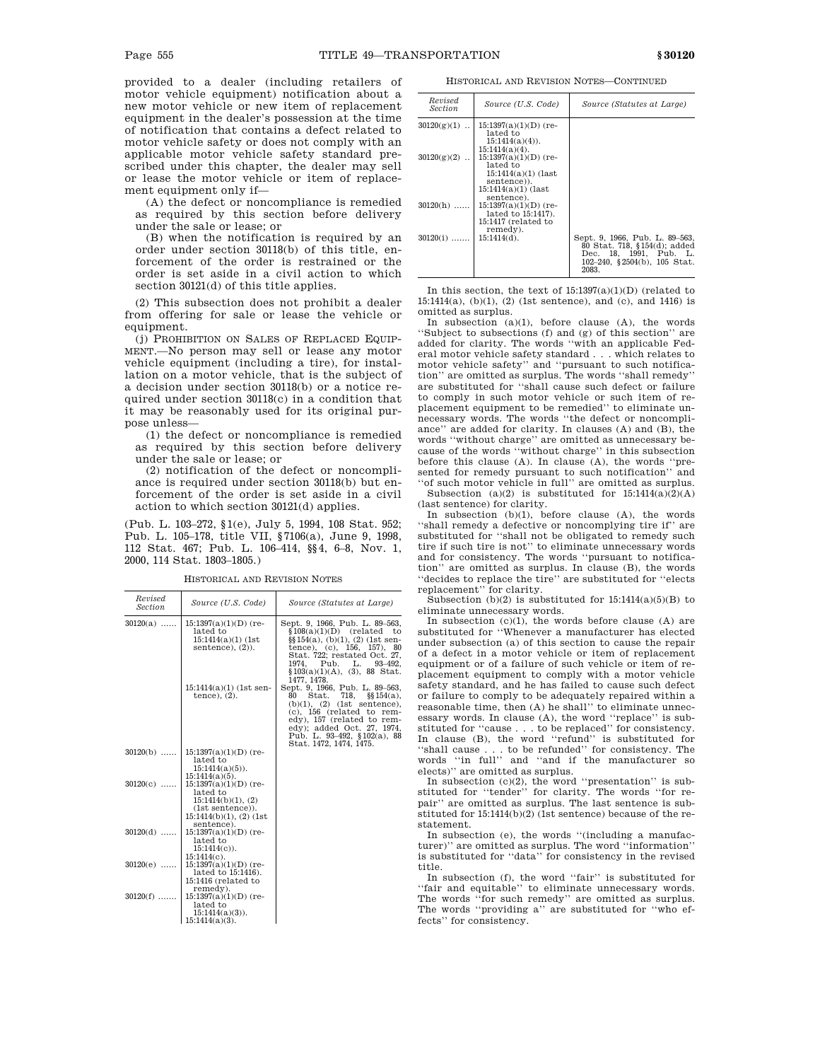provided to a dealer (including retailers of motor vehicle equipment) notification about a new motor vehicle or new item of replacement equipment in the dealer's possession at the time of notification that contains a defect related to motor vehicle safety or does not comply with an applicable motor vehicle safety standard prescribed under this chapter, the dealer may sell or lease the motor vehicle or item of replacement equipment only if—

(A) the defect or noncompliance is remedied as required by this section before delivery under the sale or lease; or

(B) when the notification is required by an order under section 30118(b) of this title, enforcement of the order is restrained or the order is set aside in a civil action to which section 30121(d) of this title applies.

(2) This subsection does not prohibit a dealer from offering for sale or lease the vehicle or equipment.

(j) PROHIBITION ON SALES OF REPLACED EQUIP-MENT.—No person may sell or lease any motor vehicle equipment (including a tire), for installation on a motor vehicle, that is the subject of a decision under section 30118(b) or a notice required under section 30118(c) in a condition that it may be reasonably used for its original purpose unless—

(1) the defect or noncompliance is remedied as required by this section before delivery under the sale or lease; or

(2) notification of the defect or noncompliance is required under section 30118(b) but enforcement of the order is set aside in a civil action to which section 30121(d) applies.

(Pub. L. 103–272, §1(e), July 5, 1994, 108 Stat. 952; Pub. L. 105–178, title VII, §7106(a), June 9, 1998, 112 Stat. 467; Pub. L. 106–414, §§4, 6–8, Nov. 1, 2000, 114 Stat. 1803–1805.)

HISTORICAL AND REVISION NOTES

| Revised<br>Section | Source (U.S. Code)                                                                                                                              | Source (Statutes at Large)                                                                                                                                                                                                                                       |
|--------------------|-------------------------------------------------------------------------------------------------------------------------------------------------|------------------------------------------------------------------------------------------------------------------------------------------------------------------------------------------------------------------------------------------------------------------|
| $30120(a)$         | $15:1397(a)(1)(D)$ (re-<br>lated to<br>$15:1414(a)(1)$ (1st<br>sentence), $(2)$ ).                                                              | Sept. 9, 1966, Pub. L. 89-563,<br>$$108(a)(1)(D)$ (related to<br>$\S$ [154(a), (b)(1), (2) (1st sen-<br>tence), (c), 156, 157), 80<br>Stat. 722; restated Oct. 27,<br>1974. Pub. L.<br>93-492.<br>$$103(a)(1)(A), (3), 88 \text{ Stat.}$<br>1477, 1478.          |
|                    | $15:1414(a)(1)$ (1st sen-<br>tence), $(2)$ .                                                                                                    | Sept. 9, 1966, Pub. L. 89-563,<br>718,<br>Stat.<br>80<br>$§$ \$154(a),<br>$(b)(1)$ , $(2)$ (1st sentence),<br>$(c)$ , 156 (related to rem-<br>edy), 157 (related to rem-<br>edy); added Oct. 27, 1974,<br>Pub. L. 93-492, §102(a), 88<br>Stat. 1472, 1474, 1475. |
| $30120(b)$         | $15:1397(a)(1)(D)$ (re-<br>lated to<br>$15:1414(a)(5)$ .                                                                                        |                                                                                                                                                                                                                                                                  |
| $30120(c)$         | $15:1414(a)(5)$ .<br>$15:1397(a)(1)(D)$ (re-<br>lated to<br>15:1414(b)(1), (2)<br>(1st sentence).<br>$15:1414(b)(1)$ , $(2)$ (1st<br>sentence). |                                                                                                                                                                                                                                                                  |
| $30120(d)$         | $15:1397(a)(1)(D)$ (re-<br>lated to<br>$15:1414(c)$ .<br>$15:1414(c)$ .                                                                         |                                                                                                                                                                                                                                                                  |
| $30120(e)$         | $15:1397(a)(1)(D)$ (re-<br>lated to 15:1416).<br>15:1416 (related to<br>remedy).                                                                |                                                                                                                                                                                                                                                                  |
| $30120(f)$         | $15:1397(a)(1)(D)$ (re-<br>lated to<br>$15:1414(a)(3)$ .<br>$15:1414(a)(3)$ .                                                                   |                                                                                                                                                                                                                                                                  |

HISTORICAL AND REVISION NOTES—CONTINUED

| Revised<br><i>Section</i> | Source (U.S. Code)                                                                                          | Source (Statutes at Large)                                                                                                        |
|---------------------------|-------------------------------------------------------------------------------------------------------------|-----------------------------------------------------------------------------------------------------------------------------------|
| $30120(g)(1)$             | $15:1397(a)(1)(D)$ (re-<br>lated to<br>$15:1414(a)(4)$ .                                                    |                                                                                                                                   |
| $30120(g)(2)$             | $15:1414(a)(4)$ .<br>$15:1397(a)(1)(D)$ (re-<br>lated to<br>$15:1414(a)(1)$ (last<br>sentence)).            |                                                                                                                                   |
| $30120(h)$                | $15:1414(a)(1)$ (last<br>sentence).<br>$15:1397(a)(1)(D)$ (re-<br>lated to 15:1417).<br>15:1417 (related to |                                                                                                                                   |
| $30120(i)$                | remedy).<br>$15:1414(d)$ .                                                                                  | Sept. 9, 1966, Pub. L. 89-563,<br>80 Stat. 718, §154(d); added<br>Dec. 18, 1991, Pub. L.<br>102-240, §2504(b), 105 Stat.<br>2083. |

In this section, the text of  $15:1397(a)(1)(D)$  (related to 15:1414(a), (b)(1), (2) (1st sentence), and (c), and 1416) is omitted as surplus.

In subsection  $(a)(1)$ , before clause  $(A)$ , the words ''Subject to subsections (f) and (g) of this section'' are added for clarity. The words ''with an applicable Federal motor vehicle safety standard . . . which relates to motor vehicle safety'' and ''pursuant to such notification'' are omitted as surplus. The words ''shall remedy'' are substituted for ''shall cause such defect or failure to comply in such motor vehicle or such item of replacement equipment to be remedied'' to eliminate unnecessary words. The words ''the defect or noncompliance'' are added for clarity. In clauses (A) and (B), the words ''without charge'' are omitted as unnecessary because of the words ''without charge'' in this subsection before this clause (A). In clause (A), the words ''presented for remedy pursuant to such notification'' and ''of such motor vehicle in full'' are omitted as surplus.

Subsection (a)(2) is substituted for  $15:1414(a)(2)(A)$ (last sentence) for clarity.

In subsection (b)(1), before clause (A), the words ''shall remedy a defective or noncomplying tire if'' are substituted for ''shall not be obligated to remedy such tire if such tire is not'' to eliminate unnecessary words and for consistency. The words ''pursuant to notification'' are omitted as surplus. In clause (B), the words ''decides to replace the tire'' are substituted for ''elects replacement'' for clarity.

Subsection (b)(2) is substituted for  $15:1414(a)(5)(B)$  to eliminate unnecessary words.

In subsection (c)(1), the words before clause (A) are substituted for ''Whenever a manufacturer has elected under subsection (a) of this section to cause the repair of a defect in a motor vehicle or item of replacement equipment or of a failure of such vehicle or item of replacement equipment to comply with a motor vehicle safety standard, and he has failed to cause such defect or failure to comply to be adequately repaired within a reasonable time, then (A) he shall'' to eliminate unnecessary words. In clause (A), the word ''replace'' is substituted for ''cause . . . to be replaced'' for consistency. In clause (B), the word ''refund'' is substituted for ''shall cause . . . to be refunded'' for consistency. The words ''in full'' and ''and if the manufacturer so elects)'' are omitted as surplus.

In subsection  $(c)(2)$ , the word "presentation" is substituted for ''tender'' for clarity. The words ''for repair'' are omitted as surplus. The last sentence is substituted for 15:1414(b)(2) (1st sentence) because of the restatement.

In subsection (e), the words ''(including a manufacturer)'' are omitted as surplus. The word ''information'' is substituted for ''data'' for consistency in the revised title.

In subsection (f), the word ''fair'' is substituted for ''fair and equitable'' to eliminate unnecessary words. The words "for such remedy" are omitted as surplus. The words ''providing a'' are substituted for ''who effects'' for consistency.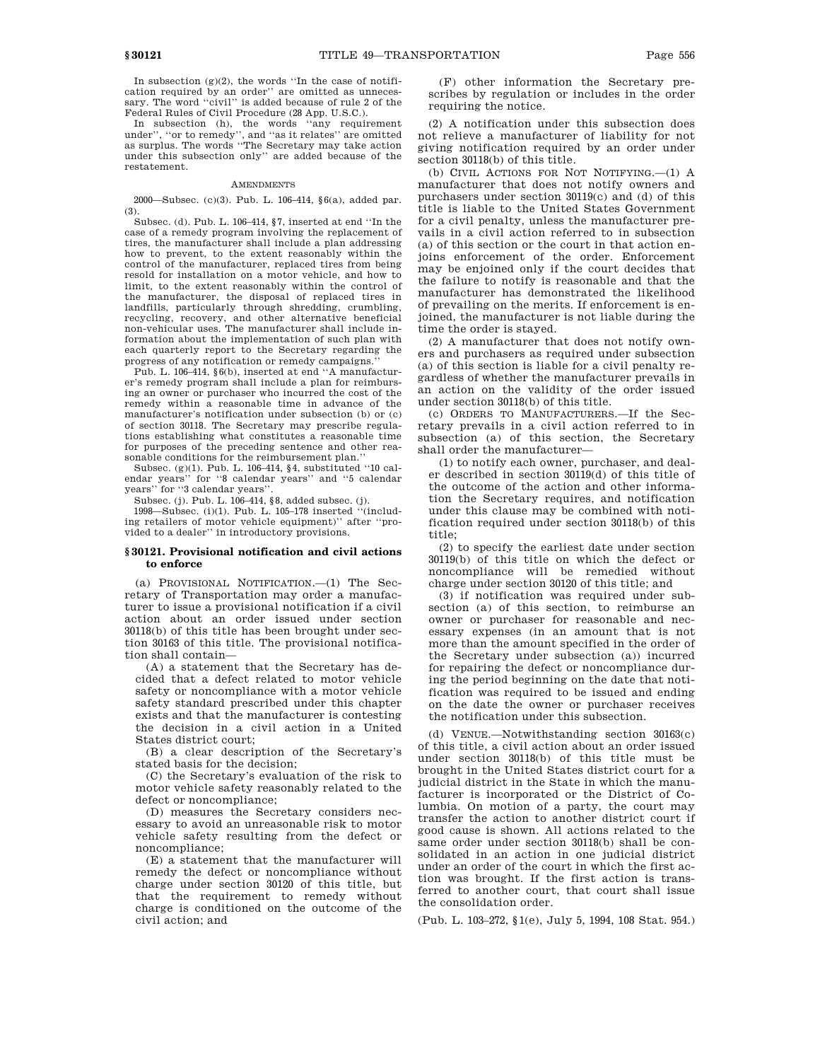In subsection  $(g)(2)$ , the words "In the case of notification required by an order'' are omitted as unnecessary. The word "civil" is added because of rule 2 of the Federal Rules of Civil Procedure (28 App. U.S.C.).

In subsection (h), the words ''any requirement under'', ''or to remedy'', and ''as it relates'' are omitted as surplus. The words ''The Secretary may take action under this subsection only'' are added because of the restatement.

#### **AMENDMENTS**

2000—Subsec. (c)(3). Pub. L. 106–414, §6(a), added par. (3).

Subsec. (d). Pub. L. 106–414, §7, inserted at end ''In the case of a remedy program involving the replacement of tires, the manufacturer shall include a plan addressing how to prevent, to the extent reasonably within the control of the manufacturer, replaced tires from being resold for installation on a motor vehicle, and how to limit, to the extent reasonably within the control of the manufacturer, the disposal of replaced tires in landfills, particularly through shredding, crumbling, recycling, recovery, and other alternative beneficial non-vehicular uses. The manufacturer shall include information about the implementation of such plan with each quarterly report to the Secretary regarding the progress of any notification or remedy campaigns.''

Pub. L. 106–414, §6(b), inserted at end ''A manufacturer's remedy program shall include a plan for reimbursing an owner or purchaser who incurred the cost of the remedy within a reasonable time in advance of the manufacturer's notification under subsection (b) or (c) of section 30118. The Secretary may prescribe regulations establishing what constitutes a reasonable time for purposes of the preceding sentence and other reasonable conditions for the reimbursement plan.''

Subsec. (g)(1). Pub. L. 106–414, §4, substituted ''10 calendar years'' for ''8 calendar years'' and ''5 calendar years'' for ''3 calendar years''.

Subsec. (j). Pub. L. 106–414, §8, added subsec. (j).

1998—Subsec. (i)(1). Pub. L. 105–178 inserted ''(including retailers of motor vehicle equipment)'' after ''provided to a dealer'' in introductory provisions.

# **§ 30121. Provisional notification and civil actions to enforce**

(a) PROVISIONAL NOTIFICATION.—(1) The Secretary of Transportation may order a manufacturer to issue a provisional notification if a civil action about an order issued under section 30118(b) of this title has been brought under section 30163 of this title. The provisional notification shall contain—

(A) a statement that the Secretary has decided that a defect related to motor vehicle safety or noncompliance with a motor vehicle safety standard prescribed under this chapter exists and that the manufacturer is contesting the decision in a civil action in a United States district court;

(B) a clear description of the Secretary's stated basis for the decision;

(C) the Secretary's evaluation of the risk to motor vehicle safety reasonably related to the defect or noncompliance;

(D) measures the Secretary considers necessary to avoid an unreasonable risk to motor vehicle safety resulting from the defect or noncompliance;

(E) a statement that the manufacturer will remedy the defect or noncompliance without charge under section 30120 of this title, but that the requirement to remedy without charge is conditioned on the outcome of the civil action; and

(F) other information the Secretary prescribes by regulation or includes in the order requiring the notice.

(2) A notification under this subsection does not relieve a manufacturer of liability for not giving notification required by an order under section 30118(b) of this title.

(b) CIVIL ACTIONS FOR NOT NOTIFYING.—(1) A manufacturer that does not notify owners and purchasers under section 30119(c) and (d) of this title is liable to the United States Government for a civil penalty, unless the manufacturer prevails in a civil action referred to in subsection (a) of this section or the court in that action enjoins enforcement of the order. Enforcement may be enjoined only if the court decides that the failure to notify is reasonable and that the manufacturer has demonstrated the likelihood of prevailing on the merits. If enforcement is enjoined, the manufacturer is not liable during the time the order is stayed.

(2) A manufacturer that does not notify owners and purchasers as required under subsection (a) of this section is liable for a civil penalty regardless of whether the manufacturer prevails in an action on the validity of the order issued under section 30118(b) of this title.

(c) ORDERS TO MANUFACTURERS.—If the Secretary prevails in a civil action referred to in subsection (a) of this section, the Secretary shall order the manufacturer—

(1) to notify each owner, purchaser, and dealer described in section 30119(d) of this title of the outcome of the action and other information the Secretary requires, and notification under this clause may be combined with notification required under section 30118(b) of this title;

(2) to specify the earliest date under section 30119(b) of this title on which the defect or noncompliance will be remedied without charge under section 30120 of this title; and

(3) if notification was required under subsection (a) of this section, to reimburse an owner or purchaser for reasonable and necessary expenses (in an amount that is not more than the amount specified in the order of the Secretary under subsection (a)) incurred for repairing the defect or noncompliance during the period beginning on the date that notification was required to be issued and ending on the date the owner or purchaser receives the notification under this subsection.

(d) VENUE.—Notwithstanding section 30163(c) of this title, a civil action about an order issued under section 30118(b) of this title must be brought in the United States district court for a judicial district in the State in which the manufacturer is incorporated or the District of Columbia. On motion of a party, the court may transfer the action to another district court if good cause is shown. All actions related to the same order under section 30118(b) shall be consolidated in an action in one judicial district under an order of the court in which the first action was brought. If the first action is transferred to another court, that court shall issue the consolidation order.

(Pub. L. 103–272, §1(e), July 5, 1994, 108 Stat. 954.)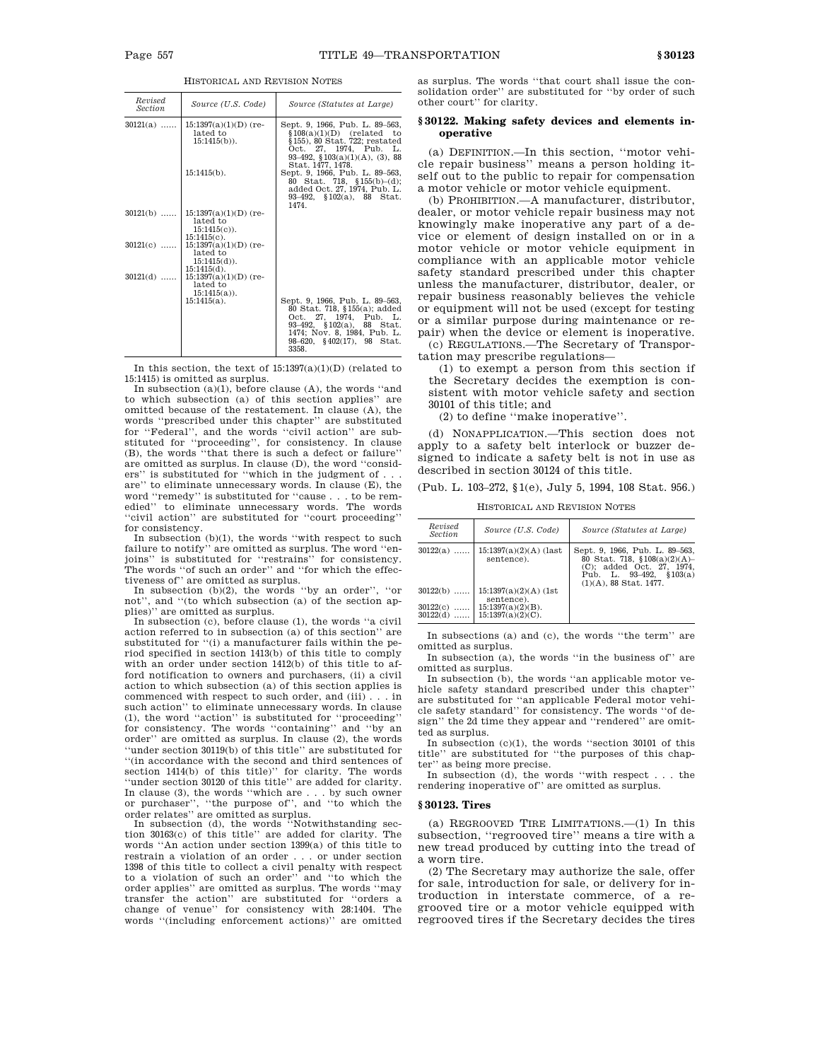| Revised<br><b>Section</b> | Source (U.S. Code)                                                      | Source (Statutes at Large)                                                                                                                                                                  |
|---------------------------|-------------------------------------------------------------------------|---------------------------------------------------------------------------------------------------------------------------------------------------------------------------------------------|
| $30121(a)$                | $15:1397(a)(1)(D)$ (re-<br>lated to<br>$15:1415(b)$ .                   | Sept. 9, 1966, Pub. L. 89–563,<br>$$108(a)(1)(D)$ (related to<br>$§$ 155), 80 Stat. 722; restated<br>Oct. 27, 1974, Pub. L.<br>93-492, $$103(a)(1)(A)$ , (3), 88<br>Stat. 1477, 1478.       |
|                           | $15:1415(b)$ .                                                          | Sept. 9, 1966, Pub. L. 89-563,<br>80 Stat. 718, $$155(b)-(d)$ ;<br>added Oct. 27, 1974, Pub. L.<br>93-492, $$102(a)$ , 88 Stat.<br>1474.                                                    |
| $30121(b)$                | $15:1397(a)(1)(D)$ (re-<br>lated to<br>$15:1415(c)$ .<br>$15:1415(c)$ . |                                                                                                                                                                                             |
| $30121(c)$                | $15:1397(a)(1)(D)$ (re-<br>lated to<br>$15:1415(d)$ .<br>$15:1415(d)$ . |                                                                                                                                                                                             |
| $30121(d)$                | $15:1397(a)(1)(D)$ (re-<br>lated to<br>$15:1415(a)$ .                   |                                                                                                                                                                                             |
|                           | $15:1415(a)$ .                                                          | Sept. 9, 1966, Pub. L. 89-563,<br>80 Stat. 718, §155(a); added<br>Oct. 27, 1974, Pub. L.<br>93-492, §102(a), 88 Stat.<br>1474; Nov. 8, 1984, Pub. L.<br>98-620, §402(17), 98 Stat.<br>3358. |

HISTORICAL AND REVISION NOTES

In this section, the text of  $15:1397(a)(1)(D)$  (related to 15:1415) is omitted as surplus.

In subsection  $(a)(1)$ , before clause  $(A)$ , the words "and" to which subsection (a) of this section applies'' are omitted because of the restatement. In clause (A), the words ''prescribed under this chapter'' are substituted for ''Federal'', and the words ''civil action'' are substituted for ''proceeding'', for consistency. In clause (B), the words ''that there is such a defect or failure'' are omitted as surplus. In clause (D), the word ''considers" is substituted for "which in the judgment of. are'' to eliminate unnecessary words. In clause (E), the word ''remedy'' is substituted for ''cause . . . to be remedied'' to eliminate unnecessary words. The words ''civil action'' are substituted for ''court proceeding'' for consistency.

In subsection (b)(1), the words ''with respect to such failure to notify" are omitted as surplus. The word "enjoins'' is substituted for ''restrains'' for consistency. The words "of such an order" and "for which the effectiveness of'' are omitted as surplus.

In subsection (b)(2), the words ''by an order'', ''or not'', and ''(to which subsection (a) of the section applies)'' are omitted as surplus.

In subsection (c), before clause (1), the words ''a civil action referred to in subsection (a) of this section'' are substituted for "(i) a manufacturer fails within the period specified in section 1413(b) of this title to comply with an order under section 1412(b) of this title to afford notification to owners and purchasers, (ii) a civil action to which subsection (a) of this section applies is commenced with respect to such order, and (iii) . . . in such action'' to eliminate unnecessary words. In clause (1), the word ''action'' is substituted for ''proceeding'' for consistency. The words ''containing'' and ''by an order'' are omitted as surplus. In clause (2), the words 'under section 30119(b) of this title'' are substituted for ''(in accordance with the second and third sentences of section 1414(b) of this title)'' for clarity. The words ''under section 30120 of this title'' are added for clarity. In clause (3), the words ''which are . . . by such owner or purchaser'', ''the purpose of'', and ''to which the

order relates'' are omitted as surplus. In subsection (d), the words ''Notwithstanding section 30163(c) of this title'' are added for clarity. The words ''An action under section 1399(a) of this title to restrain a violation of an order . . . or under section 1398 of this title to collect a civil penalty with respect to a violation of such an order'' and ''to which the order applies'' are omitted as surplus. The words ''may transfer the action'' are substituted for ''orders a change of venue'' for consistency with 28:1404. The words ''(including enforcement actions)'' are omitted

as surplus. The words ''that court shall issue the consolidation order'' are substituted for ''by order of such other court'' for clarity.

# **§ 30122. Making safety devices and elements inoperative**

(a) DEFINITION.—In this section, ''motor vehicle repair business'' means a person holding itself out to the public to repair for compensation a motor vehicle or motor vehicle equipment.

(b) PROHIBITION.—A manufacturer, distributor, dealer, or motor vehicle repair business may not knowingly make inoperative any part of a device or element of design installed on or in a motor vehicle or motor vehicle equipment in compliance with an applicable motor vehicle safety standard prescribed under this chapter unless the manufacturer, distributor, dealer, or repair business reasonably believes the vehicle or equipment will not be used (except for testing or a similar purpose during maintenance or repair) when the device or element is inoperative.

(c) REGULATIONS.—The Secretary of Transportation may prescribe regulations—

(1) to exempt a person from this section if the Secretary decides the exemption is consistent with motor vehicle safety and section 30101 of this title; and

(2) to define ''make inoperative''.

(d) NONAPPLICATION.—This section does not apply to a safety belt interlock or buzzer designed to indicate a safety belt is not in use as described in section 30124 of this title.

Pub. L. 103-272, §1(e), July 5, 1994, 108 Stat. 956.)

HISTORICAL AND REVISION NOTES

| Revised<br>Section   | Source (U.S. Code)                           | Source (Statutes at Large)                                                                                                                                 |
|----------------------|----------------------------------------------|------------------------------------------------------------------------------------------------------------------------------------------------------------|
| $30122(a)$           | $15:1397(a)(2)(A)$ (last<br>sentence).       | Sept. 9, 1966, Pub. L. 89-563,<br>80 Stat. 718, $$108(a)(2)(A)$ -<br>(C); added Oct. 27, 1974,<br>Pub. L. 93–492,<br>\$103(a)<br>$(1)(A)$ , 88 Stat, 1477. |
| $30122(b)$           | $15:1397(a)(2)(A)$ (1st<br>sentence).        |                                                                                                                                                            |
| 30122(c)<br>30122(d) | $15:1397(a)(2)(B)$ .<br>$15:1397(a)(2)(C)$ . |                                                                                                                                                            |

In subsections (a) and (c), the words ''the term'' are omitted as surplus.

In subsection (a), the words ''in the business of'' are omitted as surplus.

In subsection (b), the words ''an applicable motor vehicle safety standard prescribed under this chapter'' are substituted for ''an applicable Federal motor vehicle safety standard'' for consistency. The words ''of design'' the 2d time they appear and ''rendered'' are omitted as surplus.

In subsection (c)(1), the words ''section 30101 of this title'' are substituted for ''the purposes of this chapter'' as being more precise.

In subsection (d), the words ''with respect . . . the rendering inoperative of'' are omitted as surplus.

#### **§ 30123. Tires**

(a) REGROOVED TIRE LIMITATIONS.—(1) In this subsection, ''regrooved tire'' means a tire with a new tread produced by cutting into the tread of a worn tire.

(2) The Secretary may authorize the sale, offer for sale, introduction for sale, or delivery for introduction in interstate commerce, of a regrooved tire or a motor vehicle equipped with regrooved tires if the Secretary decides the tires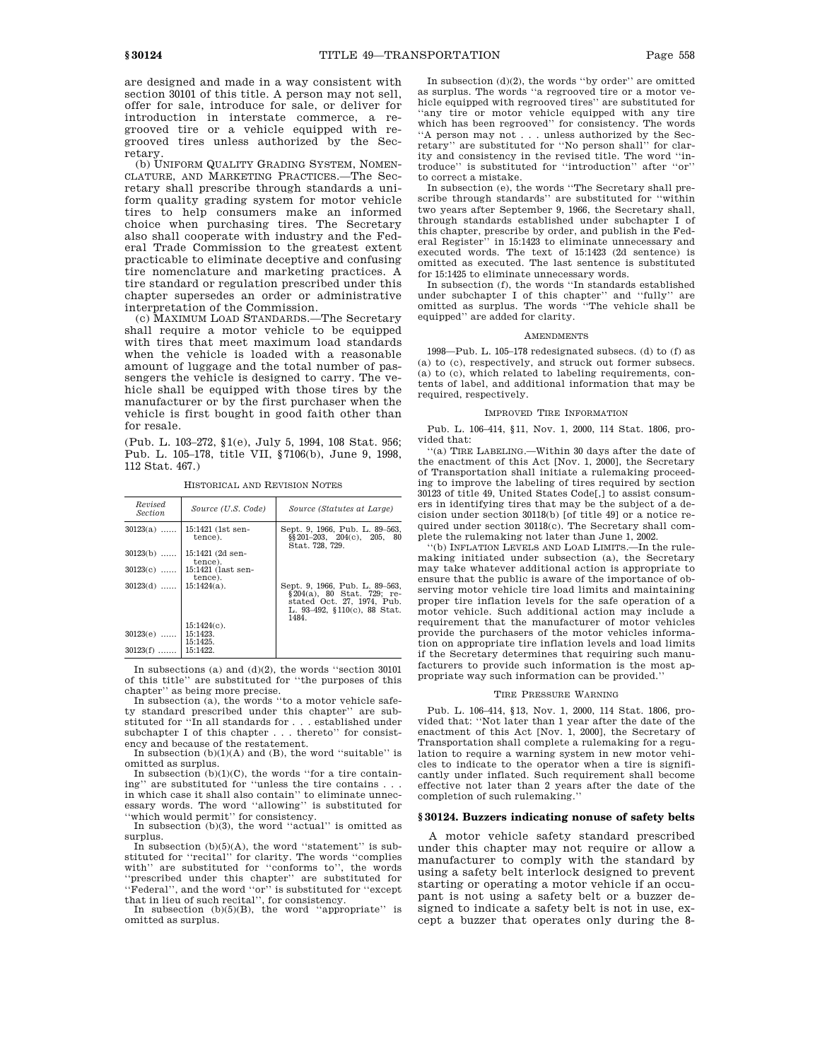are designed and made in a way consistent with section 30101 of this title. A person may not sell, offer for sale, introduce for sale, or deliver for introduction in interstate commerce, a regrooved tire or a vehicle equipped with regrooved tires unless authorized by the Secretary.

(b) UNIFORM QUALITY GRADING SYSTEM, NOMEN-CLATURE, AND MARKETING PRACTICES.—The Secretary shall prescribe through standards a uniform quality grading system for motor vehicle tires to help consumers make an informed choice when purchasing tires. The Secretary also shall cooperate with industry and the Federal Trade Commission to the greatest extent practicable to eliminate deceptive and confusing tire nomenclature and marketing practices. A tire standard or regulation prescribed under this chapter supersedes an order or administrative interpretation of the Commission.

(c) MAXIMUM LOAD STANDARDS.—The Secretary shall require a motor vehicle to be equipped with tires that meet maximum load standards when the vehicle is loaded with a reasonable amount of luggage and the total number of passengers the vehicle is designed to carry. The vehicle shall be equipped with those tires by the manufacturer or by the first purchaser when the vehicle is first bought in good faith other than for resale.

(Pub. L. 103–272, §1(e), July 5, 1994, 108 Stat. 956; Pub. L. 105–178, title VII, §7106(b), June 9, 1998, 112 Stat. 467.)

HISTORICAL AND REVISION NOTES

*Section Source (U.S. Code) Source (Statutes at Large)*

Sept. 9, 1966, Pub. L. 89–563, §§201–203, 204(c), 205, 80 Stat. 728, 729.

30123(d) ...... 15:1424(a). Sept. 9, 1966, Pub. L. 89–563, §204(a), 80 Stat. 729; re-stated Oct. 27, 1974, Pub. L. 93–492, §110(c), 88 Stat. 1484. 15:1424(c).<br>15:1423.  $30123(e)$  ...... 15:1425<br>15:1422  $30123(f)$  ...... In subsections (a) and (d)(2), the words ''section 30101 of this title'' are substituted for "the purposes of this

chapter'' as being more precise. In subsection (a), the words ''to a motor vehicle safety standard prescribed under this chapter'' are substituted for ''In all standards for . . . established under

subchapter I of this chapter . . . thereto'' for consistency and because of the restatement. In subsection  $(b)(1)(A)$  and  $(B)$ , the word "suitable" is

omitted as surplus.

In subsection  $(b)(1)(C)$ , the words "for a tire containing'' are substituted for ''unless the tire contains . . . in which case it shall also contain'' to eliminate unnecessary words. The word ''allowing'' is substituted for ''which would permit'' for consistency.

In subsection (b)(3), the word ''actual'' is omitted as surplus.

In subsection  $(b)(5)(A)$ , the word "statement" is substituted for ''recital'' for clarity. The words ''complies with'' are substituted for ''conforms to'', the words ''prescribed under this chapter'' are substituted for ''Federal'', and the word ''or'' is substituted for ''except

that in lieu of such recital'', for consistency. In subsection (b)(5)(B), the word ''appropriate'' is omitted as surplus.

In subsection  $(d)(2)$ , the words "by order" are omitted as surplus. The words ''a regrooved tire or a motor vehicle equipped with regrooved tires'' are substituted for ''any tire or motor vehicle equipped with any tire which has been regrooved'' for consistency. The words ''A person may not . . . unless authorized by the Secretary'' are substituted for ''No person shall'' for clarity and consistency in the revised title. The word ''introduce'' is substituted for ''introduction'' after ''or'' to correct a mistake.

In subsection (e), the words ''The Secretary shall prescribe through standards'' are substituted for ''within two years after September 9, 1966, the Secretary shall, through standards established under subchapter I of this chapter, prescribe by order, and publish in the Federal Register'' in 15:1423 to eliminate unnecessary and executed words. The text of 15:1423 (2d sentence) is omitted as executed. The last sentence is substituted for 15:1425 to eliminate unnecessary words.

In subsection (f), the words ''In standards established under subchapter I of this chapter'' and ''fully'' are omitted as surplus. The words ''The vehicle shall be equipped'' are added for clarity.

# AMENDMENTS

1998—Pub. L. 105–178 redesignated subsecs. (d) to (f) as (a) to (c), respectively, and struck out former subsecs. (a) to (c), which related to labeling requirements, contents of label, and additional information that may be required, respectively.

# IMPROVED TIRE INFORMATION

Pub. L. 106–414, §11, Nov. 1, 2000, 114 Stat. 1806, provided that:

''(a) TIRE LABELING.—Within 30 days after the date of the enactment of this Act [Nov. 1, 2000], the Secretary of Transportation shall initiate a rulemaking proceeding to improve the labeling of tires required by section 30123 of title 49, United States Code[,] to assist consumers in identifying tires that may be the subject of a decision under section 30118(b) [of title 49] or a notice required under section 30118(c). The Secretary shall complete the rulemaking not later than June 1, 2002.

''(b) INFLATION LEVELS AND LOAD LIMITS.—In the rulemaking initiated under subsection (a), the Secretary may take whatever additional action is appropriate to ensure that the public is aware of the importance of observing motor vehicle tire load limits and maintaining proper tire inflation levels for the safe operation of a motor vehicle. Such additional action may include a requirement that the manufacturer of motor vehicles provide the purchasers of the motor vehicles information on appropriate tire inflation levels and load limits if the Secretary determines that requiring such manufacturers to provide such information is the most appropriate way such information can be provided.''

#### TIRE PRESSURE WARNING

Pub. L. 106–414, §13, Nov. 1, 2000, 114 Stat. 1806, provided that: ''Not later than 1 year after the date of the enactment of this Act [Nov. 1, 2000], the Secretary of Transportation shall complete a rulemaking for a regulation to require a warning system in new motor vehicles to indicate to the operator when a tire is significantly under inflated. Such requirement shall become effective not later than 2 years after the date of the completion of such rulemaking.''

# **§ 30124. Buzzers indicating nonuse of safety belts**

A motor vehicle safety standard prescribed under this chapter may not require or allow a manufacturer to comply with the standard by using a safety belt interlock designed to prevent starting or operating a motor vehicle if an occupant is not using a safety belt or a buzzer designed to indicate a safety belt is not in use, except a buzzer that operates only during the 8-

*Revised*

30123(a) ...... 15:1421 (1st sentence).

30123(b) ...... 15:1421 (2d sentence). 30123(c) ...... 15:1421 (last sentence).<br> $15:1424(a)$ .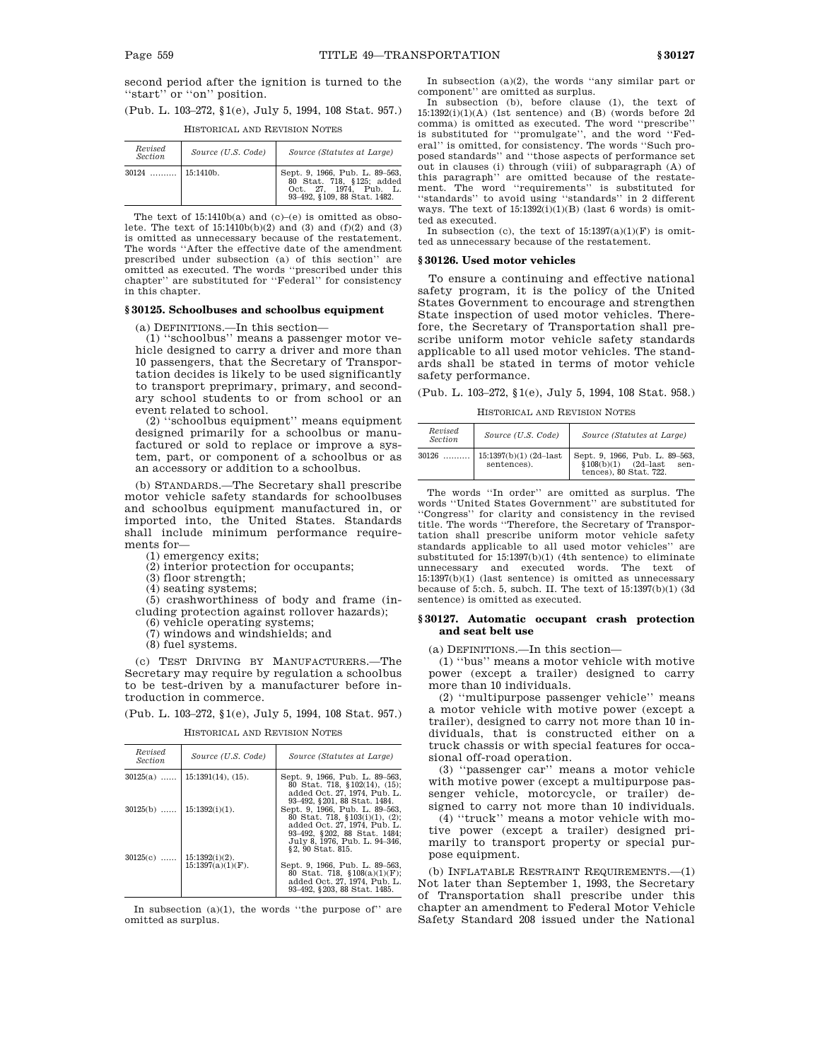second period after the ignition is turned to the "start" or "on" position.

(Pub. L. 103–272, §1(e), July 5, 1994, 108 Stat. 957.)

| Revised<br><b>Section</b> | Source (U.S. Code) | Source (Statutes at Large)                                                                                            |
|---------------------------|--------------------|-----------------------------------------------------------------------------------------------------------------------|
|                           |                    | Sept. 9, 1966, Pub. L. 89-563,<br>80 Stat. 718, §125; added<br>Oct. 27, 1974, Pub. L.<br>93-492, §109, 88 Stat. 1482. |

#### HISTORICAL AND REVISION NOTES

The text of  $15:1410b(a)$  and  $(c)-(e)$  is omitted as obsolete. The text of  $15:1410b(b)(2)$  and  $(3)$  and  $(f)(2)$  and  $(3)$ is omitted as unnecessary because of the restatement. The words ''After the effective date of the amendment prescribed under subsection (a) of this section'' are omitted as executed. The words ''prescribed under this chapter'' are substituted for ''Federal'' for consistency in this chapter.

### **§ 30125. Schoolbuses and schoolbus equipment**

(a) DEFINITIONS.—In this section—

(1) ''schoolbus'' means a passenger motor vehicle designed to carry a driver and more than 10 passengers, that the Secretary of Transportation decides is likely to be used significantly to transport preprimary, primary, and secondary school students to or from school or an event related to school.

(2) ''schoolbus equipment'' means equipment designed primarily for a schoolbus or manufactured or sold to replace or improve a system, part, or component of a schoolbus or as an accessory or addition to a schoolbus.

(b) STANDARDS.—The Secretary shall prescribe motor vehicle safety standards for schoolbuses and schoolbus equipment manufactured in, or imported into, the United States. Standards shall include minimum performance requirements for—

(1) emergency exits;

(2) interior protection for occupants;

(3) floor strength;

(4) seating systems;

(5) crashworthiness of body and frame (including protection against rollover hazards);

(6) vehicle operating systems;

- (7) windows and windshields; and
- (8) fuel systems.

(c) TEST DRIVING BY MANUFACTURERS.—The Secretary may require by regulation a schoolbus to be test-driven by a manufacturer before introduction in commerce.

(Pub. L. 103–272, §1(e), July 5, 1994, 108 Stat. 957.)

HISTORICAL AND REVISION NOTES

| Revised<br><i>Section</i>   | Source (U.S. Code)            | Source (Statutes at Large)                                                                                                       |
|-----------------------------|-------------------------------|----------------------------------------------------------------------------------------------------------------------------------|
| $30125(a)$                  | $15:1391(14)$ , $(15)$ .      | Sept. 9, 1966, Pub. L. 89–563,<br>80 Stat. 718, §102(14), (15);<br>added Oct. 27, 1974, Pub. L.                                  |
|                             | $30125(b)$ ,   15:1392(i)(1). | 93-492, §201, 88 Stat, 1484.<br>Sept. 9, 1966. Pub. L. 89-563.<br>80 Stat. 718, §103(i)(1), (2);<br>added Oct. 27, 1974. Pub. L. |
| $30125(c)$   15:1392(i)(2). |                               | 93-492, §202, 88 Stat, 1484;<br>July 8, 1976, Pub. L. 94-346.<br>§2.90 Stat. 815.                                                |
|                             | $15:1397(a)(1)(F)$ .          | Sept. 9, 1966, Pub. L. 89-563,<br>80 Stat. 718, §108(a)(1)(F);<br>added Oct. 27, 1974. Pub. L.<br>93-492, §203, 88 Stat, 1485.   |

In subsection  $(a)(1)$ , the words "the purpose of" are omitted as surplus.

In subsection (a)(2), the words ''any similar part or component'' are omitted as surplus.

In subsection (b), before clause (1), the text of  $15:1392(i)(1)(A)$  (1st sentence) and (B) (words before 2d comma) is omitted as executed. The word ''prescribe'' is substituted for ''promulgate'', and the word ''Federal'' is omitted, for consistency. The words ''Such proposed standards'' and ''those aspects of performance set out in clauses (i) through (viii) of subparagraph (A) of this paragraph'' are omitted because of the restatement. The word ''requirements'' is substituted for ''standards'' to avoid using ''standards'' in 2 different ways. The text of  $15:1392(i)(1)(B)$  (last 6 words) is omitted as executed.

In subsection (c), the text of  $15:1397(a)(1)(F)$  is omitted as unnecessary because of the restatement.

#### **§ 30126. Used motor vehicles**

To ensure a continuing and effective national safety program, it is the policy of the United States Government to encourage and strengthen State inspection of used motor vehicles. Therefore, the Secretary of Transportation shall prescribe uniform motor vehicle safety standards applicable to all used motor vehicles. The standards shall be stated in terms of motor vehicle safety performance.

(Pub. L. 103–272, §1(e), July 5, 1994, 108 Stat. 958.)

HISTORICAL AND REVISION NOTES

| Revised<br><b>Section</b> | Source (U.S. Code)                      | Source (Statutes at Large)                                                                        |
|---------------------------|-----------------------------------------|---------------------------------------------------------------------------------------------------|
| 30126<br>.                | $15:1397(b)(1)$ (2d-last<br>sentences). | Sept. 9, 1966, Pub. L. 89-563,<br>$$108(b)(1)$ $(2d-last)$<br>sen-<br>tences), $80$ Stat, $722$ . |

The words ''In order'' are omitted as surplus. The words ''United States Government'' are substituted for ''Congress'' for clarity and consistency in the revised title. The words ''Therefore, the Secretary of Transportation shall prescribe uniform motor vehicle safety standards applicable to all used motor vehicles'' are substituted for 15:1397(b)(1) (4th sentence) to eliminate unnecessary and executed words. The text of 15:1397(b)(1) (last sentence) is omitted as unnecessary because of 5:ch. 5, subch. II. The text of 15:1397(b)(1) (3d sentence) is omitted as executed.

# **§ 30127. Automatic occupant crash protection and seat belt use**

(a) DEFINITIONS.—In this section—

(1) ''bus'' means a motor vehicle with motive power (except a trailer) designed to carry more than 10 individuals.

(2) ''multipurpose passenger vehicle'' means a motor vehicle with motive power (except a trailer), designed to carry not more than 10 individuals, that is constructed either on a truck chassis or with special features for occasional off-road operation.

(3) ''passenger car'' means a motor vehicle with motive power (except a multipurpose passenger vehicle, motorcycle, or trailer) designed to carry not more than 10 individuals.

(4) ''truck'' means a motor vehicle with motive power (except a trailer) designed primarily to transport property or special purpose equipment.

(b) INFLATABLE RESTRAINT REQUIREMENTS.—(1) Not later than September 1, 1993, the Secretary of Transportation shall prescribe under this chapter an amendment to Federal Motor Vehicle Safety Standard 208 issued under the National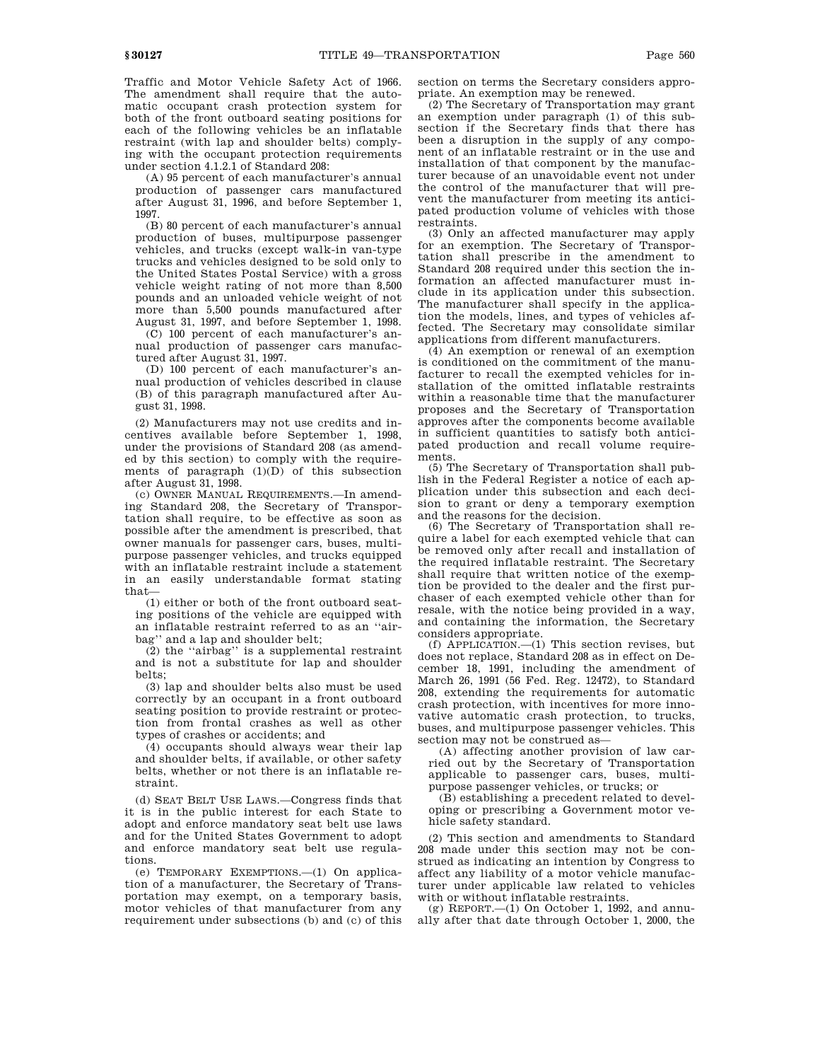Traffic and Motor Vehicle Safety Act of 1966. The amendment shall require that the automatic occupant crash protection system for both of the front outboard seating positions for each of the following vehicles be an inflatable restraint (with lap and shoulder belts) complying with the occupant protection requirements under section 4.1.2.1 of Standard 208:

(A) 95 percent of each manufacturer's annual production of passenger cars manufactured after August 31, 1996, and before September 1, 1997.

(B) 80 percent of each manufacturer's annual production of buses, multipurpose passenger vehicles, and trucks (except walk-in van-type trucks and vehicles designed to be sold only to the United States Postal Service) with a gross vehicle weight rating of not more than 8,500 pounds and an unloaded vehicle weight of not more than 5,500 pounds manufactured after August 31, 1997, and before September 1, 1998.

(C) 100 percent of each manufacturer's annual production of passenger cars manufactured after August 31, 1997.

(D) 100 percent of each manufacturer's annual production of vehicles described in clause (B) of this paragraph manufactured after August 31, 1998.

(2) Manufacturers may not use credits and incentives available before September 1, 1998, under the provisions of Standard 208 (as amended by this section) to comply with the requirements of paragraph (1)(D) of this subsection after August 31, 1998.

(c) OWNER MANUAL REQUIREMENTS.—In amending Standard 208, the Secretary of Transportation shall require, to be effective as soon as possible after the amendment is prescribed, that owner manuals for passenger cars, buses, multipurpose passenger vehicles, and trucks equipped with an inflatable restraint include a statement in an easily understandable format stating that—

(1) either or both of the front outboard seating positions of the vehicle are equipped with an inflatable restraint referred to as an ''airbag'' and a lap and shoulder belt;

(2) the ''airbag'' is a supplemental restraint and is not a substitute for lap and shoulder belts;

(3) lap and shoulder belts also must be used correctly by an occupant in a front outboard seating position to provide restraint or protection from frontal crashes as well as other types of crashes or accidents; and

(4) occupants should always wear their lap and shoulder belts, if available, or other safety belts, whether or not there is an inflatable restraint.

(d) SEAT BELT USE LAWS.—Congress finds that it is in the public interest for each State to adopt and enforce mandatory seat belt use laws and for the United States Government to adopt and enforce mandatory seat belt use regulations.

(e) TEMPORARY EXEMPTIONS.—(1) On application of a manufacturer, the Secretary of Transportation may exempt, on a temporary basis, motor vehicles of that manufacturer from any requirement under subsections (b) and (c) of this section on terms the Secretary considers appropriate. An exemption may be renewed.

(2) The Secretary of Transportation may grant an exemption under paragraph (1) of this subsection if the Secretary finds that there has been a disruption in the supply of any component of an inflatable restraint or in the use and installation of that component by the manufacturer because of an unavoidable event not under the control of the manufacturer that will prevent the manufacturer from meeting its anticipated production volume of vehicles with those restraints.

(3) Only an affected manufacturer may apply for an exemption. The Secretary of Transportation shall prescribe in the amendment to Standard 208 required under this section the information an affected manufacturer must include in its application under this subsection. The manufacturer shall specify in the application the models, lines, and types of vehicles affected. The Secretary may consolidate similar applications from different manufacturers.

(4) An exemption or renewal of an exemption is conditioned on the commitment of the manufacturer to recall the exempted vehicles for installation of the omitted inflatable restraints within a reasonable time that the manufacturer proposes and the Secretary of Transportation approves after the components become available in sufficient quantities to satisfy both anticipated production and recall volume requirements.

(5) The Secretary of Transportation shall publish in the Federal Register a notice of each application under this subsection and each decision to grant or deny a temporary exemption and the reasons for the decision.

(6) The Secretary of Transportation shall require a label for each exempted vehicle that can be removed only after recall and installation of the required inflatable restraint. The Secretary shall require that written notice of the exemption be provided to the dealer and the first purchaser of each exempted vehicle other than for resale, with the notice being provided in a way, and containing the information, the Secretary considers appropriate.

(f) APPLICATION.—(1) This section revises, but does not replace, Standard 208 as in effect on December 18, 1991, including the amendment of March 26, 1991 (56 Fed. Reg. 12472), to Standard 208, extending the requirements for automatic crash protection, with incentives for more innovative automatic crash protection, to trucks, buses, and multipurpose passenger vehicles. This section may not be construed as-

(A) affecting another provision of law carried out by the Secretary of Transportation applicable to passenger cars, buses, multipurpose passenger vehicles, or trucks; or

(B) establishing a precedent related to developing or prescribing a Government motor vehicle safety standard.

(2) This section and amendments to Standard 208 made under this section may not be construed as indicating an intention by Congress to affect any liability of a motor vehicle manufacturer under applicable law related to vehicles with or without inflatable restraints.

 $(g)$  REPORT.— $(1)$  On October 1, 1992, and annually after that date through October 1, 2000, the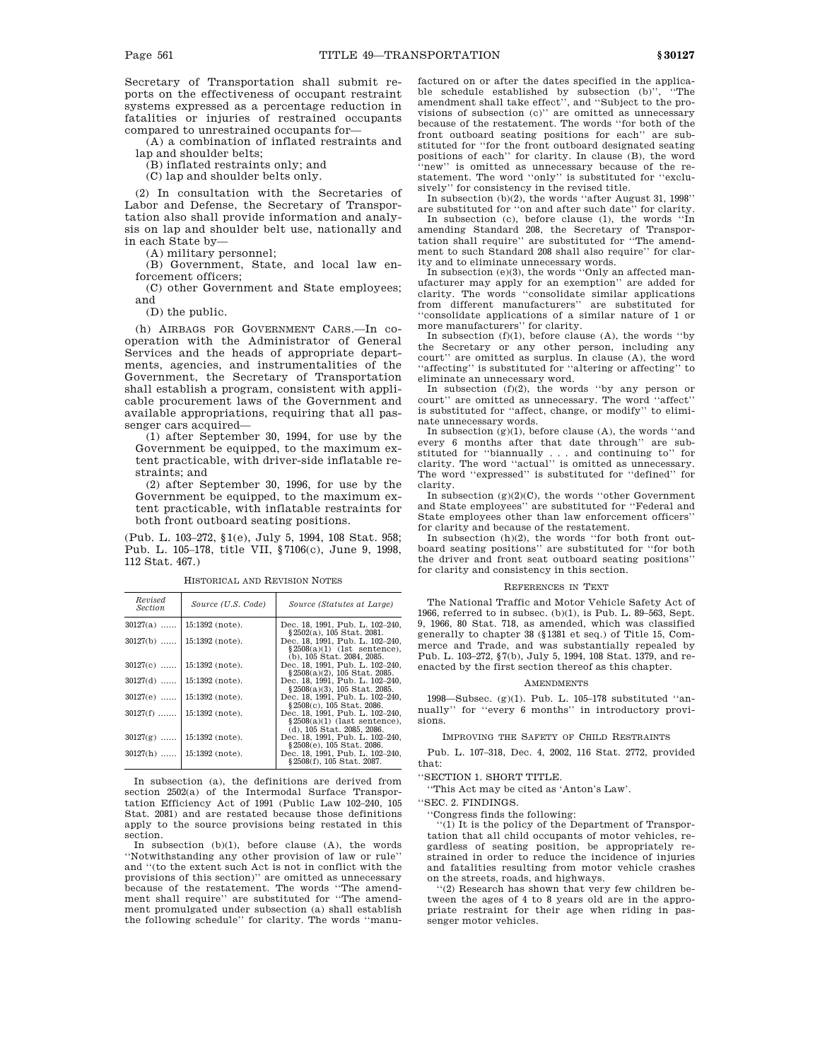Secretary of Transportation shall submit reports on the effectiveness of occupant restraint systems expressed as a percentage reduction in fatalities or injuries of restrained occupants compared to unrestrained occupants for—

(A) a combination of inflated restraints and lap and shoulder belts;

(B) inflated restraints only; and

(C) lap and shoulder belts only.

(2) In consultation with the Secretaries of Labor and Defense, the Secretary of Transportation also shall provide information and analysis on lap and shoulder belt use, nationally and in each State by—

(A) military personnel;

(B) Government, State, and local law enforcement officers;

(C) other Government and State employees; and

(D) the public.

(h) AIRBAGS FOR GOVERNMENT CARS.—In cooperation with the Administrator of General Services and the heads of appropriate departments, agencies, and instrumentalities of the Government, the Secretary of Transportation shall establish a program, consistent with applicable procurement laws of the Government and available appropriations, requiring that all passenger cars acquired-

(1) after September 30, 1994, for use by the Government be equipped, to the maximum extent practicable, with driver-side inflatable restraints; and

(2) after September 30, 1996, for use by the Government be equipped, to the maximum extent practicable, with inflatable restraints for both front outboard seating positions.

(Pub. L. 103–272, §1(e), July 5, 1994, 108 Stat. 958; Pub. L. 105–178, title VII, §7106(c), June 9, 1998, 112 Stat. 467.)

*Revised Section Source (U.S. Code) Source (Statutes at Large)*  $30127(\text{b})\ \ldots \begin{bmatrix} 15:1392 \text{ (note)} \\ 15:1392 \text{ (note)} \\ 15:1392 \text{ (note)} \\ 15:1392 \text{ (note)} \\ 15:1392 \text{ (note)} \\ 15:1392 \text{ (note)} \\ 15:1392 \text{ (note)} \\ 15:1392 \text{ (note)} \\ 15:1392 \text{ (note)} \\ 15:1392 \text{ (note)} \\ 15:1392 \text{ (note)} \\ 15:1392 \text{ (note)} \\ 15:1392 \text{ (note)} \\ 15:1$  $30127(f) \dots \dots \begin{bmatrix} 15:1392 \text{ (note)} & \text{Dec. } 18, 1991. \text{ Int. } 1.02-240, \text{ 15:1392 (note)} & \text{Dec. } 18, 1991. \text{ Put. } 10:102-40, \text{ 15:1392 (note)} & \text{2508(a)(1) (last sentence), \text{ 15:1392 (note)}} & \text{2508(a)(1) (last sentence), \text{ 15:1392 (note)}} & \text{2508(c), 105 Stat. 2086.} & \text{2508(c),$ 

HISTORICAL AND REVISION NOTES

In subsection (a), the definitions are derived from section 2502(a) of the Intermodal Surface Transportation Efficiency Act of 1991 (Public Law 102–240, 105 Stat. 2081) and are restated because those definitions apply to the source provisions being restated in this section.

In subsection (b)(1), before clause (A), the words ''Notwithstanding any other provision of law or rule'' and ''(to the extent such Act is not in conflict with the provisions of this section)'' are omitted as unnecessary because of the restatement. The words ''The amendment shall require'' are substituted for ''The amendment promulgated under subsection (a) shall establish the following schedule'' for clarity. The words ''manufactured on or after the dates specified in the applicable schedule established by subsection (b)'', ''The amendment shall take effect'', and ''Subject to the provisions of subsection (c)'' are omitted as unnecessary because of the restatement. The words ''for both of the front outboard seating positions for each'' are substituted for ''for the front outboard designated seating positions of each'' for clarity. In clause (B), the word 'new'' is omitted as unnecessary because of the restatement. The word ''only'' is substituted for ''exclusively'' for consistency in the revised title.

In subsection (b)(2), the words ''after August 31, 1998'' are substituted for ''on and after such date'' for clarity.

In subsection (c), before clause (1), the words "In amending Standard 208, the Secretary of Transportation shall require'' are substituted for ''The amendment to such Standard 208 shall also require'' for clarity and to eliminate unnecessary words. In subsection (e)(3), the words ''Only an affected man-

ufacturer may apply for an exemption'' are added for clarity. The words ''consolidate similar applications from different manufacturers'' are substituted for ''consolidate applications of a similar nature of 1 or more manufacturers'' for clarity.

In subsection  $(f)(1)$ , before clause  $(A)$ , the words "by the Secretary or any other person, including any court'' are omitted as surplus. In clause (A), the word 'affecting" is substituted for "altering or affecting" to eliminate an unnecessary word.

In subsection  $(f)(2)$ , the words "by any person or court" are omitted as unnecessary. The word "affect is substituted for ''affect, change, or modify'' to eliminate unnecessary words.

In subsection  $(g)(1)$ , before clause  $(A)$ , the words "and" every 6 months after that date through'' are substituted for ''biannually . . . and continuing to'' for clarity. The word ''actual'' is omitted as unnecessary. The word ''expressed'' is substituted for ''defined'' for clarity.

In subsection  $(g)(2)(C)$ , the words "other Government" and State employees'' are substituted for ''Federal and State employees other than law enforcement officers'' for clarity and because of the restatement.

In subsection  $(h)(2)$ , the words "for both front outboard seating positions'' are substituted for ''for both the driver and front seat outboard seating positions'' for clarity and consistency in this section.

#### REFERENCES IN TEXT

The National Traffic and Motor Vehicle Safety Act of 1966, referred to in subsec. (b)(1), is Pub. L. 89–563, Sept. 9, 1966, 80 Stat. 718, as amended, which was classified generally to chapter 38 (§1381 et seq.) of Title 15, Commerce and Trade, and was substantially repealed by Pub. L. 103–272, §7(b), July 5, 1994, 108 Stat. 1379, and reenacted by the first section thereof as this chapter.

#### AMENDMENTS

1998—Subsec. (g)(1). Pub. L. 105–178 substituted ''annually'' for ''every 6 months'' in introductory provisions.

#### IMPROVING THE SAFETY OF CHILD RESTRAINTS

Pub. L. 107–318, Dec. 4, 2002, 116 Stat. 2772, provided that:

''SECTION 1. SHORT TITLE.

''This Act may be cited as 'Anton's Law'.

''SEC. 2. FINDINGS.

''Congress finds the following:

''(1) It is the policy of the Department of Transportation that all child occupants of motor vehicles, regardless of seating position, be appropriately restrained in order to reduce the incidence of injuries and fatalities resulting from motor vehicle crashes on the streets, roads, and highways.

''(2) Research has shown that very few children between the ages of 4 to 8 years old are in the appropriate restraint for their age when riding in passenger motor vehicles.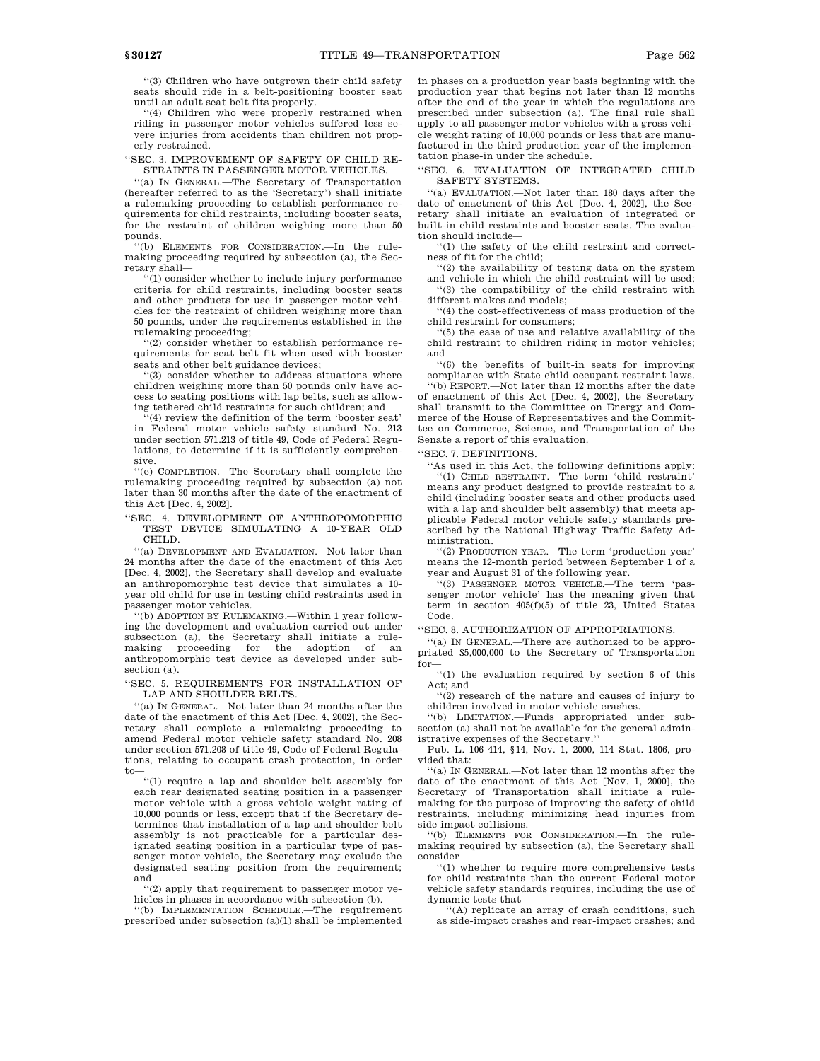''(3) Children who have outgrown their child safety seats should ride in a belt-positioning booster seat until an adult seat belt fits properly.

'(4) Children who were properly restrained when riding in passenger motor vehicles suffered less severe injuries from accidents than children not properly restrained.

''SEC. 3. IMPROVEMENT OF SAFETY OF CHILD RE-STRAINTS IN PASSENGER MOTOR VEHICLES.

''(a) IN GENERAL.—The Secretary of Transportation (hereafter referred to as the 'Secretary') shall initiate a rulemaking proceeding to establish performance requirements for child restraints, including booster seats, for the restraint of children weighing more than 50 pounds.

''(b) ELEMENTS FOR CONSIDERATION.—In the rulemaking proceeding required by subsection (a), the Secretary shall—

''(1) consider whether to include injury performance criteria for child restraints, including booster seats and other products for use in passenger motor vehicles for the restraint of children weighing more than 50 pounds, under the requirements established in the rulemaking proceeding;

''(2) consider whether to establish performance requirements for seat belt fit when used with booster seats and other belt guidance devices;

'(3) consider whether to address situations where children weighing more than 50 pounds only have access to seating positions with lap belts, such as allowing tethered child restraints for such children; and

 $(4)$  review the definition of the term 'booster seat' in Federal motor vehicle safety standard No. 213 under section 571.213 of title 49, Code of Federal Regulations, to determine if it is sufficiently comprehensive.

''(c) COMPLETION.—The Secretary shall complete the rulemaking proceeding required by subsection (a) not later than 30 months after the date of the enactment of this Act [Dec. 4, 2002].

''SEC. 4. DEVELOPMENT OF ANTHROPOMORPHIC TEST DEVICE SIMULATING A 10-YEAR OLD CHILD.

''(a) DEVELOPMENT AND EVALUATION.—Not later than 24 months after the date of the enactment of this Act [Dec. 4, 2002], the Secretary shall develop and evaluate an anthropomorphic test device that simulates a 10 year old child for use in testing child restraints used in passenger motor vehicles.

''(b) ADOPTION BY RULEMAKING.—Within 1 year following the development and evaluation carried out under subsection (a), the Secretary shall initiate a rulemaking proceeding for the adoption of an anthropomorphic test device as developed under subsection (a).

''SEC. 5. REQUIREMENTS FOR INSTALLATION OF LAP AND SHOULDER BELTS.

''(a) IN GENERAL.—Not later than 24 months after the date of the enactment of this Act [Dec. 4, 2002], the Secretary shall complete a rulemaking proceeding to amend Federal motor vehicle safety standard No. 208 under section 571.208 of title 49, Code of Federal Regulations, relating to occupant crash protection, in order to—

''(1) require a lap and shoulder belt assembly for each rear designated seating position in a passenger motor vehicle with a gross vehicle weight rating of 10,000 pounds or less, except that if the Secretary determines that installation of a lap and shoulder belt assembly is not practicable for a particular designated seating position in a particular type of passenger motor vehicle, the Secretary may exclude the designated seating position from the requirement; and

''(2) apply that requirement to passenger motor vehicles in phases in accordance with subsection (b).

''(b) IMPLEMENTATION SCHEDULE.—The requirement prescribed under subsection (a)(1) shall be implemented in phases on a production year basis beginning with the production year that begins not later than 12 months after the end of the year in which the regulations are prescribed under subsection (a). The final rule shall apply to all passenger motor vehicles with a gross vehicle weight rating of 10,000 pounds or less that are manufactured in the third production year of the implementation phase-in under the schedule.

''SEC. 6. EVALUATION OF INTEGRATED CHILD SAFETY SYSTEMS.

''(a) EVALUATION.—Not later than 180 days after the date of enactment of this Act [Dec. 4, 2002], the Secretary shall initiate an evaluation of integrated or built-in child restraints and booster seats. The evaluation should include—

''(1) the safety of the child restraint and correctness of fit for the child;

''(2) the availability of testing data on the system and vehicle in which the child restraint will be used; ''(3) the compatibility of the child restraint with different makes and models;

''(4) the cost-effectiveness of mass production of the child restraint for consumers;

''(5) the ease of use and relative availability of the child restraint to children riding in motor vehicles; and

''(6) the benefits of built-in seats for improving compliance with State child occupant restraint laws.

''(b) REPORT.—Not later than 12 months after the date of enactment of this Act [Dec. 4, 2002], the Secretary shall transmit to the Committee on Energy and Commerce of the House of Representatives and the Committee on Commerce, Science, and Transportation of the Senate a report of this evaluation.

''SEC. 7. DEFINITIONS.

''As used in this Act, the following definitions apply: ''(1) CHILD RESTRAINT.—The term 'child restraint' means any product designed to provide restraint to a child (including booster seats and other products used with a lap and shoulder belt assembly) that meets applicable Federal motor vehicle safety standards prescribed by the National Highway Traffic Safety Administration.

''(2) PRODUCTION YEAR.—The term 'production year' means the 12-month period between September 1 of a year and August 31 of the following year.

''(3) PASSENGER MOTOR VEHICLE.—The term 'passenger motor vehicle' has the meaning given that term in section 405(f)(5) of title 23, United States Code.

'SEC. 8. AUTHORIZATION OF APPROPRIATIONS.

''(a) IN GENERAL.—There are authorized to be appropriated \$5,000,000 to the Secretary of Transportation for—

''(1) the evaluation required by section 6 of this Act; and

''(2) research of the nature and causes of injury to children involved in motor vehicle crashes.

''(b) LIMITATION.—Funds appropriated under subsection (a) shall not be available for the general administrative expenses of the Secretary.''

Pub. L. 106–414, §14, Nov. 1, 2000, 114 Stat. 1806, provided that:

''(a) IN GENERAL.—Not later than 12 months after the date of the enactment of this Act [Nov. 1, 2000], the Secretary of Transportation shall initiate a rulemaking for the purpose of improving the safety of child restraints, including minimizing head injuries from side impact collisions.

''(b) ELEMENTS FOR CONSIDERATION.—In the rulemaking required by subsection (a), the Secretary shall consider—

''(1) whether to require more comprehensive tests for child restraints than the current Federal motor vehicle safety standards requires, including the use of dynamic tests that—

''(A) replicate an array of crash conditions, such as side-impact crashes and rear-impact crashes; and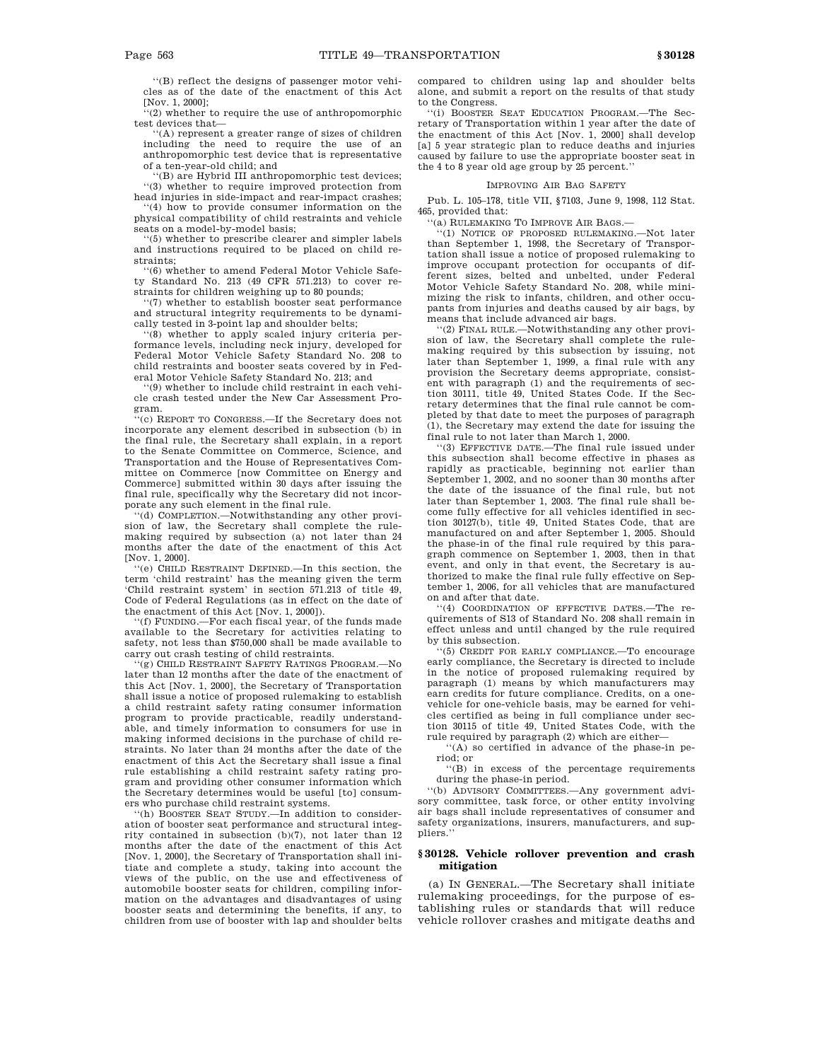''(B) reflect the designs of passenger motor vehicles as of the date of the enactment of this Act [Nov. 1, 2000];

(2) whether to require the use of anthropomorphic test devices that—

''(A) represent a greater range of sizes of children including the need to require the use of an anthropomorphic test device that is representative of a ten-year-old child; and

''(B) are Hybrid III anthropomorphic test devices; ''(3) whether to require improved protection from head injuries in side-impact and rear-impact crashes;

''(4) how to provide consumer information on the physical compatibility of child restraints and vehicle seats on a model-by-model basis;

''(5) whether to prescribe clearer and simpler labels and instructions required to be placed on child restraints;

''(6) whether to amend Federal Motor Vehicle Safety Standard No. 213 (49 CFR 571.213) to cover restraints for children weighing up to 80 pounds;

''(7) whether to establish booster seat performance and structural integrity requirements to be dynamically tested in 3-point lap and shoulder belts;

''(8) whether to apply scaled injury criteria performance levels, including neck injury, developed for Federal Motor Vehicle Safety Standard No. 208 to child restraints and booster seats covered by in Federal Motor Vehicle Safety Standard No. 213; and

''(9) whether to include child restraint in each vehicle crash tested under the New Car Assessment Program.

''(c) REPORT TO CONGRESS.—If the Secretary does not incorporate any element described in subsection (b) in the final rule, the Secretary shall explain, in a report to the Senate Committee on Commerce, Science, and Transportation and the House of Representatives Committee on Commerce [now Committee on Energy and Commerce] submitted within 30 days after issuing the final rule, specifically why the Secretary did not incorporate any such element in the final rule.

''(d) COMPLETION.—Notwithstanding any other provision of law, the Secretary shall complete the rulemaking required by subsection (a) not later than 24 months after the date of the enactment of this Act [Nov. 1, 2000].

''(e) CHILD RESTRAINT DEFINED.—In this section, the term 'child restraint' has the meaning given the term 'Child restraint system' in section 571.213 of title 49, Code of Federal Regulations (as in effect on the date of the enactment of this Act [Nov. 1, 2000]).

''(f) FUNDING.—For each fiscal year, of the funds made available to the Secretary for activities relating to safety, not less than \$750,000 shall be made available to carry out crash testing of child restraints.

''(g) CHILD RESTRAINT SAFETY RATINGS PROGRAM.—No later than 12 months after the date of the enactment of this Act [Nov. 1, 2000], the Secretary of Transportation shall issue a notice of proposed rulemaking to establish a child restraint safety rating consumer information program to provide practicable, readily understandable, and timely information to consumers for use in making informed decisions in the purchase of child restraints. No later than 24 months after the date of the enactment of this Act the Secretary shall issue a final rule establishing a child restraint safety rating program and providing other consumer information which the Secretary determines would be useful [to] consumers who purchase child restraint systems.

'(h) BOOSTER SEAT STUDY.—In addition to consideration of booster seat performance and structural integrity contained in subsection (b)(7), not later than 12 months after the date of the enactment of this Act [Nov. 1, 2000], the Secretary of Transportation shall initiate and complete a study, taking into account the views of the public, on the use and effectiveness of automobile booster seats for children, compiling information on the advantages and disadvantages of using booster seats and determining the benefits, if any, to children from use of booster with lap and shoulder belts

compared to children using lap and shoulder belts alone, and submit a report on the results of that study to the Congress.

''(i) BOOSTER SEAT EDUCATION PROGRAM.—The Secretary of Transportation within 1 year after the date of the enactment of this Act [Nov. 1, 2000] shall develop [a] 5 year strategic plan to reduce deaths and injuries caused by failure to use the appropriate booster seat in the 4 to 8 year old age group by 25 percent.''

# IMPROVING AIR BAG SAFETY

Pub. L. 105–178, title VII, §7103, June 9, 1998, 112 Stat. 465, provided that:

''(a) RULEMAKING TO IMPROVE AIR BAGS.—

''(1) NOTICE OF PROPOSED RULEMAKING.—Not later than September 1, 1998, the Secretary of Transportation shall issue a notice of proposed rulemaking to improve occupant protection for occupants of different sizes, belted and unbelted, under Federal Motor Vehicle Safety Standard No. 208, while minimizing the risk to infants, children, and other occupants from injuries and deaths caused by air bags, by means that include advanced air bags.

''(2) FINAL RULE.—Notwithstanding any other provision of law, the Secretary shall complete the rulemaking required by this subsection by issuing, not later than September 1, 1999, a final rule with any provision the Secretary deems appropriate, consistent with paragraph (1) and the requirements of section 30111, title 49, United States Code. If the Secretary determines that the final rule cannot be completed by that date to meet the purposes of paragraph (1), the Secretary may extend the date for issuing the final rule to not later than March 1, 2000.

''(3) EFFECTIVE DATE.—The final rule issued under this subsection shall become effective in phases as rapidly as practicable, beginning not earlier than September 1, 2002, and no sooner than 30 months after the date of the issuance of the final rule, but not later than September 1, 2003. The final rule shall become fully effective for all vehicles identified in section 30127(b), title 49, United States Code, that are manufactured on and after September 1, 2005. Should the phase-in of the final rule required by this paragraph commence on September 1, 2003, then in that event, and only in that event, the Secretary is authorized to make the final rule fully effective on September 1, 2006, for all vehicles that are manufactured on and after that date.

''(4) COORDINATION OF EFFECTIVE DATES.—The requirements of S13 of Standard No. 208 shall remain in effect unless and until changed by the rule required by this subsection.

 $(5)$  CREDIT FOR EARLY COMPLIANCE.—To encourage early compliance, the Secretary is directed to include in the notice of proposed rulemaking required by paragraph (1) means by which manufacturers may earn credits for future compliance. Credits, on a onevehicle for one-vehicle basis, may be earned for vehicles certified as being in full compliance under section 30115 of title 49, United States Code, with the rule required by paragraph (2) which are either—

''(A) so certified in advance of the phase-in period; or

''(B) in excess of the percentage requirements during the phase-in period.

''(b) ADVISORY COMMITTEES.—Any government advisory committee, task force, or other entity involving air bags shall include representatives of consumer and safety organizations, insurers, manufacturers, and suppliers.

# **§ 30128. Vehicle rollover prevention and crash mitigation**

(a) IN GENERAL.—The Secretary shall initiate rulemaking proceedings, for the purpose of establishing rules or standards that will reduce vehicle rollover crashes and mitigate deaths and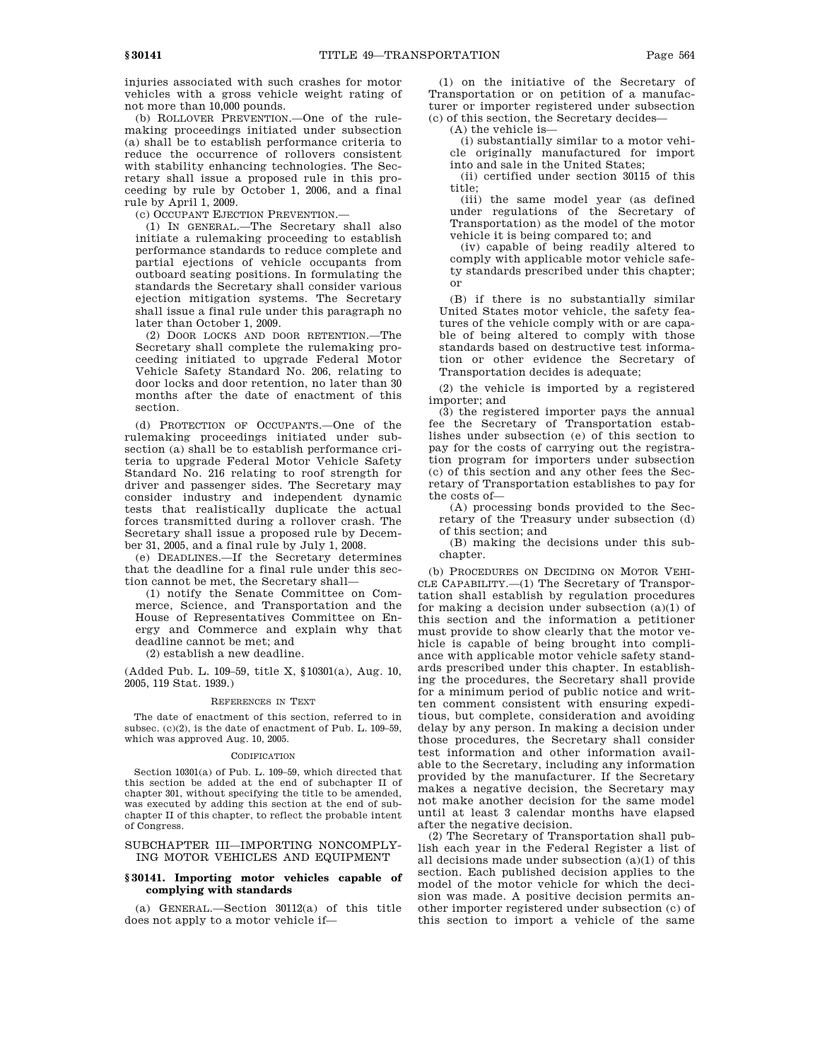injuries associated with such crashes for motor vehicles with a gross vehicle weight rating of not more than 10,000 pounds.

(b) ROLLOVER PREVENTION.—One of the rulemaking proceedings initiated under subsection (a) shall be to establish performance criteria to reduce the occurrence of rollovers consistent with stability enhancing technologies. The Secretary shall issue a proposed rule in this proceeding by rule by October 1, 2006, and a final rule by April 1, 2009.

(c) OCCUPANT EJECTION PREVENTION.—

(1) IN GENERAL.—The Secretary shall also initiate a rulemaking proceeding to establish performance standards to reduce complete and partial ejections of vehicle occupants from outboard seating positions. In formulating the standards the Secretary shall consider various ejection mitigation systems. The Secretary shall issue a final rule under this paragraph no later than October 1, 2009.

(2) DOOR LOCKS AND DOOR RETENTION.—The Secretary shall complete the rulemaking proceeding initiated to upgrade Federal Motor Vehicle Safety Standard No. 206, relating to door locks and door retention, no later than 30 months after the date of enactment of this section.

(d) PROTECTION OF OCCUPANTS.—One of the rulemaking proceedings initiated under subsection (a) shall be to establish performance criteria to upgrade Federal Motor Vehicle Safety Standard No. 216 relating to roof strength for driver and passenger sides. The Secretary may consider industry and independent dynamic tests that realistically duplicate the actual forces transmitted during a rollover crash. The Secretary shall issue a proposed rule by December 31, 2005, and a final rule by July 1, 2008.

(e) DEADLINES.—If the Secretary determines that the deadline for a final rule under this section cannot be met, the Secretary shall—

(1) notify the Senate Committee on Commerce, Science, and Transportation and the House of Representatives Committee on Energy and Commerce and explain why that deadline cannot be met; and

(2) establish a new deadline.

(Added Pub. L. 109–59, title X, §10301(a), Aug. 10, 2005, 119 Stat. 1939.)

# REFERENCES IN TEXT

The date of enactment of this section, referred to in subsec. (c)(2), is the date of enactment of Pub. L. 109–59, which was approved Aug. 10, 2005.

#### CODIFICATION

Section 10301(a) of Pub. L. 109–59, which directed that this section be added at the end of subchapter II of chapter 301, without specifying the title to be amended, was executed by adding this section at the end of subchapter II of this chapter, to reflect the probable intent of Congress.

# SUBCHAPTER III—IMPORTING NONCOMPLY-ING MOTOR VEHICLES AND EQUIPMENT

# **§ 30141. Importing motor vehicles capable of complying with standards**

(a) GENERAL.—Section 30112(a) of this title does not apply to a motor vehicle if—

(1) on the initiative of the Secretary of Transportation or on petition of a manufacturer or importer registered under subsection (c) of this section, the Secretary decides—

(A) the vehicle is—

(i) substantially similar to a motor vehicle originally manufactured for import into and sale in the United States;

(ii) certified under section 30115 of this title;

(iii) the same model year (as defined under regulations of the Secretary of Transportation) as the model of the motor vehicle it is being compared to; and

(iv) capable of being readily altered to comply with applicable motor vehicle safety standards prescribed under this chapter; or

(B) if there is no substantially similar United States motor vehicle, the safety features of the vehicle comply with or are capable of being altered to comply with those standards based on destructive test information or other evidence the Secretary of Transportation decides is adequate;

(2) the vehicle is imported by a registered importer; and

(3) the registered importer pays the annual fee the Secretary of Transportation establishes under subsection (e) of this section to pay for the costs of carrying out the registration program for importers under subsection (c) of this section and any other fees the Secretary of Transportation establishes to pay for the costs of—

(A) processing bonds provided to the Secretary of the Treasury under subsection (d) of this section; and

(B) making the decisions under this subchapter.

(b) PROCEDURES ON DECIDING ON MOTOR VEHI-CLE CAPABILITY.—(1) The Secretary of Transportation shall establish by regulation procedures for making a decision under subsection  $(a)(1)$  of this section and the information a petitioner must provide to show clearly that the motor vehicle is capable of being brought into compliance with applicable motor vehicle safety standards prescribed under this chapter. In establishing the procedures, the Secretary shall provide for a minimum period of public notice and written comment consistent with ensuring expeditious, but complete, consideration and avoiding delay by any person. In making a decision under those procedures, the Secretary shall consider test information and other information available to the Secretary, including any information provided by the manufacturer. If the Secretary makes a negative decision, the Secretary may not make another decision for the same model until at least 3 calendar months have elapsed after the negative decision.

(2) The Secretary of Transportation shall publish each year in the Federal Register a list of all decisions made under subsection (a)(1) of this section. Each published decision applies to the model of the motor vehicle for which the decision was made. A positive decision permits another importer registered under subsection (c) of this section to import a vehicle of the same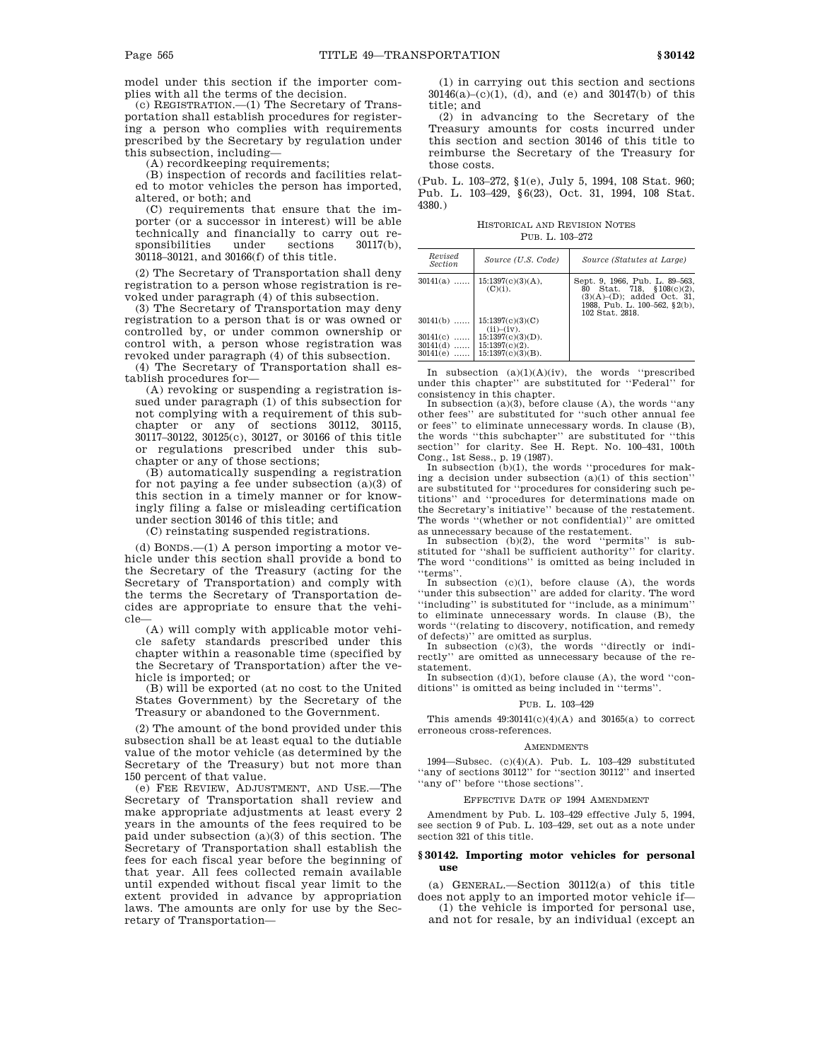model under this section if the importer complies with all the terms of the decision.

(c) REGISTRATION.—(1) The Secretary of Transportation shall establish procedures for registering a person who complies with requirements prescribed by the Secretary by regulation under this subsection, including—

(A) recordkeeping requirements;

(B) inspection of records and facilities related to motor vehicles the person has imported, altered, or both; and

(C) requirements that ensure that the importer (or a successor in interest) will be able technically and financially to carry out responsibilities under sections 30117(b), 30118–30121, and 30166(f) of this title.

(2) The Secretary of Transportation shall deny registration to a person whose registration is revoked under paragraph (4) of this subsection.

(3) The Secretary of Transportation may deny registration to a person that is or was owned or controlled by, or under common ownership or control with, a person whose registration was revoked under paragraph (4) of this subsection.

(4) The Secretary of Transportation shall establish procedures for—

(A) revoking or suspending a registration issued under paragraph (1) of this subsection for not complying with a requirement of this subchapter or any of sections 30112, 30115, 30117–30122, 30125(c), 30127, or 30166 of this title or regulations prescribed under this subchapter or any of those sections;

(B) automatically suspending a registration for not paying a fee under subsection (a)(3) of this section in a timely manner or for knowingly filing a false or misleading certification under section 30146 of this title; and

(C) reinstating suspended registrations.

(d) BONDS.—(1) A person importing a motor vehicle under this section shall provide a bond to the Secretary of the Treasury (acting for the Secretary of Transportation) and comply with the terms the Secretary of Transportation decides are appropriate to ensure that the vehicle—

(A) will comply with applicable motor vehicle safety standards prescribed under this chapter within a reasonable time (specified by the Secretary of Transportation) after the vehicle is imported; or

(B) will be exported (at no cost to the United States Government) by the Secretary of the Treasury or abandoned to the Government.

(2) The amount of the bond provided under this subsection shall be at least equal to the dutiable value of the motor vehicle (as determined by the Secretary of the Treasury) but not more than 150 percent of that value.

(e) FEE REVIEW, ADJUSTMENT, AND USE.—The Secretary of Transportation shall review and make appropriate adjustments at least every 2 years in the amounts of the fees required to be paid under subsection (a)(3) of this section. The Secretary of Transportation shall establish the fees for each fiscal year before the beginning of that year. All fees collected remain available until expended without fiscal year limit to the extent provided in advance by appropriation laws. The amounts are only for use by the Secretary of Transportation—

(1) in carrying out this section and sections 30146(a)–(c)(1), (d), and (e) and 30147(b) of this title; and

(2) in advancing to the Secretary of the Treasury amounts for costs incurred under this section and section 30146 of this title to reimburse the Secretary of the Treasury for those costs.

(Pub. L. 103–272, §1(e), July 5, 1994, 108 Stat. 960; Pub. L. 103–429, §6(23), Oct. 31, 1994, 108 Stat. 4380.)

HISTORICAL AND REVISION NOTES PUB. L. 103–272

| Revised<br><b>Section</b>                                           | Source (U.S. Code)                                                                                                                     | Source (Statutes at Large)                                                                                                                                 |
|---------------------------------------------------------------------|----------------------------------------------------------------------------------------------------------------------------------------|------------------------------------------------------------------------------------------------------------------------------------------------------------|
| $30141(a)$<br>$30141(b)$<br>30141(c)<br>.<br>$30141(d)$<br>30141(e) | 15:1397(c)(3)(A),<br>$(C)(i)$ .<br>15:1397(c)(3)(C)<br>(ii)–(iv).<br>$15:1397(c)(3)(D)$ .<br>$15:1397(c)(2)$ .<br>$15:1397(c)(3)(B)$ . | Sept. 9, 1966, Pub. L. 89-563,<br>Stat. 718, $$108(c)(2)$ ,<br>80<br>$(3)(A)$ – $(D)$ ; added Oct. 31,<br>1988. Pub. L. 100-562. §2(b).<br>102 Stat. 2818. |

In subsection  $(a)(1)(A)(iv)$ , the words "prescribed" under this chapter'' are substituted for ''Federal'' for consistency in this chapter.

In subsection  $(a)(3)$ , before clause  $(A)$ , the words "any other fees'' are substituted for ''such other annual fee or fees'' to eliminate unnecessary words. In clause (B), the words ''this subchapter'' are substituted for ''this section'' for clarity. See H. Rept. No. 100–431, 100th

Cong., 1st Sess., p. 19 (1987). In subsection (b)(1), the words ''procedures for making a decision under subsection  $(a)(1)$  of this section'' are substituted for ''procedures for considering such petitions'' and ''procedures for determinations made on the Secretary's initiative'' because of the restatement. The words ''(whether or not confidential)'' are omitted as unnecessary because of the restatement.

In subsection (b)(2), the word "permits" is substituted for ''shall be sufficient authority'' for clarity. The word "conditions" is omitted as being included in 'terms'

In subsection (c)(1), before clause (A), the words ''under this subsection'' are added for clarity. The word ''including'' is substituted for ''include, as a minimum'' to eliminate unnecessary words. In clause (B), the words ''(relating to discovery, notification, and remedy of defects)'' are omitted as surplus.

In subsection (c)(3), the words "directly or indirectly'' are omitted as unnecessary because of the restatement.

In subsection (d)(1), before clause (A), the word ''conditions'' is omitted as being included in ''terms''.

#### PUB. L. 103–429

This amends  $49:30141(c)(4)(A)$  and  $30165(a)$  to correct erroneous cross-references.

#### AMENDMENTS

1994—Subsec. (c)(4)(A). Pub. L. 103–429 substituted ''any of sections 30112'' for ''section 30112'' and inserted ''any of'' before ''those sections''.

### EFFECTIVE DATE OF 1994 AMENDMENT

Amendment by Pub. L. 103–429 effective July 5, 1994, see section 9 of Pub. L. 103–429, set out as a note under section 321 of this title.

# **§ 30142. Importing motor vehicles for personal use**

(a) GENERAL.—Section 30112(a) of this title does not apply to an imported motor vehicle if—

(1) the vehicle is imported for personal use, and not for resale, by an individual (except an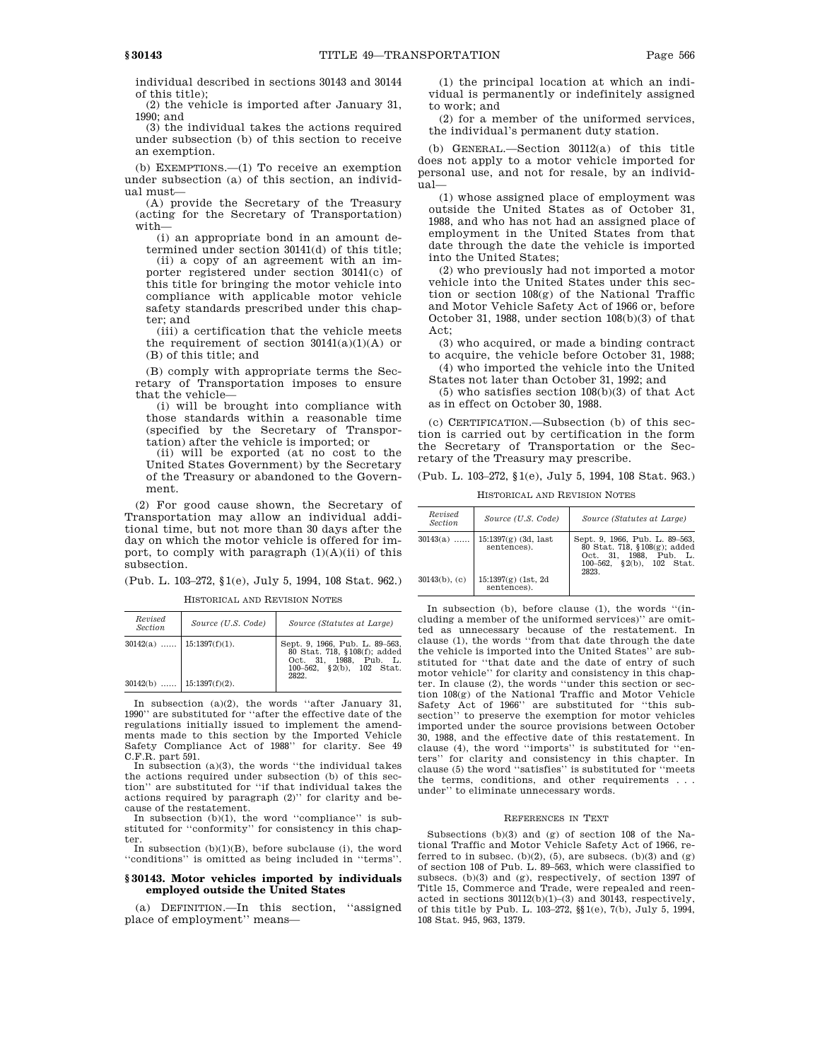individual described in sections 30143 and 30144 of this title);

(2) the vehicle is imported after January 31, 1990; and

(3) the individual takes the actions required under subsection (b) of this section to receive an exemption.

(b) EXEMPTIONS.—(1) To receive an exemption under subsection (a) of this section, an individual must—

(A) provide the Secretary of the Treasury (acting for the Secretary of Transportation) with—

(i) an appropriate bond in an amount determined under section 30141(d) of this title;

(ii) a copy of an agreement with an importer registered under section 30141(c) of this title for bringing the motor vehicle into compliance with applicable motor vehicle safety standards prescribed under this chapter; and

(iii) a certification that the vehicle meets the requirement of section  $30141(a)(1)(A)$  or (B) of this title; and

(B) comply with appropriate terms the Secretary of Transportation imposes to ensure that the vehicle—

(i) will be brought into compliance with those standards within a reasonable time (specified by the Secretary of Transportation) after the vehicle is imported; or

(ii) will be exported (at no cost to the United States Government) by the Secretary of the Treasury or abandoned to the Government.

(2) For good cause shown, the Secretary of Transportation may allow an individual additional time, but not more than 30 days after the day on which the motor vehicle is offered for import, to comply with paragraph  $(1)(A)(ii)$  of this subsection.

(Pub. L. 103–272, §1(e), July 5, 1994, 108 Stat. 962.)

HISTORICAL AND REVISION NOTES

| Revised<br>Section          | Source (U.S. Code) | Source (Statutes at Large)                                                                                                     |
|-----------------------------|--------------------|--------------------------------------------------------------------------------------------------------------------------------|
| $30142(a)$   15:1397(f)(1). |                    | Sept. 9, 1966, Pub. L. 89-563,<br>80 Stat. 718, §108(f); added<br>Oct. 31. 1988. Pub. L.<br>100-562, §2(b), 102 Stat.<br>2822. |
| $30142(b)$   15:1397(f)(2). |                    |                                                                                                                                |

In subsection (a)(2), the words ''after January 31, 1990'' are substituted for ''after the effective date of the regulations initially issued to implement the amendments made to this section by the Imported Vehicle Safety Compliance Act of 1988'' for clarity. See 49 C.F.R. part 591.

In subsection (a)(3), the words ''the individual takes the actions required under subsection (b) of this section'' are substituted for ''if that individual takes the actions required by paragraph (2)'' for clarity and because of the restatement.

In subsection (b)(1), the word ''compliance'' is substituted for ''conformity'' for consistency in this chapter.

In subsection  $(b)(1)(B)$ , before subclause (i), the word ''conditions'' is omitted as being included in ''terms''.

# **§ 30143. Motor vehicles imported by individuals employed outside the United States**

(a) DEFINITION.—In this section, ''assigned place of employment'' means—

(1) the principal location at which an individual is permanently or indefinitely assigned to work; and

(2) for a member of the uniformed services, the individual's permanent duty station.

(b) GENERAL.—Section 30112(a) of this title does not apply to a motor vehicle imported for personal use, and not for resale, by an individual—

(1) whose assigned place of employment was outside the United States as of October 31, 1988, and who has not had an assigned place of employment in the United States from that date through the date the vehicle is imported into the United States;

(2) who previously had not imported a motor vehicle into the United States under this section or section 108(g) of the National Traffic and Motor Vehicle Safety Act of 1966 or, before October 31, 1988, under section 108(b)(3) of that  $Act$ 

(3) who acquired, or made a binding contract to acquire, the vehicle before October 31, 1988;

(4) who imported the vehicle into the United States not later than October 31, 1992; and

(5) who satisfies section 108(b)(3) of that Act as in effect on October 30, 1988.

(c) CERTIFICATION.—Subsection (b) of this section is carried out by certification in the form the Secretary of Transportation or the Secretary of the Treasury may prescribe.

(Pub. L. 103–272, §1(e), July 5, 1994, 108 Stat. 963.)

HISTORICAL AND REVISION NOTES

| Revised<br><b>Section</b> | Source (U.S. Code)                    | Source (Statutes at Large)                                                                                                     |
|---------------------------|---------------------------------------|--------------------------------------------------------------------------------------------------------------------------------|
| $30143(a)$                | $15:1397(g)$ (3d, last<br>sentences). | Sept. 9, 1966, Pub. L. 89-563,<br>80 Stat. 718, §108(g); added<br>Oct. 31. 1988. Pub. L.<br>100-562, §2(b), 102 Stat.<br>2823. |
| $30143(b)$ , (c)          | $15:1397(g)$ (1st, 2d)<br>sentences). |                                                                                                                                |

In subsection (b), before clause (1), the words ''(including a member of the uniformed services)'' are omitted as unnecessary because of the restatement. In clause (1), the words ''from that date through the date the vehicle is imported into the United States'' are substituted for ''that date and the date of entry of such motor vehicle'' for clarity and consistency in this chapter. In clause (2), the words ''under this section or section 108(g) of the National Traffic and Motor Vehicle Safety Act of 1966'' are substituted for ''this subsection'' to preserve the exemption for motor vehicles imported under the source provisions between October 30, 1988, and the effective date of this restatement. In clause (4), the word ''imports'' is substituted for ''enters'' for clarity and consistency in this chapter. In clause (5) the word ''satisfies'' is substituted for ''meets the terms, conditions, and other requirements . . . under'' to eliminate unnecessary words.

### REFERENCES IN TEXT

Subsections (b)(3) and (g) of section 108 of the National Traffic and Motor Vehicle Safety Act of 1966, referred to in subsec.  $(b)(2)$ ,  $(5)$ , are subsecs.  $(b)(3)$  and  $(g)$ of section 108 of Pub. L. 89–563, which were classified to subsecs. (b)(3) and (g), respectively, of section 1397 of Title 15, Commerce and Trade, were repealed and reenacted in sections  $30112(b)(1)-(3)$  and  $30143$ , respectively, of this title by Pub. L. 103–272, §§1(e), 7(b), July 5, 1994, 108 Stat. 945, 963, 1379.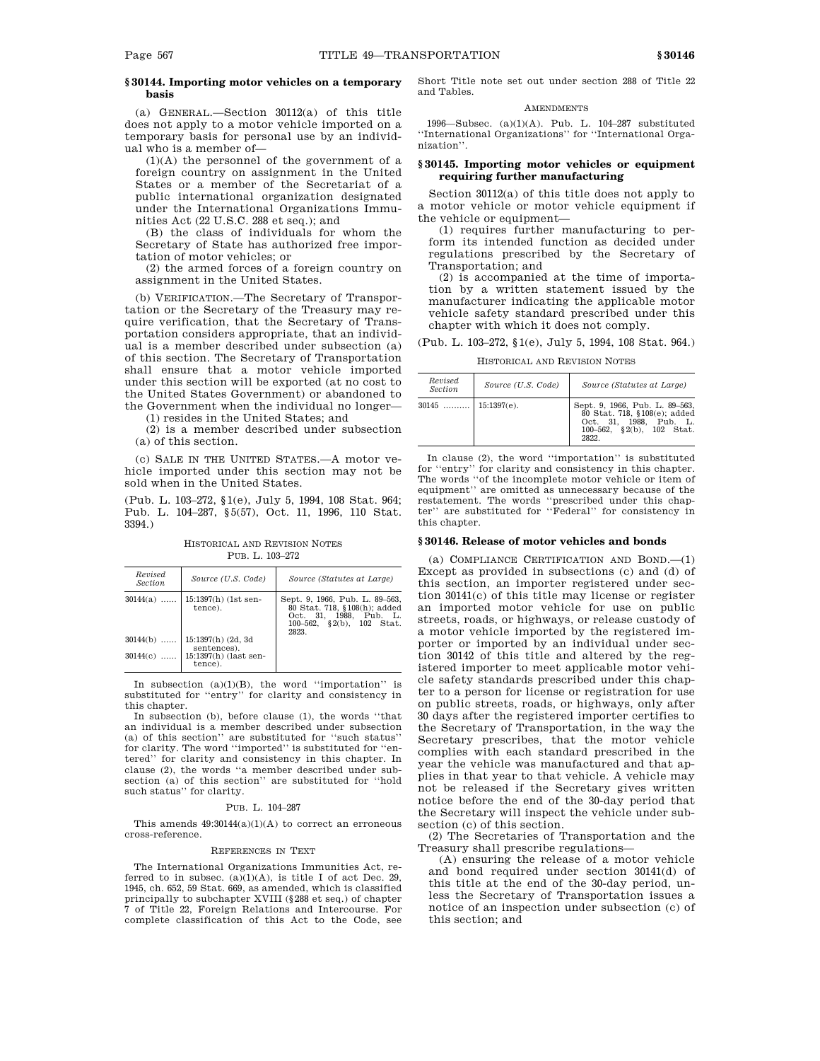# **§ 30144. Importing motor vehicles on a temporary basis**

(a) GENERAL.—Section 30112(a) of this title does not apply to a motor vehicle imported on a temporary basis for personal use by an individual who is a member of—

 $(1)(A)$  the personnel of the government of a foreign country on assignment in the United States or a member of the Secretariat of a public international organization designated under the International Organizations Immunities Act (22 U.S.C. 288 et seq.); and

(B) the class of individuals for whom the Secretary of State has authorized free importation of motor vehicles; or

(2) the armed forces of a foreign country on assignment in the United States.

(b) VERIFICATION.—The Secretary of Transportation or the Secretary of the Treasury may require verification, that the Secretary of Transportation considers appropriate, that an individual is a member described under subsection (a) of this section. The Secretary of Transportation shall ensure that a motor vehicle imported under this section will be exported (at no cost to the United States Government) or abandoned to the Government when the individual no longer—

(1) resides in the United States; and

(2) is a member described under subsection (a) of this section.

(c) SALE IN THE UNITED STATES.—A motor vehicle imported under this section may not be sold when in the United States.

(Pub. L. 103–272, §1(e), July 5, 1994, 108 Stat. 964; Pub. L. 104–287, §5(57), Oct. 11, 1996, 110 Stat. 3394.)

HISTORICAL AND REVISION NOTES PUB. L. 103–272

| Revised<br><i>Section</i>            | Source (U.S. Code)                                                                                         | Source (Statutes at Large)                                                                                                     |
|--------------------------------------|------------------------------------------------------------------------------------------------------------|--------------------------------------------------------------------------------------------------------------------------------|
| $30144(a)$<br>$30144(b)$<br>30144(c) | $15:1397(h)$ (1st sen-<br>tence).<br>15:1397(h) (2d, 3d<br>sentences).<br>15:1397(h) (last sen-<br>tence). | Sept. 9, 1966, Pub. L. 89–563,<br>80 Stat. 718, §108(h); added<br>Oct. 31. 1988. Pub. L.<br>100-562, §2(b), 102 Stat.<br>2823. |

In subsection  $(a)(1)(B)$ , the word "importation" is substituted for ''entry'' for clarity and consistency in this chapter.

In subsection (b), before clause (1), the words ''that an individual is a member described under subsection (a) of this section'' are substituted for ''such status'' for clarity. The word ''imported'' is substituted for ''entered'' for clarity and consistency in this chapter. In clause (2), the words ''a member described under subsection (a) of this section'' are substituted for ''hold such status'' for clarity.

# PUB. L. 104-287

This amends  $49:30144(a)(1)(A)$  to correct an erroneous cross-reference.

#### REFERENCES IN TEXT

The International Organizations Immunities Act, referred to in subsec.  $(a)(1)(A)$ , is title I of act Dec. 29, 1945, ch. 652, 59 Stat. 669, as amended, which is classified principally to subchapter XVIII (§288 et seq.) of chapter 7 of Title 22, Foreign Relations and Intercourse. For complete classification of this Act to the Code, see

Short Title note set out under section 288 of Title 22 and Tables.

# AMENDMENTS

1996—Subsec. (a)(1)(A). Pub. L. 104–287 substituted ''International Organizations'' for ''International Organization''.

# **§ 30145. Importing motor vehicles or equipment requiring further manufacturing**

Section 30112(a) of this title does not apply to a motor vehicle or motor vehicle equipment if the vehicle or equipment—

(1) requires further manufacturing to perform its intended function as decided under regulations prescribed by the Secretary of Transportation; and

(2) is accompanied at the time of importation by a written statement issued by the manufacturer indicating the applicable motor vehicle safety standard prescribed under this chapter with which it does not comply.

(Pub. L. 103–272, §1(e), July 5, 1994, 108 Stat. 964.)

HISTORICAL AND REVISION NOTES

| Revised<br>Section    | Source (U.S. Code) | Source (Statutes at Large)                                                                                                     |
|-----------------------|--------------------|--------------------------------------------------------------------------------------------------------------------------------|
| $30145$   15:1397(e). |                    | Sept. 9, 1966, Pub. L. 89-563,<br>80 Stat. 718, §108(e); added<br>Oct. 31. 1988. Pub. L.<br>100-562, §2(b), 102 Stat.<br>2822. |

In clause (2), the word ''importation'' is substituted for ''entry'' for clarity and consistency in this chapter. The words ''of the incomplete motor vehicle or item of equipment'' are omitted as unnecessary because of the restatement. The words ''prescribed under this chapter'' are substituted for ''Federal'' for consistency in this chapter.

# **§ 30146. Release of motor vehicles and bonds**

(a) COMPLIANCE CERTIFICATION AND BOND.—(1) Except as provided in subsections (c) and (d) of this section, an importer registered under section 30141(c) of this title may license or register an imported motor vehicle for use on public streets, roads, or highways, or release custody of a motor vehicle imported by the registered importer or imported by an individual under section 30142 of this title and altered by the registered importer to meet applicable motor vehicle safety standards prescribed under this chapter to a person for license or registration for use on public streets, roads, or highways, only after 30 days after the registered importer certifies to the Secretary of Transportation, in the way the Secretary prescribes, that the motor vehicle complies with each standard prescribed in the year the vehicle was manufactured and that applies in that year to that vehicle. A vehicle may not be released if the Secretary gives written notice before the end of the 30-day period that the Secretary will inspect the vehicle under subsection (c) of this section.

(2) The Secretaries of Transportation and the Treasury shall prescribe regulations—

(A) ensuring the release of a motor vehicle and bond required under section 30141(d) of this title at the end of the 30-day period, unless the Secretary of Transportation issues a notice of an inspection under subsection (c) of this section; and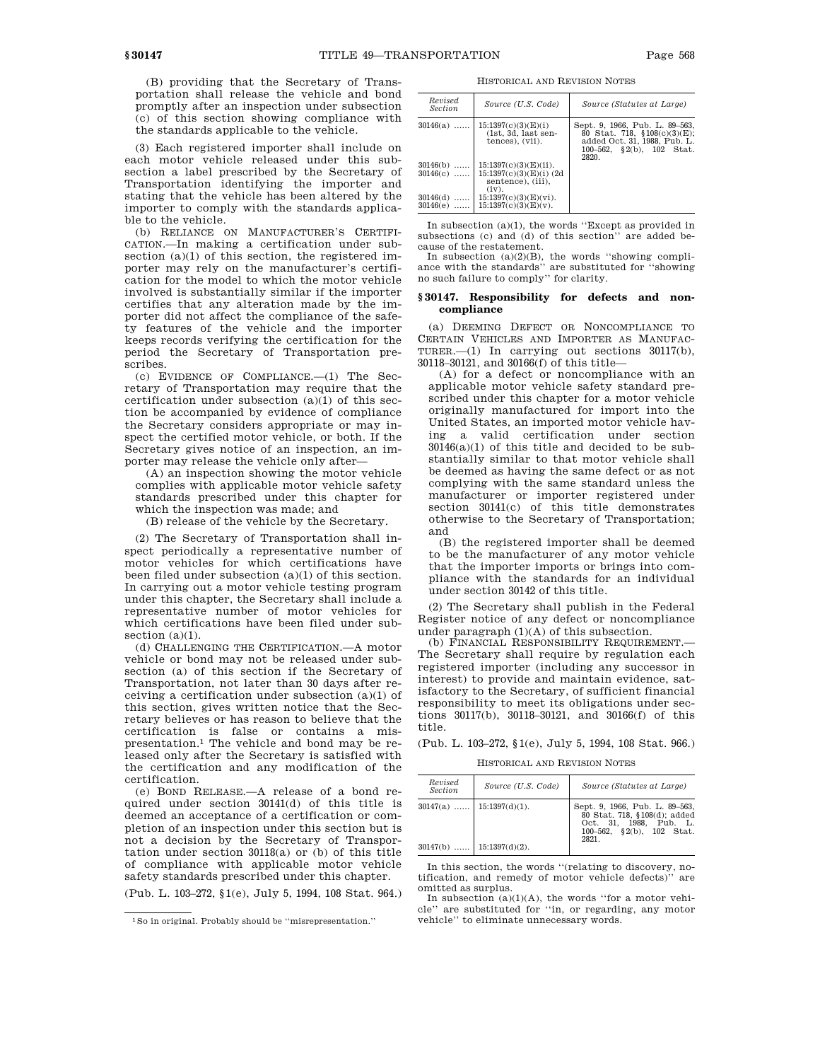(B) providing that the Secretary of Transportation shall release the vehicle and bond promptly after an inspection under subsection (c) of this section showing compliance with the standards applicable to the vehicle.

(3) Each registered importer shall include on each motor vehicle released under this subsection a label prescribed by the Secretary of Transportation identifying the importer and stating that the vehicle has been altered by the importer to comply with the standards applicable to the vehicle.

(b) RELIANCE ON MANUFACTURER'S CERTIFI-CATION.—In making a certification under subsection (a)(1) of this section, the registered importer may rely on the manufacturer's certification for the model to which the motor vehicle involved is substantially similar if the importer certifies that any alteration made by the importer did not affect the compliance of the safety features of the vehicle and the importer keeps records verifying the certification for the period the Secretary of Transportation prescribes.

(c) EVIDENCE OF COMPLIANCE.—(1) The Secretary of Transportation may require that the certification under subsection (a)(1) of this section be accompanied by evidence of compliance the Secretary considers appropriate or may inspect the certified motor vehicle, or both. If the Secretary gives notice of an inspection, an importer may release the vehicle only after—

(A) an inspection showing the motor vehicle complies with applicable motor vehicle safety standards prescribed under this chapter for which the inspection was made; and

(B) release of the vehicle by the Secretary.

(2) The Secretary of Transportation shall inspect periodically a representative number of motor vehicles for which certifications have been filed under subsection (a)(1) of this section. In carrying out a motor vehicle testing program under this chapter, the Secretary shall include a representative number of motor vehicles for which certifications have been filed under subsection (a)(1).

(d) CHALLENGING THE CERTIFICATION.—A motor vehicle or bond may not be released under subsection (a) of this section if the Secretary of Transportation, not later than 30 days after receiving a certification under subsection (a)(1) of this section, gives written notice that the Secretary believes or has reason to believe that the certification is false or contains a mispresentation.1 The vehicle and bond may be released only after the Secretary is satisfied with the certification and any modification of the certification.

(e) BOND RELEASE.—A release of a bond required under section 30141(d) of this title is deemed an acceptance of a certification or completion of an inspection under this section but is not a decision by the Secretary of Transportation under section 30118(a) or (b) of this title of compliance with applicable motor vehicle safety standards prescribed under this chapter.

(Pub. L. 103–272, §1(e), July 5, 1994, 108 Stat. 964.)

HISTORICAL AND REVISION NOTES

| Revised<br>Section       | Source (U.S. Code)                                                                  | Source (Statutes at Large)                                                                                                                  |
|--------------------------|-------------------------------------------------------------------------------------|---------------------------------------------------------------------------------------------------------------------------------------------|
| $30146(a)$               | 15:1397(c)(3)(E)(i)<br>$(1st, 3d, last sen-$<br>tences), (vii).                     | Sept. 9, 1966, Pub. L. 89-563,<br>80 Stat. 718, §108(c)(3)(E);<br>added Oct. 31, 1988, Pub. L.<br>$\S2(b)$ , 102 Stat.<br>100–562.<br>2820. |
| $30146(b)$<br>$30146(c)$ | $15:1397(c)(3)(E)(ii)$ .<br>$15:1397(c)(3)(E)(i)$ (2d<br>sentence). (iii).<br>(iv). |                                                                                                                                             |
| $30146(d)$<br>$30146(e)$ | $15:1397(c)(3)(E)(vi)$ .<br>$15:1397(c)(3)(E)(v)$ .                                 |                                                                                                                                             |

In subsection (a)(1), the words ''Except as provided in subsections (c) and (d) of this section'' are added because of the restatement.

In subsection  $(a)(2)(B)$ , the words "showing compliance with the standards'' are substituted for ''showing no such failure to comply'' for clarity.

# **§ 30147. Responsibility for defects and noncompliance**

(a) DEEMING DEFECT OR NONCOMPLIANCE TO CERTAIN VEHICLES AND IMPORTER AS MANUFAC-TURER.—(1) In carrying out sections 30117(b), 30118–30121, and 30166(f) of this title—

(A) for a defect or noncompliance with an applicable motor vehicle safety standard prescribed under this chapter for a motor vehicle originally manufactured for import into the United States, an imported motor vehicle having a valid certification under section  $30146(a)(1)$  of this title and decided to be substantially similar to that motor vehicle shall be deemed as having the same defect or as not complying with the same standard unless the manufacturer or importer registered under section  $30141(c)$  of this title demonstrates otherwise to the Secretary of Transportation; and

(B) the registered importer shall be deemed to be the manufacturer of any motor vehicle that the importer imports or brings into compliance with the standards for an individual under section 30142 of this title.

(2) The Secretary shall publish in the Federal Register notice of any defect or noncompliance under paragraph  $(1)(A)$  of this subsection.

(b) FINANCIAL RESPONSIBILITY REQUIREMENT.— The Secretary shall require by regulation each registered importer (including any successor in interest) to provide and maintain evidence, satisfactory to the Secretary, of sufficient financial responsibility to meet its obligations under sections 30117(b), 30118–30121, and 30166(f) of this title.

(Pub. L. 103–272, §1(e), July 5, 1994, 108 Stat. 966.)

HISTORICAL AND REVISION NOTES

| Revised<br><b>Section</b>                                  | Source (U.S. Code) | Source (Statutes at Large)                                                                                                     |
|------------------------------------------------------------|--------------------|--------------------------------------------------------------------------------------------------------------------------------|
| $30147(a)$   15:1397(d)(1).<br>$30147(b)$   15:1397(d)(2). |                    | Sept. 9, 1966, Pub. L. 89-563,<br>80 Stat. 718, §108(d); added<br>Oct. 31. 1988. Pub. L.<br>100-562, §2(b), 102 Stat.<br>2821. |

In this section, the words ''(relating to discovery, notification, and remedy of motor vehicle defects)'' are omitted as surplus.

In subsection  $(a)(1)(A)$ , the words "for a motor vehicle'' are substituted for ''in, or regarding, any motor vehicle'' to eliminate unnecessary words.

<sup>1</sup>So in original. Probably should be ''misrepresentation.''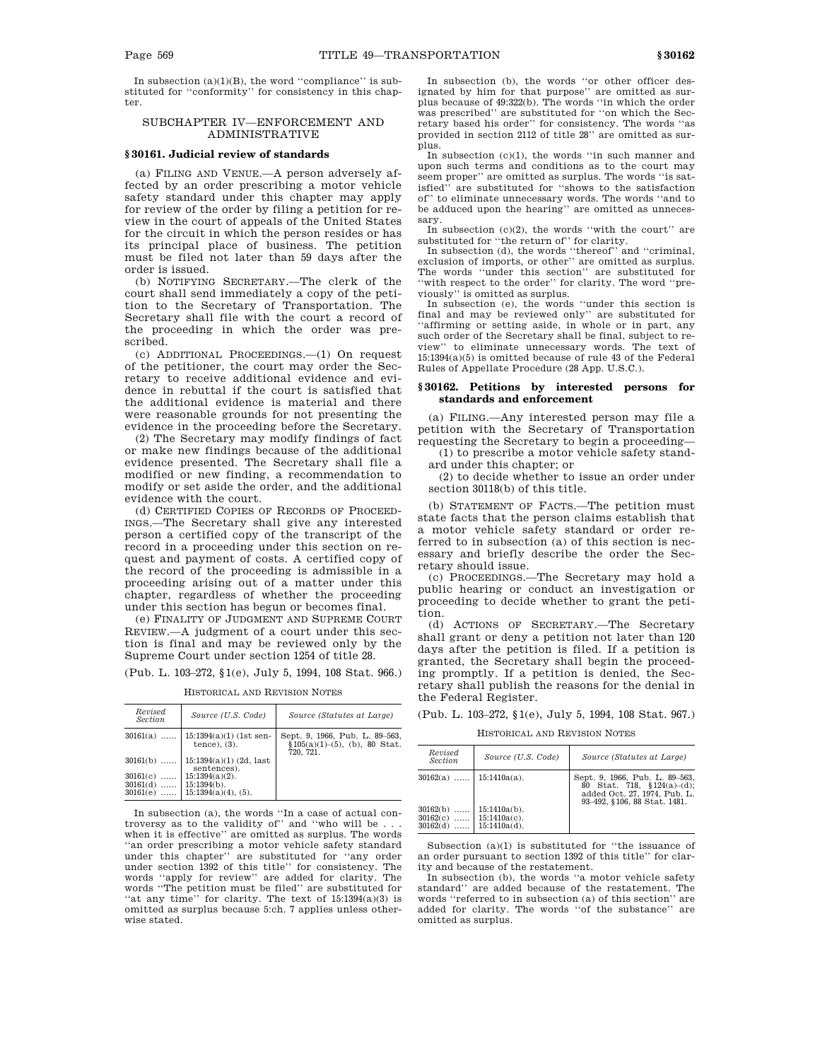In subsection  $(a)(1)(B)$ , the word "compliance" is substituted for ''conformity'' for consistency in this chapter.

# SUBCHAPTER IV—ENFORCEMENT AND ADMINISTRATIVE

# **§ 30161. Judicial review of standards**

(a) FILING AND VENUE.—A person adversely affected by an order prescribing a motor vehicle safety standard under this chapter may apply for review of the order by filing a petition for review in the court of appeals of the United States for the circuit in which the person resides or has its principal place of business. The petition must be filed not later than 59 days after the order is issued.

(b) NOTIFYING SECRETARY.—The clerk of the court shall send immediately a copy of the petition to the Secretary of Transportation. The Secretary shall file with the court a record of the proceeding in which the order was prescribed.

(c) ADDITIONAL PROCEEDINGS.—(1) On request of the petitioner, the court may order the Secretary to receive additional evidence and evidence in rebuttal if the court is satisfied that the additional evidence is material and there were reasonable grounds for not presenting the evidence in the proceeding before the Secretary.

(2) The Secretary may modify findings of fact or make new findings because of the additional evidence presented. The Secretary shall file a modified or new finding, a recommendation to modify or set aside the order, and the additional evidence with the court.

(d) CERTIFIED COPIES OF RECORDS OF PROCEED-INGS.—The Secretary shall give any interested person a certified copy of the transcript of the record in a proceeding under this section on request and payment of costs. A certified copy of the record of the proceeding is admissible in a proceeding arising out of a matter under this chapter, regardless of whether the proceeding under this section has begun or becomes final.

(e) FINALITY OF JUDGMENT AND SUPREME COURT REVIEW.—A judgment of a court under this section is final and may be reviewed only by the Supreme Court under section 1254 of title 28.

(Pub. L. 103–272, §1(e), July 5, 1994, 108 Stat. 966.)

| Revised<br>Section | Source (U.S. Code)                             | Source (Statutes at Large)                                                             |
|--------------------|------------------------------------------------|----------------------------------------------------------------------------------------|
| $30161(a)$         | $15:1394(a)(1)$ (1st sen-<br>$tence$ , $(3)$ . | Sept. 9, 1966, Pub. L. 89-563,<br>$$105(a)(1)–(5), (b), 80 \text{ Stat.}$<br>720. 721. |
| $30161(b)$         | $15:1394(a)(1)$ (2d, last<br>sentences).       |                                                                                        |
| 30161(c)<br>.      | $15:1394(a)(2)$ .                              |                                                                                        |
| $30161(d)$         | $15:1394(b)$ .                                 |                                                                                        |
| $30161(e)$         | $15:1394(a)(4)$ , $(5)$ .                      |                                                                                        |

HISTORICAL AND REVISION NOTES

In subsection (a), the words ''In a case of actual controversy as to the validity of'' and ''who will be . . . when it is effective'' are omitted as surplus. The words ''an order prescribing a motor vehicle safety standard under this chapter'' are substituted for ''any order under section 1392 of this title'' for consistency. The words ''apply for review'' are added for clarity. The words ''The petition must be filed'' are substituted for "at any time" for clarity. The text of  $15:1394(a)(3)$  is omitted as surplus because 5:ch. 7 applies unless otherwise stated.

In subsection (b), the words ''or other officer designated by him for that purpose'' are omitted as surplus because of 49:322(b). The words ''in which the order was prescribed'' are substituted for ''on which the Secretary based his order'' for consistency. The words ''as provided in section 2112 of title 28'' are omitted as surplus.

In subsection (c)(1), the words ''in such manner and upon such terms and conditions as to the court may seem proper'' are omitted as surplus. The words ''is satisfied'' are substituted for ''shows to the satisfaction of'' to eliminate unnecessary words. The words ''and to be adduced upon the hearing'' are omitted as unnecessary.

In subsection  $(c)(2)$ , the words "with the court" are substituted for ''the return of'' for clarity.

In subsection (d), the words ''thereof'' and ''criminal, exclusion of imports, or other'' are omitted as surplus. The words ''under this section'' are substituted for ''with respect to the order'' for clarity. The word ''previously'' is omitted as surplus.

In subsection (e), the words ''under this section is final and may be reviewed only'' are substituted for 'affirming or setting aside, in whole or in part, any such order of the Secretary shall be final, subject to review'' to eliminate unnecessary words. The text of 15:1394(a)(5) is omitted because of rule 43 of the Federal Rules of Appellate Procedure (28 App. U.S.C.).

# **§ 30162. Petitions by interested persons for standards and enforcement**

(a) FILING.—Any interested person may file a petition with the Secretary of Transportation requesting the Secretary to begin a proceeding—

(1) to prescribe a motor vehicle safety standard under this chapter; or

(2) to decide whether to issue an order under section 30118(b) of this title.

(b) STATEMENT OF FACTS.—The petition must state facts that the person claims establish that a motor vehicle safety standard or order referred to in subsection (a) of this section is necessary and briefly describe the order the Secretary should issue.

(c) PROCEEDINGS.—The Secretary may hold a public hearing or conduct an investigation or proceeding to decide whether to grant the petition.

(d) ACTIONS OF SECRETARY.—The Secretary shall grant or deny a petition not later than 120 days after the petition is filed. If a petition is granted, the Secretary shall begin the proceeding promptly. If a petition is denied, the Secretary shall publish the reasons for the denial in the Federal Register.

(Pub. L. 103–272, §1(e), July 5, 1994, 108 Stat. 967.)

HISTORICAL AND REVISION NOTES

| Revised<br><i>Section</i>        | Source (U.S. Code)                                    | Source (Statutes at Large)                                                                                                     |
|----------------------------------|-------------------------------------------------------|--------------------------------------------------------------------------------------------------------------------------------|
| $30162(a)$   15:1410a(a).        |                                                       | Sept. 9, 1966, Pub. L. 89-563,<br>$80$ Stat. 718, §124(a)–(d);<br>added Oct. 27, 1974, Pub. L.<br>93-492, §106, 88 Stat, 1481. |
| 30162(b)<br>30162(c)<br>30162(d) | $15:1410a(b)$ .<br>$15:1410a(c)$ .<br>$15:1410a(d)$ . |                                                                                                                                |

Subsection (a)(1) is substituted for ''the issuance of an order pursuant to section 1392 of this title'' for clarity and because of the restatement.

In subsection (b), the words ''a motor vehicle safety standard'' are added because of the restatement. The words ''referred to in subsection (a) of this section'' are added for clarity. The words ''of the substance'' are omitted as surplus.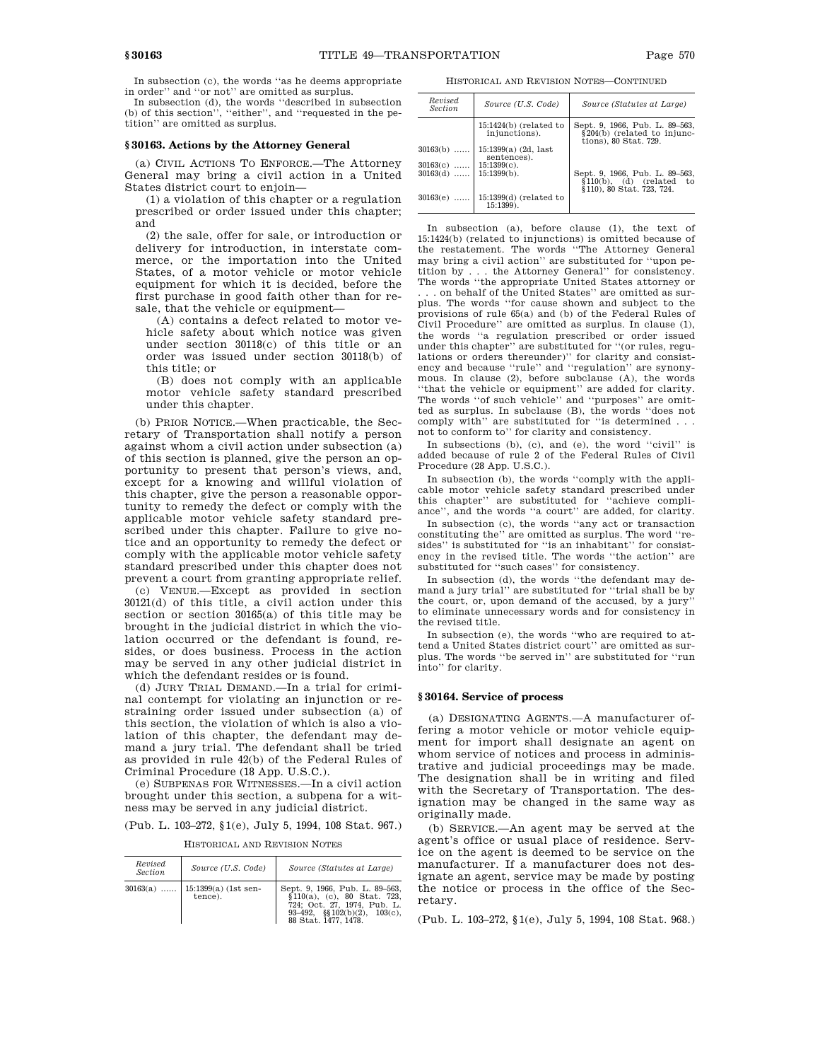In subsection (c), the words ''as he deems appropriate in order'' and ''or not'' are omitted as surplus.

In subsection (d), the words ''described in subsection (b) of this section'', ''either'', and ''requested in the petition'' are omitted as surplus.

# **§ 30163. Actions by the Attorney General**

(a) CIVIL ACTIONS TO ENFORCE.—The Attorney General may bring a civil action in a United States district court to enjoin—

(1) a violation of this chapter or a regulation prescribed or order issued under this chapter; and

(2) the sale, offer for sale, or introduction or delivery for introduction, in interstate commerce, or the importation into the United States, of a motor vehicle or motor vehicle equipment for which it is decided, before the first purchase in good faith other than for resale, that the vehicle or equipment—

(A) contains a defect related to motor vehicle safety about which notice was given under section 30118(c) of this title or an order was issued under section 30118(b) of this title; or

(B) does not comply with an applicable motor vehicle safety standard prescribed under this chapter.

(b) PRIOR NOTICE.—When practicable, the Secretary of Transportation shall notify a person against whom a civil action under subsection (a) of this section is planned, give the person an opportunity to present that person's views, and, except for a knowing and willful violation of this chapter, give the person a reasonable opportunity to remedy the defect or comply with the applicable motor vehicle safety standard prescribed under this chapter. Failure to give notice and an opportunity to remedy the defect or comply with the applicable motor vehicle safety standard prescribed under this chapter does not prevent a court from granting appropriate relief.

(c) VENUE.—Except as provided in section 30121(d) of this title, a civil action under this section or section 30165(a) of this title may be brought in the judicial district in which the violation occurred or the defendant is found, resides, or does business. Process in the action may be served in any other judicial district in which the defendant resides or is found.

(d) JURY TRIAL DEMAND.—In a trial for criminal contempt for violating an injunction or restraining order issued under subsection (a) of this section, the violation of which is also a violation of this chapter, the defendant may demand a jury trial. The defendant shall be tried as provided in rule 42(b) of the Federal Rules of Criminal Procedure (18 App. U.S.C.).

(e) SUBPENAS FOR WITNESSES.—In a civil action brought under this section, a subpena for a witness may be served in any judicial district.

(Pub. L. 103–272, §1(e), July 5, 1994, 108 Stat. 967.)

HISTORICAL AND REVISION NOTES

| Revised<br><b>Section</b> | Source (U.S. Code)                           | Source (Statutes at Large)                                                                                                                                        |
|---------------------------|----------------------------------------------|-------------------------------------------------------------------------------------------------------------------------------------------------------------------|
|                           | $30163(a)$   15:1399(a) (1st sen-<br>tence). | Sept. 9, 1966, Pub. L. 89-563,<br>$$110(a), (c), 80 \text{ Stat.} 723,$<br>724: Oct. 27, 1974. Pub. L.<br>93-492, $\S(102(b)(2), 103(c))$<br>88 Stat. 1477, 1478. |

HISTORICAL AND REVISION NOTES—CONTINUED

| Revised<br><b>Section</b> | Source (U.S. Code)                        | Source (Statutes at Large)                                                                   |
|---------------------------|-------------------------------------------|----------------------------------------------------------------------------------------------|
|                           | $15:1424(b)$ (related to<br>injunctions). | Sept. 9, 1966, Pub. L. 89-563,<br>§204(b) (related to injunc-<br>tions), 80 Stat. 729.       |
| $30163(b)$                | 15:1399(a) (2d, last<br>sentences).       |                                                                                              |
| $30163(c)$   15:1399(c).  |                                           |                                                                                              |
| $30163(d)$                | $15:1399(b)$ .                            | Sept. 9, 1966, Pub. L. 89-563,<br>$$110(b), (d)$ (related<br>tο<br>§110), 80 Stat, 723, 724. |
| $30163(e)$                | $15:1399(d)$ (related to<br>$15:1399$ .   |                                                                                              |

In subsection (a), before clause (1), the text of 15:1424(b) (related to injunctions) is omitted because of the restatement. The words ''The Attorney General may bring a civil action'' are substituted for ''upon petition by . . . the Attorney General'' for consistency. The words ''the appropriate United States attorney or

. . . on behalf of the United States'' are omitted as surplus. The words ''for cause shown and subject to the provisions of rule 65(a) and (b) of the Federal Rules of Civil Procedure'' are omitted as surplus. In clause (1), the words ''a regulation prescribed or order issued under this chapter'' are substituted for ''(or rules, regulations or orders thereunder)'' for clarity and consistency and because ''rule'' and ''regulation'' are synonymous. In clause (2), before subclause (A), the words ''that the vehicle or equipment'' are added for clarity. The words "of such vehicle" and "purposes" are omitted as surplus. In subclause (B), the words ''does not comply with'' are substituted for ''is determined . . . not to conform to'' for clarity and consistency.

In subsections (b), (c), and (e), the word ''civil'' is added because of rule 2 of the Federal Rules of Civil Procedure (28 App. U.S.C.).

In subsection (b), the words ''comply with the applicable motor vehicle safety standard prescribed under this chapter'' are substituted for ''achieve compliance'', and the words ''a court'' are added, for clarity.

In subsection (c), the words ''any act or transaction constituting the'' are omitted as surplus. The word ''resides" is substituted for "is an inhabitant" for consistency in the revised title. The words ''the action'' are substituted for ''such cases'' for consistency.

In subsection (d), the words ''the defendant may demand a jury trial'' are substituted for ''trial shall be by the court, or, upon demand of the accused, by a jury'' to eliminate unnecessary words and for consistency in the revised title.

In subsection (e), the words ''who are required to attend a United States district court'' are omitted as surplus. The words ''be served in'' are substituted for ''run into'' for clarity.

### **§ 30164. Service of process**

(a) DESIGNATING AGENTS.—A manufacturer offering a motor vehicle or motor vehicle equipment for import shall designate an agent on whom service of notices and process in administrative and judicial proceedings may be made. The designation shall be in writing and filed with the Secretary of Transportation. The designation may be changed in the same way as originally made.

(b) SERVICE.—An agent may be served at the agent's office or usual place of residence. Service on the agent is deemed to be service on the manufacturer. If a manufacturer does not designate an agent, service may be made by posting the notice or process in the office of the Secretary.

(Pub. L. 103–272, §1(e), July 5, 1994, 108 Stat. 968.)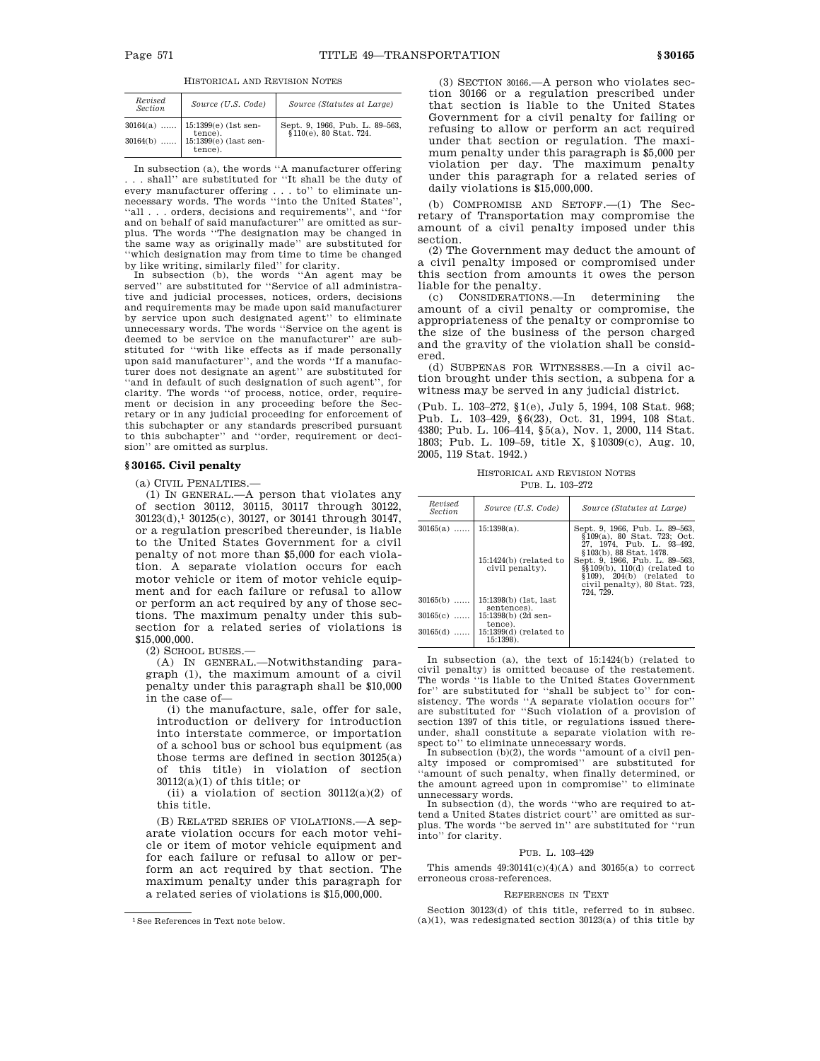HISTORICAL AND REVISION NOTES

| Revised<br><b>Section</b> | Source (U.S. Code)                                                                            | Source (Statutes at Large)                               |
|---------------------------|-----------------------------------------------------------------------------------------------|----------------------------------------------------------|
|                           | $30164(a)$   15:1399(e) (1st sen-<br>tence).<br>$30164(b)$   15:1399(e) (last sen-<br>tence). | Sept. 9, 1966, Pub. L. 89-563,<br>§110(e), 80 Stat. 724. |

In subsection (a), the words ''A manufacturer offering . . . shall'' are substituted for ''It shall be the duty of every manufacturer offering . . . to'' to eliminate unnecessary words. The words ''into the United States'', ''all . . . orders, decisions and requirements'', and ''for and on behalf of said manufacturer'' are omitted as surplus. The words ''The designation may be changed in the same way as originally made'' are substituted for ''which designation may from time to time be changed

by like writing, similarly filed'' for clarity. In subsection (b), the words ''An agent may be served'' are substituted for ''Service of all administrative and judicial processes, notices, orders, decisions and requirements may be made upon said manufacturer by service upon such designated agent'' to eliminate unnecessary words. The words ''Service on the agent is deemed to be service on the manufacturer'' are substituted for ''with like effects as if made personally upon said manufacturer'', and the words ''If a manufacturer does not designate an agent'' are substituted for ''and in default of such designation of such agent'', for clarity. The words ''of process, notice, order, requirement or decision in any proceeding before the Secretary or in any judicial proceeding for enforcement of this subchapter or any standards prescribed pursuant to this subchapter'' and ''order, requirement or decision'' are omitted as surplus.

### **§ 30165. Civil penalty**

(a) CIVIL PENALTIES.—

(1) IN GENERAL.—A person that violates any of section 30112, 30115, 30117 through 30122, 30123(d),1 30125(c), 30127, or 30141 through 30147, or a regulation prescribed thereunder, is liable to the United States Government for a civil penalty of not more than \$5,000 for each violation. A separate violation occurs for each motor vehicle or item of motor vehicle equipment and for each failure or refusal to allow or perform an act required by any of those sections. The maximum penalty under this subsection for a related series of violations is \$15,000,000.

(2) SCHOOL BUSES.—

(A) IN GENERAL.—Notwithstanding paragraph (1), the maximum amount of a civil penalty under this paragraph shall be \$10,000 in the case of—

(i) the manufacture, sale, offer for sale, introduction or delivery for introduction into interstate commerce, or importation of a school bus or school bus equipment (as those terms are defined in section 30125(a) of this title) in violation of section  $30112(a)(1)$  of this title; or

(ii) a violation of section  $30112(a)(2)$  of this title.

(B) RELATED SERIES OF VIOLATIONS.—A separate violation occurs for each motor vehicle or item of motor vehicle equipment and for each failure or refusal to allow or perform an act required by that section. The maximum penalty under this paragraph for a related series of violations is \$15,000,000.

(3) SECTION 30166.—A person who violates section 30166 or a regulation prescribed under that section is liable to the United States Government for a civil penalty for failing or refusing to allow or perform an act required under that section or regulation. The maximum penalty under this paragraph is \$5,000 per violation per day. The maximum penalty under this paragraph for a related series of daily violations is \$15,000,000.

(b) COMPROMISE AND SETOFF.—(1) The Secretary of Transportation may compromise the amount of a civil penalty imposed under this section.

(2) The Government may deduct the amount of a civil penalty imposed or compromised under this section from amounts it owes the person liable for the penalty.

(c) CONSIDERATIONS.—In determining the amount of a civil penalty or compromise, the appropriateness of the penalty or compromise to the size of the business of the person charged and the gravity of the violation shall be considered.

(d) SUBPENAS FOR WITNESSES.—In a civil action brought under this section, a subpena for a witness may be served in any judicial district.

(Pub. L. 103–272, §1(e), July 5, 1994, 108 Stat. 968; Pub. L. 103–429, §6(23), Oct. 31, 1994, 108 Stat. 4380; Pub. L. 106–414, §5(a), Nov. 1, 2000, 114 Stat. 1803; Pub. L. 109–59, title X, §10309(c), Aug. 10, 2005, 119 Stat. 1942.)

HISTORICAL AND REVISION NOTES PUB. L. 103–272

| Revised<br><b>Section</b> | Source (U.S. Code)                                            | Source (Statutes at Large)                                                                                                                                                                                                                                                 |
|---------------------------|---------------------------------------------------------------|----------------------------------------------------------------------------------------------------------------------------------------------------------------------------------------------------------------------------------------------------------------------------|
| $30165(a)$                | $15:1398(a)$ .<br>$15:1424(b)$ (related to<br>civil penalty). | Sept. 9, 1966, Pub. L. 89–563,<br>§109(a), 80 Stat, 723; Oct.<br>27. 1974. Pub. L. 93-492.<br>§103(b), 88 Stat, 1478.<br>Sept. 9, 1966, Pub. L. 89-563,<br>$\$ {109(b), 110(d) (related to<br>$$109$ ), $204(b)$ (related to<br>civil penalty), 80 Stat. 723,<br>724. 729. |
| $30165(b)$                | 15:1398(b) (1st, last<br>sentences).                          |                                                                                                                                                                                                                                                                            |
| $30165(c)$                | 15:1398(b) (2d sen-                                           |                                                                                                                                                                                                                                                                            |
| $30165(d)$                | tence).<br>$15:1399(d)$ (related to<br>$15:1398$ .            |                                                                                                                                                                                                                                                                            |

In subsection (a), the text of 15:1424(b) (related to civil penalty) is omitted because of the restatement. The words ''is liable to the United States Government for'' are substituted for ''shall be subject to'' for consistency. The words ''A separate violation occurs for'' are substituted for ''Such violation of a provision of section 1397 of this title, or regulations issued thereunder, shall constitute a separate violation with respect to" to eliminate unnecessary words.

In subsection (b)(2), the words "amount of a civil pen-<br>alty imposed or compromised" are substituted for ''amount of such penalty, when finally determined, or the amount agreed upon in compromise'' to eliminate unnecessary words.

In subsection (d), the words ''who are required to attend a United States district court'' are omitted as surplus. The words ''be served in'' are substituted for ''run into'' for clarity.

# PUB. L. 103–429

This amends  $49:30141(c)(4)(A)$  and  $30165(a)$  to correct erroneous cross-references.

### REFERENCES IN TEXT

Section 30123(d) of this title, referred to in subsec.  $(a)(1)$ , was redesignated section 30123 $(a)$  of this title by

<sup>1</sup>See References in Text note below.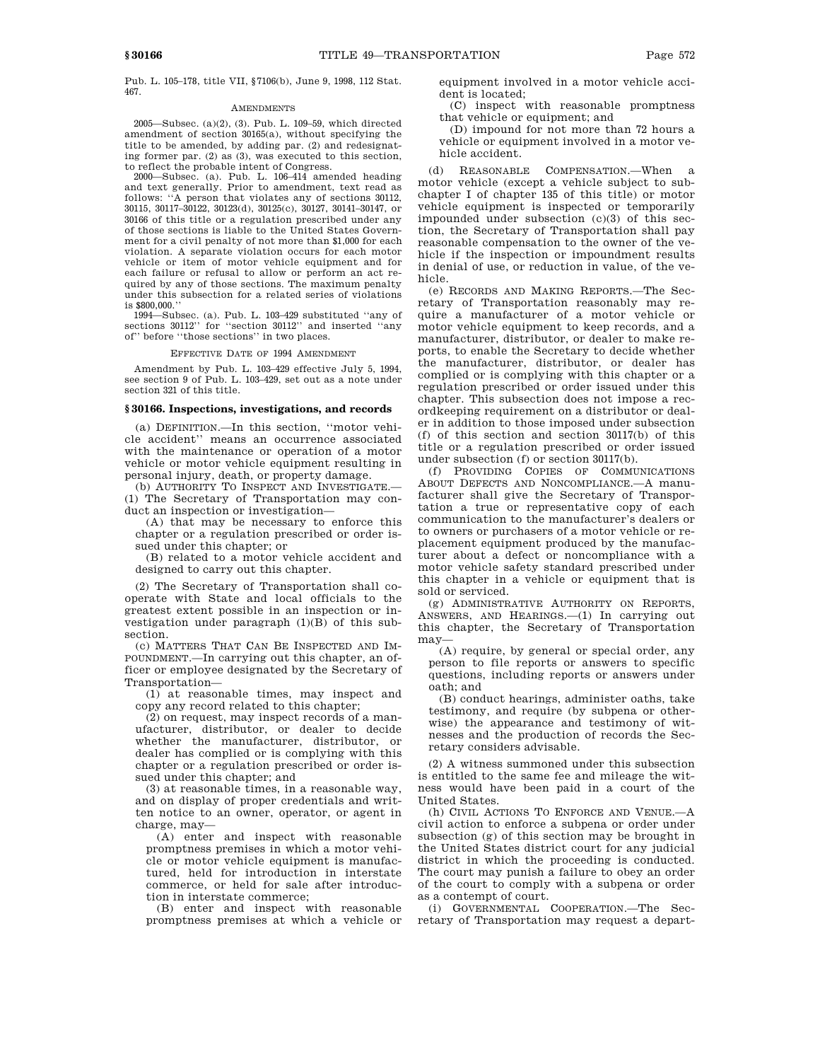Pub. L. 105–178, title VII, §7106(b), June 9, 1998, 112 Stat. 467.

### AMENDMENTS

2005—Subsec. (a)(2), (3). Pub. L. 109–59, which directed amendment of section 30165(a), without specifying the title to be amended, by adding par. (2) and redesignating former par. (2) as (3), was executed to this section, to reflect the probable intent of Congress.

2000—Subsec. (a). Pub. L. 106–414 amended heading and text generally. Prior to amendment, text read as follows: ''A person that violates any of sections 30112, 30115, 30117–30122, 30123(d), 30125(c), 30127, 30141–30147, or 30166 of this title or a regulation prescribed under any of those sections is liable to the United States Government for a civil penalty of not more than \$1,000 for each violation. A separate violation occurs for each motor vehicle or item of motor vehicle equipment and for each failure or refusal to allow or perform an act required by any of those sections. The maximum penalty under this subsection for a related series of violations is \$800,000.

1994—Subsec. (a). Pub. L. 103–429 substituted ''any of sections 30112" for "section 30112" and inserted "any of'' before ''those sections'' in two places.

#### EFFECTIVE DATE OF 1994 AMENDMENT

Amendment by Pub. L. 103–429 effective July 5, 1994, see section 9 of Pub. L. 103–429, set out as a note under section 321 of this title.

# **§ 30166. Inspections, investigations, and records**

(a) DEFINITION.—In this section, ''motor vehicle accident'' means an occurrence associated with the maintenance or operation of a motor vehicle or motor vehicle equipment resulting in personal injury, death, or property damage.

(b) AUTHORITY TO INSPECT AND INVESTIGATE.— (1) The Secretary of Transportation may conduct an inspection or investigation—

(A) that may be necessary to enforce this chapter or a regulation prescribed or order issued under this chapter; or

(B) related to a motor vehicle accident and designed to carry out this chapter.

(2) The Secretary of Transportation shall cooperate with State and local officials to the greatest extent possible in an inspection or investigation under paragraph (1)(B) of this subsection.

(c) MATTERS THAT CAN BE INSPECTED AND IM-POUNDMENT.—In carrying out this chapter, an officer or employee designated by the Secretary of Transportation—

(1) at reasonable times, may inspect and copy any record related to this chapter;

(2) on request, may inspect records of a manufacturer, distributor, or dealer to decide whether the manufacturer, distributor, or dealer has complied or is complying with this chapter or a regulation prescribed or order issued under this chapter; and

(3) at reasonable times, in a reasonable way, and on display of proper credentials and written notice to an owner, operator, or agent in charge, may—

(A) enter and inspect with reasonable promptness premises in which a motor vehicle or motor vehicle equipment is manufactured, held for introduction in interstate commerce, or held for sale after introduction in interstate commerce;

(B) enter and inspect with reasonable promptness premises at which a vehicle or equipment involved in a motor vehicle accident is located;

(C) inspect with reasonable promptness that vehicle or equipment; and

(D) impound for not more than 72 hours a vehicle or equipment involved in a motor vehicle accident.

(d) REASONABLE COMPENSATION.—When a motor vehicle (except a vehicle subject to subchapter I of chapter 135 of this title) or motor vehicle equipment is inspected or temporarily impounded under subsection (c)(3) of this section, the Secretary of Transportation shall pay reasonable compensation to the owner of the vehicle if the inspection or impoundment results in denial of use, or reduction in value, of the vehicle.

(e) RECORDS AND MAKING REPORTS.—The Secretary of Transportation reasonably may require a manufacturer of a motor vehicle or motor vehicle equipment to keep records, and a manufacturer, distributor, or dealer to make reports, to enable the Secretary to decide whether the manufacturer, distributor, or dealer has complied or is complying with this chapter or a regulation prescribed or order issued under this chapter. This subsection does not impose a recordkeeping requirement on a distributor or dealer in addition to those imposed under subsection (f) of this section and section 30117(b) of this title or a regulation prescribed or order issued under subsection (f) or section 30117(b).

(f) PROVIDING COPIES OF COMMUNICATIONS ABOUT DEFECTS AND NONCOMPLIANCE.—A manufacturer shall give the Secretary of Transportation a true or representative copy of each communication to the manufacturer's dealers or to owners or purchasers of a motor vehicle or replacement equipment produced by the manufacturer about a defect or noncompliance with a motor vehicle safety standard prescribed under this chapter in a vehicle or equipment that is sold or serviced.

(g) ADMINISTRATIVE AUTHORITY ON REPORTS, ANSWERS, AND HEARINGS.—(1) In carrying out this chapter, the Secretary of Transportation may—

(A) require, by general or special order, any person to file reports or answers to specific questions, including reports or answers under oath; and

(B) conduct hearings, administer oaths, take testimony, and require (by subpena or otherwise) the appearance and testimony of witnesses and the production of records the Secretary considers advisable.

(2) A witness summoned under this subsection is entitled to the same fee and mileage the witness would have been paid in a court of the United States.

(h) CIVIL ACTIONS TO ENFORCE AND VENUE.—A civil action to enforce a subpena or order under subsection (g) of this section may be brought in the United States district court for any judicial district in which the proceeding is conducted. The court may punish a failure to obey an order of the court to comply with a subpena or order as a contempt of court.

(i) GOVERNMENTAL COOPERATION.—The Secretary of Transportation may request a depart-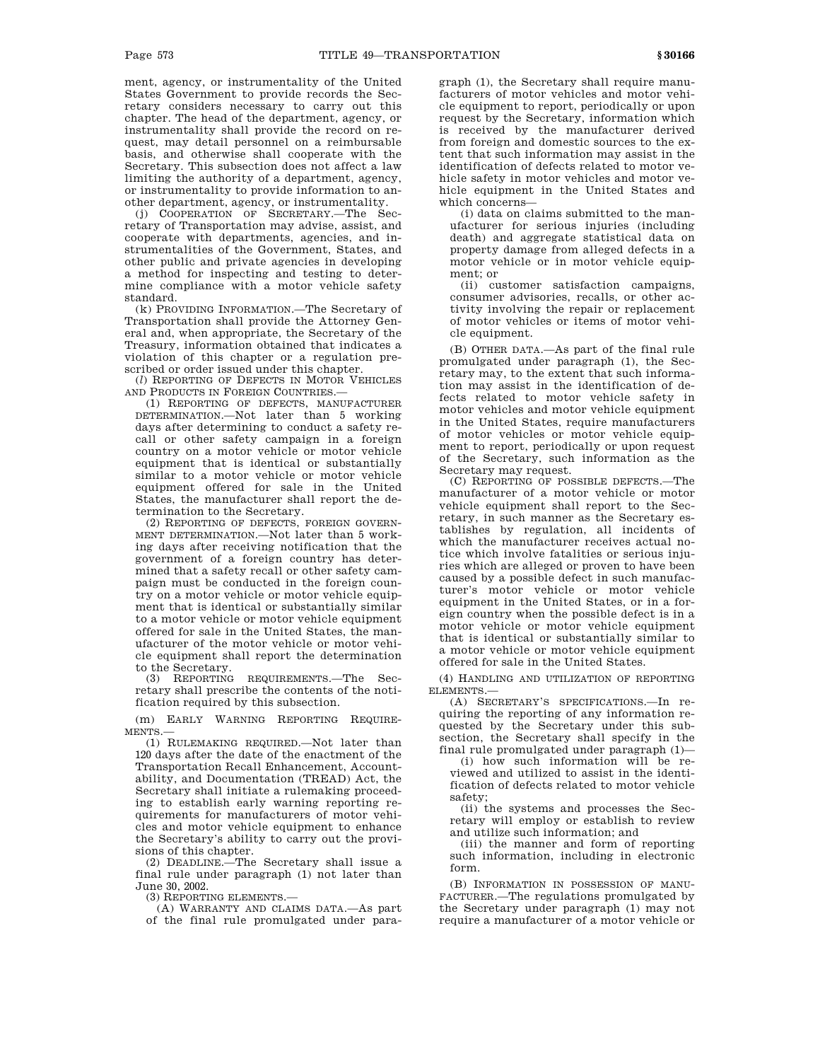ment, agency, or instrumentality of the United States Government to provide records the Secretary considers necessary to carry out this chapter. The head of the department, agency, or instrumentality shall provide the record on request, may detail personnel on a reimbursable basis, and otherwise shall cooperate with the Secretary. This subsection does not affect a law limiting the authority of a department, agency, or instrumentality to provide information to another department, agency, or instrumentality.

(j) COOPERATION OF SECRETARY.—The Secretary of Transportation may advise, assist, and cooperate with departments, agencies, and instrumentalities of the Government, States, and other public and private agencies in developing a method for inspecting and testing to determine compliance with a motor vehicle safety standard.

(k) PROVIDING INFORMATION.—The Secretary of Transportation shall provide the Attorney General and, when appropriate, the Secretary of the Treasury, information obtained that indicates a violation of this chapter or a regulation prescribed or order issued under this chapter.

(*l*) REPORTING OF DEFECTS IN MOTOR VEHICLES AND PRODUCTS IN FOREIGN COUNTRIES.—

(1) REPORTING OF DEFECTS, MANUFACTURER DETERMINATION.—Not later than 5 working days after determining to conduct a safety recall or other safety campaign in a foreign country on a motor vehicle or motor vehicle equipment that is identical or substantially similar to a motor vehicle or motor vehicle equipment offered for sale in the United States, the manufacturer shall report the determination to the Secretary.

(2) REPORTING OF DEFECTS, FOREIGN GOVERN-MENT DETERMINATION.—Not later than 5 working days after receiving notification that the government of a foreign country has determined that a safety recall or other safety campaign must be conducted in the foreign country on a motor vehicle or motor vehicle equipment that is identical or substantially similar to a motor vehicle or motor vehicle equipment offered for sale in the United States, the manufacturer of the motor vehicle or motor vehicle equipment shall report the determination

to the Secretary.<br>(3) REPORTING REQUIREMENTS.—The Secretary shall prescribe the contents of the notification required by this subsection.

(m) EARLY WARNING REPORTING REQUIRE-MENTS.—

(1) RULEMAKING REQUIRED.—Not later than 120 days after the date of the enactment of the Transportation Recall Enhancement, Accountability, and Documentation (TREAD) Act, the Secretary shall initiate a rulemaking proceeding to establish early warning reporting requirements for manufacturers of motor vehicles and motor vehicle equipment to enhance the Secretary's ability to carry out the provisions of this chapter.

(2) DEADLINE.—The Secretary shall issue a final rule under paragraph (1) not later than June 30, 2002.

(3) REPORTING ELEMENTS.—

(A) WARRANTY AND CLAIMS DATA.—As part of the final rule promulgated under paragraph (1), the Secretary shall require manufacturers of motor vehicles and motor vehicle equipment to report, periodically or upon request by the Secretary, information which is received by the manufacturer derived from foreign and domestic sources to the extent that such information may assist in the identification of defects related to motor vehicle safety in motor vehicles and motor vehicle equipment in the United States and which concerns—

(i) data on claims submitted to the manufacturer for serious injuries (including death) and aggregate statistical data on property damage from alleged defects in a motor vehicle or in motor vehicle equipment; or

(ii) customer satisfaction campaigns, consumer advisories, recalls, or other activity involving the repair or replacement of motor vehicles or items of motor vehicle equipment.

(B) OTHER DATA.—As part of the final rule promulgated under paragraph (1), the Secretary may, to the extent that such information may assist in the identification of defects related to motor vehicle safety in motor vehicles and motor vehicle equipment in the United States, require manufacturers of motor vehicles or motor vehicle equipment to report, periodically or upon request of the Secretary, such information as the Secretary may request.

(C) REPORTING OF POSSIBLE DEFECTS.—The manufacturer of a motor vehicle or motor vehicle equipment shall report to the Secretary, in such manner as the Secretary establishes by regulation, all incidents of which the manufacturer receives actual notice which involve fatalities or serious injuries which are alleged or proven to have been caused by a possible defect in such manufacturer's motor vehicle or motor vehicle equipment in the United States, or in a foreign country when the possible defect is in a motor vehicle or motor vehicle equipment that is identical or substantially similar to a motor vehicle or motor vehicle equipment offered for sale in the United States.

(4) HANDLING AND UTILIZATION OF REPORTING ELEMENTS.—

(A) SECRETARY'S SPECIFICATIONS.—In requiring the reporting of any information requested by the Secretary under this subsection, the Secretary shall specify in the final rule promulgated under paragraph (1)—

(i) how such information will be reviewed and utilized to assist in the identification of defects related to motor vehicle safety;

(ii) the systems and processes the Secretary will employ or establish to review and utilize such information; and

(iii) the manner and form of reporting such information, including in electronic form.

(B) INFORMATION IN POSSESSION OF MANU-FACTURER.—The regulations promulgated by the Secretary under paragraph (1) may not require a manufacturer of a motor vehicle or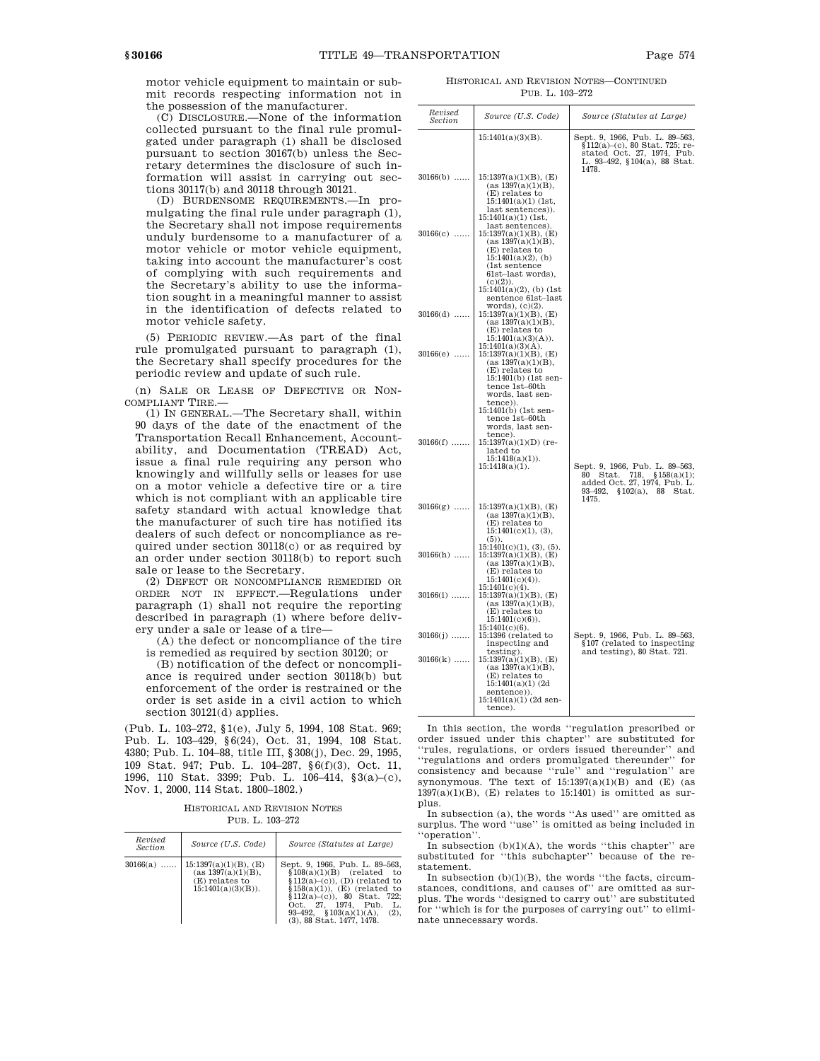motor vehicle equipment to maintain or submit records respecting information not in the possession of the manufacturer.

(C) DISCLOSURE.—None of the information collected pursuant to the final rule promulgated under paragraph (1) shall be disclosed pursuant to section 30167(b) unless the Secretary determines the disclosure of such information will assist in carrying out sections 30117(b) and 30118 through 30121.

(D) BURDENSOME REQUIREMENTS.—In promulgating the final rule under paragraph (1), the Secretary shall not impose requirements unduly burdensome to a manufacturer of a motor vehicle or motor vehicle equipment. taking into account the manufacturer's cost of complying with such requirements and the Secretary's ability to use the information sought in a meaningful manner to assist in the identification of defects related to motor vehicle safety.

(5) PERIODIC REVIEW.—As part of the final rule promulgated pursuant to paragraph (1), the Secretary shall specify procedures for the periodic review and update of such rule.

(n) SALE OR LEASE OF DEFECTIVE OR NON-COMPLIANT TIRE.—

(1) IN GENERAL.—The Secretary shall, within 90 days of the date of the enactment of the Transportation Recall Enhancement, Accountability, and Documentation (TREAD) Act, issue a final rule requiring any person who knowingly and willfully sells or leases for use on a motor vehicle a defective tire or a tire which is not compliant with an applicable tire safety standard with actual knowledge that the manufacturer of such tire has notified its dealers of such defect or noncompliance as required under section 30118(c) or as required by an order under section 30118(b) to report such sale or lease to the Secretary.

(2) DEFECT OR NONCOMPLIANCE REMEDIED OR ORDER NOT IN EFFECT.—Regulations under paragraph (1) shall not require the reporting described in paragraph (1) where before delivery under a sale or lease of a tire—

(A) the defect or noncompliance of the tire is remedied as required by section 30120; or

(B) notification of the defect or noncompliance is required under section 30118(b) but enforcement of the order is restrained or the order is set aside in a civil action to which section 30121(d) applies.

(Pub. L. 103–272, §1(e), July 5, 1994, 108 Stat. 969; Pub. L. 103–429, §6(24), Oct. 31, 1994, 108 Stat. 4380; Pub. L. 104–88, title III, §308(j), Dec. 29, 1995, 109 Stat. 947; Pub. L. 104–287, §6(f)(3), Oct. 11, 1996, 110 Stat. 3399; Pub. L. 106–414, §3(a)–(c), Nov. 1, 2000, 114 Stat. 1800–1802.)

HISTORICAL AND REVISION NOTES PUB. L. 103–272

| Revised<br>Section | Source (U.S. Code)                                                                       | Source (Statutes at Large)                                                                                                                                                                                                                                       |
|--------------------|------------------------------------------------------------------------------------------|------------------------------------------------------------------------------------------------------------------------------------------------------------------------------------------------------------------------------------------------------------------|
| $30166(a)$         | $15:1397(a)(1)(B)$ , (E)<br>(as 1397(a)(1)(B),<br>(E) relates to<br>$15:1401(a)(3)(B)$ . | Sept. 9, 1966, Pub. L. 89-563,<br>$$108(a)(1)(B)$ (related to<br>$$112(a)-(c)$ , (D) (related to<br>$$158(a)(1))$ , (E) (related to<br>$$112(a)-(c)$ , 80 Stat. 722;<br>Oct. 27. 1974. Pub. L.<br>93-492, $$103(a)(1)(A)$ ,<br>(2),<br>(3), 88 Stat. 1477, 1478. |

HISTORICAL AND REVISION NOTES—CONTINUED PUB. L. 103–272

| Revised<br>Section | Source (U.S. Code)                                                                                                                                                                                                   | Source (Statutes at Large)                                                                                                              |
|--------------------|----------------------------------------------------------------------------------------------------------------------------------------------------------------------------------------------------------------------|-----------------------------------------------------------------------------------------------------------------------------------------|
|                    | $15:1401(a)(3)(B)$ .                                                                                                                                                                                                 | Sept. 9, 1966, Pub. L. 89–563,<br>§112(a)–(c), 80 Stat. 725; re-<br>stated Oct. 27, 1974, Pub.<br>L. 93-492, §104(a), 88 Stat.<br>1478. |
| $30166(b)$         | $15:1397(a)(1)(B)$ , (E)<br>(as 1397(a)(1)(B),<br>(E) relates to<br>$15:1401(a)(1)$ (1st,<br>last sentences)).<br>$15:1401(a)(1)$ (1st,                                                                              |                                                                                                                                         |
| $30166(c)$         | last sentences)<br>$15:1397(a)(1)(B)$ , (E)<br>(as 1397(a)(1)(B),<br>(E) relates to<br>$15:1401(a)(2)$ , (b)<br>(1st sentence<br>61st-last words),<br>$(c)(2)$ .<br>$15:1401(a)(2)$ , (b) (1st<br>sentence 61st-last |                                                                                                                                         |
| $30166(d)$         | words), (c)(2).<br>$15:1397(a)(1)(B)$ , (E)<br>(as 1397(a)(1)(B),<br>(E) relates to<br>15:1401(a)(3)(A)).                                                                                                            |                                                                                                                                         |
| $30166(e)$         | $15:1401(a)(3)(A)$ .<br>$15:1397(a)(1)(B)$ , (E)<br>(as 1397(a)(1)(B),<br>(E) relates to<br>15:1401(b) (1st sen-<br>tence 1st-60th<br>words, last sen-<br>tence)).                                                   |                                                                                                                                         |
| $30166(f)$         | 15:1401(b) (1st sen-<br>tence 1st-60th<br>words, last sen-<br>tence).<br>$15:1397(a)(1)(D)$ (re-<br>lated to<br>$15:1418(a)(1)$ .<br>$15:1418(a)(1)$ .                                                               | Sept. 9, 1966, Pub. L. 89-563,<br>80 Stat. 718, §158(a)(1);<br>added Oct. 27, 1974, Pub. L.<br>93–492.<br>\$102(a), 88<br>Stat.         |
| $30166(g)$         | $15:1397(a)(1)(B)$ , (E)<br>(as 1397(a)(1)(B),<br>(E) relates to<br>15:1401(c)(1), (3),                                                                                                                              | 1475.                                                                                                                                   |
| $30166(h)$         | $(5)$ ).<br>15:1401(c)(1), (3), (5).<br>$15:1397(a)(1)(B)$ , (E)<br>(as 1397(a)(1)(B),<br>(E) relates to<br>$15:1401(c)(4)$ .                                                                                        |                                                                                                                                         |
| $30166(i)$         | $15:1401(c)(4)$ .<br>$15:1397(a)(1)(B)$ , (E)<br>(as 1397(a)(1)(B),<br>(E) relates to<br>$15:1401(c)(6)$ .                                                                                                           |                                                                                                                                         |
| $30166(j)$         | $15:1401(c)(6)$ .<br>15:1396 (related to<br>inspecting and                                                                                                                                                           | Sept. 9, 1966, Pub. L. 89-563,<br>§107 (related to inspecting)                                                                          |
| $30166(k)$         | testing).<br>$15:1397(a)(1)(B)$ , (E)<br>(as 1397(a)(1)(B),<br>(E) relates to<br>$15:1401(a)(1)$ (2d<br>sentence)).<br>$15:1401(a)(1)$ (2d sen-<br>tence).                                                           | and testing), 80 Stat. 721.                                                                                                             |

In this section, the words ''regulation prescribed or order issued under this chapter'' are substituted for 'rules, regulations, or orders issued thereunder" and ''regulations and orders promulgated thereunder'' for consistency and because ''rule'' and ''regulation'' are synonymous. The text of  $15:1397(a)(1)(B)$  and  $(E)$  (as  $1397(a)(1)(B)$ , (E) relates to 15:1401) is omitted as surplus.

In subsection (a), the words ''As used'' are omitted as surplus. The word ''use'' is omitted as being included in ''operation''.

In subsection  $(b)(1)(A)$ , the words "this chapter" are substituted for ''this subchapter'' because of the restatement.

In subsection  $(b)(1)(B)$ , the words "the facts, circumstances, conditions, and causes of'' are omitted as surplus. The words ''designed to carry out'' are substituted for ''which is for the purposes of carrying out'' to eliminate unnecessary words.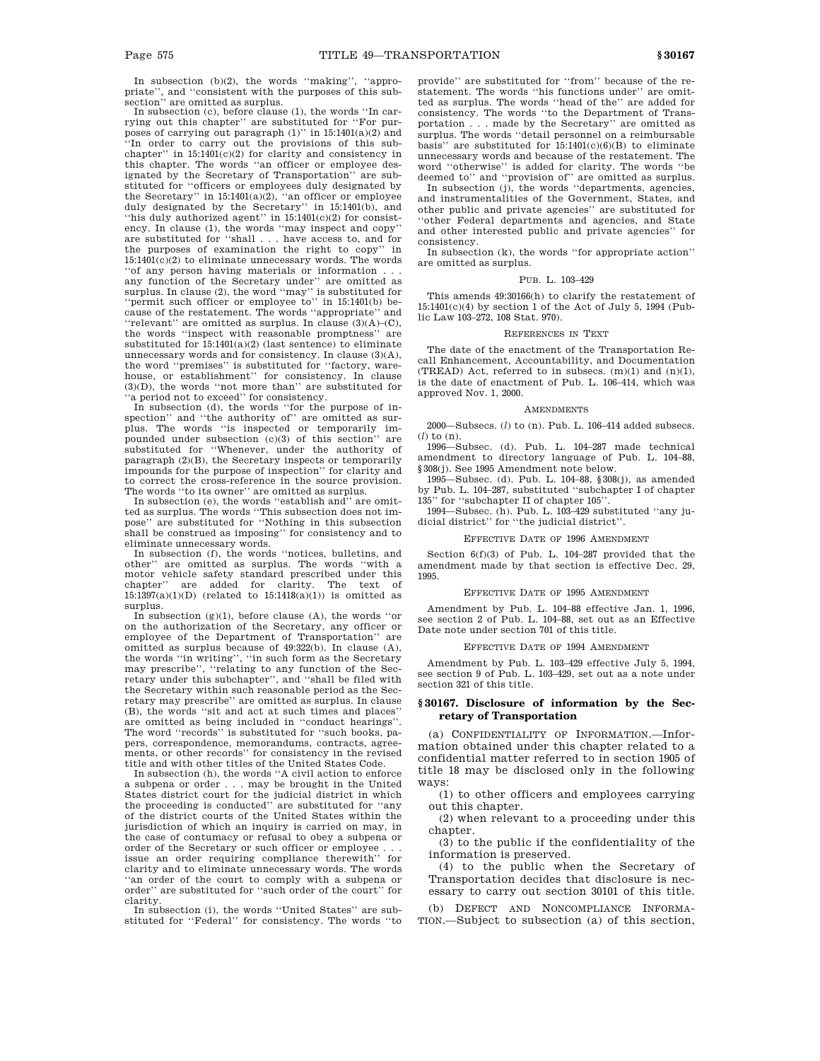In subsection (b)(2), the words ''making'', ''appropriate'', and ''consistent with the purposes of this subsection'' are omitted as surplus.

In subsection (c), before clause (1), the words ''In carrying out this chapter'' are substituted for ''For purposes of carrying out paragraph  $(1)$ " in 15:1401(a)(2) and "In order to carry out the provisions of this subchapter'' in 15:1401(c)(2) for clarity and consistency in this chapter. The words ''an officer or employee designated by the Secretary of Transportation'' are substituted for "officers or employees duly designated by the Secretary" in 15:1401(a)(2), "an officer or employee duly designated by the Secretary'' in 15:1401(b), and ''his duly authorized agent'' in 15:1401(c)(2) for consistency. In clause (1), the words ''may inspect and copy'' are substituted for ''shall . . . have access to, and for the purposes of examination the right to copy'' in 15:1401(c)(2) to eliminate unnecessary words. The words ''of any person having materials or information . . . any function of the Secretary under'' are omitted as surplus. In clause (2), the word ''may'' is substituted for ''permit such officer or employee to'' in 15:1401(b) because of the restatement. The words ''appropriate'' and ''relevant'' are omitted as surplus. In clause (3)(A)–(C), the words ''inspect with reasonable promptness'' are substituted for  $15:1401(a)(2)$  (last sentence) to eliminate unnecessary words and for consistency. In clause (3)(A), the word ''premises'' is substituted for ''factory, warehouse, or establishment'' for consistency. In clause (3)(D), the words ''not more than'' are substituted for ''a period not to exceed'' for consistency. In subsection (d), the words ''for the purpose of in-

spection" and "the authority of" are omitted as surplus. The words ''is inspected or temporarily im-pounded under subsection (c)(3) of this section'' are substituted for ''Whenever, under the authority of paragraph (2)(B), the Secretary inspects or temporarily impounds for the purpose of inspection'' for clarity and to correct the cross-reference in the source provision.

The words ''to its owner'' are omitted as surplus. In subsection (e), the words ''establish and'' are omitted as surplus. The words ''This subsection does not im-pose'' are substituted for ''Nothing in this subsection shall be construed as imposing'' for consistency and to eliminate unnecessary words.

In subsection (f), the words ''notices, bulletins, and other'' are omitted as surplus. The words ''with a motor vehicle safety standard prescribed under this chapter'' are added for clarity. The text of  $15:1397(a)(1)(D)$  (related to  $15:1418(a)(1))$  is omitted as surplus.

In subsection  $(g)(1)$ , before clause  $(A)$ , the words "or on the authorization of the Secretary, any officer or employee of the Department of Transportation'' are omitted as surplus because of  $49:322(b)$ . In clause  $(A)$ , the words ''in writing'', ''in such form as the Secretary may prescribe'', ''relating to any function of the Secretary under this subchapter'', and ''shall be filed with the Secretary within such reasonable period as the Secretary may prescribe'' are omitted as surplus. In clause (B), the words ''sit and act at such times and places'' are omitted as being included in ''conduct hearings''. The word "records" is substituted for "such books, papers, correspondence, memorandums, contracts, agreements, or other records'' for consistency in the revised title and with other titles of the United States Code.

In subsection (h), the words ''A civil action to enforce a subpena or order . . . may be brought in the United States district court for the judicial district in which the proceeding is conducted'' are substituted for ''any of the district courts of the United States within the jurisdiction of which an inquiry is carried on may, in the case of contumacy or refusal to obey a subpena or order of the Secretary or such officer or employee .  $\,$ issue an order requiring compliance therewith'' for clarity and to eliminate unnecessary words. The words ''an order of the court to comply with a subpena or order'' are substituted for ''such order of the court'' for clarity.

In subsection (i), the words ''United States'' are substituted for ''Federal'' for consistency. The words ''to provide'' are substituted for ''from'' because of the restatement. The words ''his functions under'' are omitted as surplus. The words ''head of the'' are added for consistency. The words ''to the Department of Transportation . . . made by the Secretary'' are omitted as surplus. The words ''detail personnel on a reimbursable basis" are substituted for  $15:1401(c)(6)(B)$  to eliminate unnecessary words and because of the restatement. The word ''otherwise'' is added for clarity. The words ''be deemed to'' and ''provision of'' are omitted as surplus.

In subsection (j), the words ''departments, agencies, and instrumentalities of the Government, States, and other public and private agencies'' are substituted for ''other Federal departments and agencies, and State and other interested public and private agencies'' for consistency.

In subsection (k), the words ''for appropriate action'' are omitted as surplus.

#### PUB. L. 103–429

This amends 49:30166(h) to clarify the restatement of 15:1401(c)(4) by section 1 of the Act of July 5, 1994 (Public Law 103–272, 108 Stat. 970).

### REFERENCES IN TEXT

The date of the enactment of the Transportation Recall Enhancement, Accountability, and Documentation (TREAD) Act, referred to in subsecs.  $(m)(1)$  and  $(n)(1)$ , is the date of enactment of Pub. L. 106–414, which was approved Nov. 1, 2000.

#### **AMENDMENTS**

2000—Subsecs. (*l*) to (n). Pub. L. 106–414 added subsecs. (*l*) to (n).

1996—Subsec. (d). Pub. L. 104–287 made technical amendment to directory language of Pub. L. 104–88, §308(j). See 1995 Amendment note below.

1995—Subsec. (d). Pub. L. 104–88, §308(j), as amended by Pub. L. 104–287, substituted ''subchapter I of chapter 135'' for ''subchapter II of chapter 105''.

1994—Subsec. (h). Pub. L. 103–429 substituted ''any judicial district'' for ''the judicial district''.

### EFFECTIVE DATE OF 1996 AMENDMENT

Section 6(f)(3) of Pub. L. 104–287 provided that the amendment made by that section is effective Dec. 29, 1995.

#### EFFECTIVE DATE OF 1995 AMENDMENT

Amendment by Pub. L. 104–88 effective Jan. 1, 1996, see section 2 of Pub. L. 104–88, set out as an Effective Date note under section 701 of this title.

# EFFECTIVE DATE OF 1994 AMENDMENT

Amendment by Pub. L. 103–429 effective July 5, 1994, see section 9 of Pub. L. 103–429, set out as a note under section 321 of this title.

# **§ 30167. Disclosure of information by the Secretary of Transportation**

(a) CONFIDENTIALITY OF INFORMATION.—Information obtained under this chapter related to a confidential matter referred to in section 1905 of title 18 may be disclosed only in the following ways:

(1) to other officers and employees carrying out this chapter.

(2) when relevant to a proceeding under this chapter.

(3) to the public if the confidentiality of the information is preserved.

(4) to the public when the Secretary of Transportation decides that disclosure is necessary to carry out section 30101 of this title.

(b) DEFECT AND NONCOMPLIANCE INFORMA-TION.—Subject to subsection (a) of this section,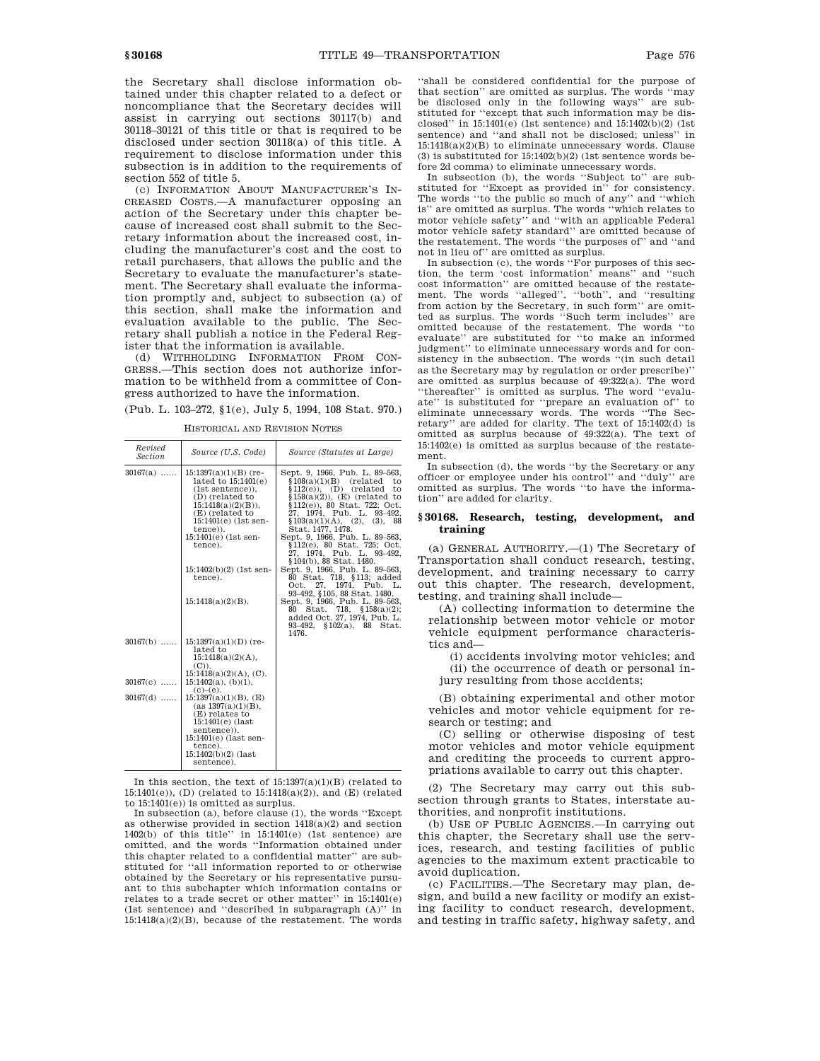the Secretary shall disclose information obtained under this chapter related to a defect or noncompliance that the Secretary decides will assist in carrying out sections 30117(b) and 30118–30121 of this title or that is required to be disclosed under section 30118(a) of this title. A requirement to disclose information under this subsection is in addition to the requirements of section 552 of title 5.

(c) INFORMATION ABOUT MANUFACTURER'S IN-CREASED COSTS.—A manufacturer opposing an action of the Secretary under this chapter because of increased cost shall submit to the Secretary information about the increased cost, including the manufacturer's cost and the cost to retail purchasers, that allows the public and the Secretary to evaluate the manufacturer's statement. The Secretary shall evaluate the information promptly and, subject to subsection (a) of this section, shall make the information and evaluation available to the public. The Secretary shall publish a notice in the Federal Register that the information is available.

(d) WITHHOLDING INFORMATION FROM CON-GRESS.—This section does not authorize information to be withheld from a committee of Congress authorized to have the information.

(Pub. L. 103–272, §1(e), July 5, 1994, 108 Stat. 970.)

| Revised<br>Section | Source (U.S. Code)                                                                                                                                                                                                                                     | Source (Statutes at Large)                                                                                                                                                                                                                                                                                                                                                                                                                        |
|--------------------|--------------------------------------------------------------------------------------------------------------------------------------------------------------------------------------------------------------------------------------------------------|---------------------------------------------------------------------------------------------------------------------------------------------------------------------------------------------------------------------------------------------------------------------------------------------------------------------------------------------------------------------------------------------------------------------------------------------------|
| $30167(a)$         | $15:1397(a)(1)(B)$ (re-<br>lated to $15:1401(e)$<br>$(1st sentence)$ ),<br>(D) (related to<br>$15:1418(a)(2)(B)$ ,<br>(E) (related to<br>$15:1401(e)$ (1st sen-<br>tence)).<br>15:1401(e) (1st sen-<br>tence).<br>$15:1402(b)(2)$ (1st sen-<br>tence). | Sept. 9, 1966, Pub. L. 89-563,<br>\$108(a)(1)(B)<br>(related)<br>to<br>$$112(e)$ , (D) (related<br>to<br>$$158(a)(2)$ , (E) (related to<br>§112(e)), 80 Stat. 722; Oct.<br>27, 1974, Pub. L. 93-492,<br>\$103(a)(1)(A), (2), (3), 88<br>Stat. 1477, 1478.<br>Sept. 9, 1966, Pub. L. 89-563,<br>§112(e), 80 Stat. 725; Oct.<br>27, 1974, Pub. L. 93-492,<br>§104(b), 88 Stat. 1480.<br>Sept. 9, 1966, Pub. L. 89-563,<br>80 Stat. 718, §113; added |
|                    | $15:1418(a)(2)(B)$ .                                                                                                                                                                                                                                   | 1974. Pub.<br>27.<br>Oct.<br>L.<br>93-492, §105, 88 Stat. 1480.<br>Sept. 9, 1966, Pub. L. 89-563,<br>Stat. 718, $$158(a)(2);$<br>80<br>added Oct. 27, 1974, Pub. L.<br>93–492, §102(a), 88<br>Stat.<br>1476.                                                                                                                                                                                                                                      |
| $30167(b)$         | $15:1397(a)(1)(D)$ (re-<br>lated to<br>15:1418(a)(2)(A),<br>$(C)$ ).<br>$15:1418(a)(2)(A)$ , (C).                                                                                                                                                      |                                                                                                                                                                                                                                                                                                                                                                                                                                                   |
| $30167(c)$         | $15:1402(a)$ , (b)(1),                                                                                                                                                                                                                                 |                                                                                                                                                                                                                                                                                                                                                                                                                                                   |
| $30167(d)$         | $(c)–(e)$ .<br>$15:1397(a)(1)(B)$ , (E)<br>(as 1397(a)(1)(B),<br>(E) relates to<br>$15:1401(e)$ (last<br>sentence)).<br>$15:1401(e)$ (last sen-<br>tence).<br>$15:1402(b)(2)$ (last<br>sentence).                                                      |                                                                                                                                                                                                                                                                                                                                                                                                                                                   |

HISTORICAL AND REVISION NOTES

In this section, the text of 15:1397(a)(1)(B) (related to 15:1401(e)), (D) (related to 15:1418(a)(2)), and (E) (related to 15:1401(e)) is omitted as surplus.

In subsection (a), before clause (1), the words ''Except as otherwise provided in section  $1418(a)(2)$  and section 1402(b) of this title'' in 15:1401(e) (1st sentence) are omitted, and the words ''Information obtained under this chapter related to a confidential matter'' are substituted for ''all information reported to or otherwise obtained by the Secretary or his representative pursuant to this subchapter which information contains or relates to a trade secret or other matter'' in 15:1401(e) (1st sentence) and ''described in subparagraph (A)'' in  $15:1418(a)(2)(B)$ , because of the restatement. The words

''shall be considered confidential for the purpose of that section'' are omitted as surplus. The words ''may be disclosed only in the following ways'' are substituted for ''except that such information may be disclosed'' in  $15:1401(e)$  (1st sentence) and  $15:1402(b)(2)$  (1st sentence) and ''and shall not be disclosed; unless'' in  $15:1418(a)(2)(B)$  to eliminate unnecessary words. Clause (3) is substituted for  $15:1402(b)(2)$  (1st sentence words before 2d comma) to eliminate unnecessary words.

In subsection (b), the words ''Subject to'' are substituted for ''Except as provided in'' for consistency. The words "to the public so much of any" and "which is'' are omitted as surplus. The words ''which relates to motor vehicle safety'' and ''with an applicable Federal motor vehicle safety standard'' are omitted because of the restatement. The words ''the purposes of'' and ''and not in lieu of'' are omitted as surplus.

In subsection (c), the words ''For purposes of this section, the term 'cost information' means'' and ''such cost information'' are omitted because of the restatement. The words ''alleged'', ''both'', and ''resulting from action by the Secretary, in such form'' are omitted as surplus. The words ''Such term includes'' are omitted because of the restatement. The words ''to evaluate'' are substituted for ''to make an informed judgment'' to eliminate unnecessary words and for consistency in the subsection. The words ''(in such detail as the Secretary may by regulation or order prescribe)'' are omitted as surplus because of 49:322(a). The word ''thereafter'' is omitted as surplus. The word ''evaluate'' is substituted for ''prepare an evaluation of'' to eliminate unnecessary words. The words ''The Secretary'' are added for clarity. The text of 15:1402(d) is omitted as surplus because of 49:322(a). The text of 15:1402(e) is omitted as surplus because of the restatement.

In subsection (d), the words ''by the Secretary or any officer or employee under his control'' and ''duly'' are omitted as surplus. The words ''to have the information'' are added for clarity.

# **§ 30168. Research, testing, development, and training**

(a) GENERAL AUTHORITY.—(1) The Secretary of Transportation shall conduct research, testing, development, and training necessary to carry out this chapter. The research, development, testing, and training shall include—

(A) collecting information to determine the relationship between motor vehicle or motor vehicle equipment performance characteristics and—

(i) accidents involving motor vehicles; and (ii) the occurrence of death or personal injury resulting from those accidents;

(B) obtaining experimental and other motor vehicles and motor vehicle equipment for research or testing; and

(C) selling or otherwise disposing of test motor vehicles and motor vehicle equipment and crediting the proceeds to current appropriations available to carry out this chapter.

(2) The Secretary may carry out this subsection through grants to States, interstate authorities, and nonprofit institutions.

(b) USE OF PUBLIC AGENCIES.—In carrying out this chapter, the Secretary shall use the services, research, and testing facilities of public agencies to the maximum extent practicable to avoid duplication.

(c) FACILITIES.—The Secretary may plan, design, and build a new facility or modify an existing facility to conduct research, development, and testing in traffic safety, highway safety, and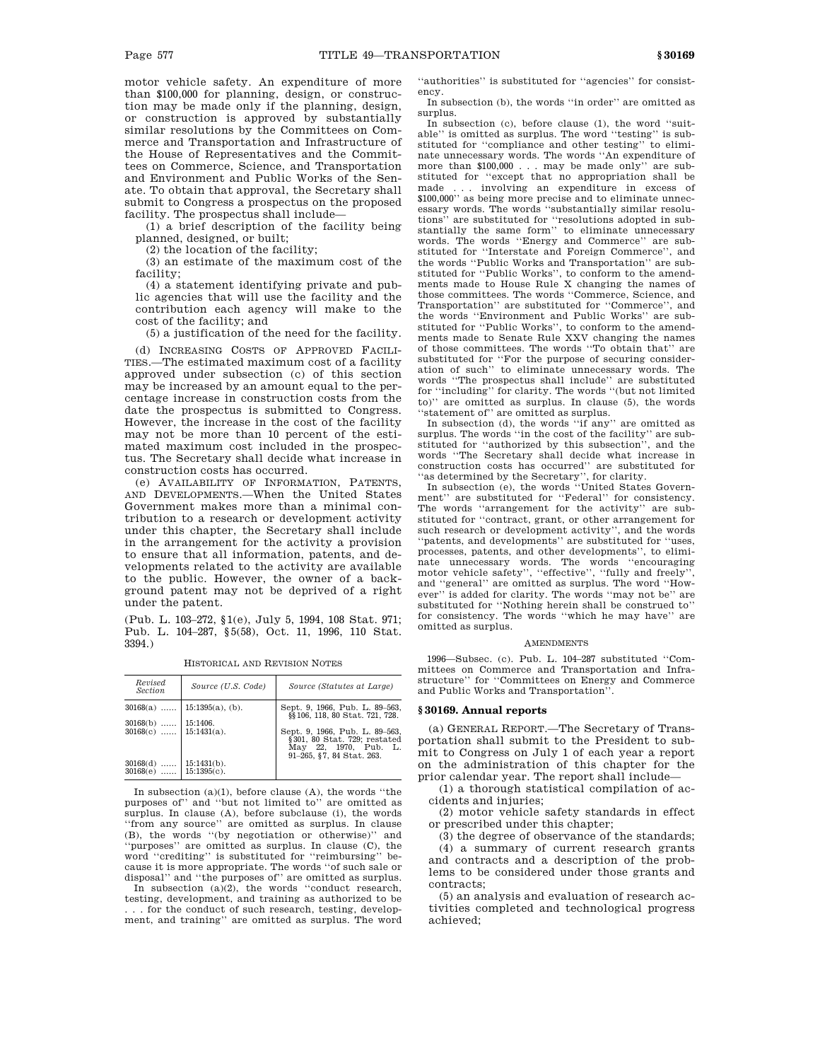motor vehicle safety. An expenditure of more than \$100,000 for planning, design, or construction may be made only if the planning, design, or construction is approved by substantially similar resolutions by the Committees on Commerce and Transportation and Infrastructure of the House of Representatives and the Committees on Commerce, Science, and Transportation and Environment and Public Works of the Senate. To obtain that approval, the Secretary shall submit to Congress a prospectus on the proposed facility. The prospectus shall include—

(1) a brief description of the facility being planned, designed, or built;

(2) the location of the facility;

(3) an estimate of the maximum cost of the facility;

(4) a statement identifying private and public agencies that will use the facility and the contribution each agency will make to the cost of the facility; and

(5) a justification of the need for the facility.

(d) INCREASING COSTS OF APPROVED FACILI-TIES.—The estimated maximum cost of a facility approved under subsection (c) of this section may be increased by an amount equal to the percentage increase in construction costs from the date the prospectus is submitted to Congress. However, the increase in the cost of the facility may not be more than 10 percent of the estimated maximum cost included in the prospectus. The Secretary shall decide what increase in construction costs has occurred.

(e) AVAILABILITY OF INFORMATION, PATENTS, AND DEVELOPMENTS.—When the United States Government makes more than a minimal contribution to a research or development activity under this chapter, the Secretary shall include in the arrangement for the activity a provision to ensure that all information, patents, and developments related to the activity are available to the public. However, the owner of a background patent may not be deprived of a right under the patent.

(Pub. L. 103–272, §1(e), July 5, 1994, 108 Stat. 971; Pub. L. 104–287, §5(58), Oct. 11, 1996, 110 Stat. 3394.)

| Revised<br>Section       | Source (U.S. Code)               | Source (Statutes at Large)                                                                                               |
|--------------------------|----------------------------------|--------------------------------------------------------------------------------------------------------------------------|
|                          | $30168(a)$   15:1395(a), (b).    | Sept. 9, 1966, Pub. L. 89-563,<br>§§106, 118, 80 Stat. 721, 728.                                                         |
| $30168(b)$               | 15:1406.                         |                                                                                                                          |
| $30168(c)$ 15:1431(a).   |                                  | Sept. 9, 1966, Pub. L. 89-563,<br>$\S$ 301, 80 Stat. 729; restated<br>May 22, 1970. Pub. L.<br>91-265, §7, 84 Stat, 263. |
| $30168(d)$<br>$30168(e)$ | $15:1431(b)$ .<br>$15:1395(c)$ . |                                                                                                                          |

HISTORICAL AND REVISION NOTES

In subsection  $(a)(1)$ , before clause  $(A)$ , the words "the purposes of'' and ''but not limited to'' are omitted as surplus. In clause (A), before subclause (i), the words ''from any source'' are omitted as surplus. In clause (B), the words ''(by negotiation or otherwise)'' and ''purposes'' are omitted as surplus. In clause (C), the word ''crediting'' is substituted for ''reimbursing'' because it is more appropriate. The words ''of such sale or disposal'' and ''the purposes of'' are omitted as surplus. In subsection  $(a)(2)$ , the words "conduct research, testing, development, and training as authorized to be .. for the conduct of such research, testing, development, and training'' are omitted as surplus. The word

''authorities'' is substituted for ''agencies'' for consistency.

In subsection (b), the words "in order" are omitted as surplus.

In subsection (c), before clause (1), the word ''suitable'' is omitted as surplus. The word ''testing'' is substituted for ''compliance and other testing'' to eliminate unnecessary words. The words ''An expenditure of more than \$100,000 . . . may be made only'' are substituted for ''except that no appropriation shall be made . . . involving an expenditure in excess of \$100,000'' as being more precise and to eliminate unnecessary words. The words ''substantially similar resolutions'' are substituted for ''resolutions adopted in substantially the same form'' to eliminate unnecessary words. The words ''Energy and Commerce'' are substituted for ''Interstate and Foreign Commerce'', and the words ''Public Works and Transportation'' are substituted for ''Public Works'', to conform to the amendments made to House Rule X changing the names of those committees. The words ''Commerce, Science, and Transportation'' are substituted for ''Commerce'', and the words ''Environment and Public Works'' are substituted for ''Public Works'', to conform to the amendments made to Senate Rule XXV changing the names of those committees. The words ''To obtain that'' are substituted for ''For the purpose of securing consideration of such'' to eliminate unnecessary words. The words ''The prospectus shall include'' are substituted for ''including'' for clarity. The words ''(but not limited to)'' are omitted as surplus. In clause (5), the words ''statement of'' are omitted as surplus.

In subsection (d), the words ''if any'' are omitted as surplus. The words ''in the cost of the facility'' are substituted for ''authorized by this subsection'', and the words ''The Secretary shall decide what increase in construction costs has occurred'' are substituted for

''as determined by the Secretary'', for clarity. In subsection (e), the words ''United States Government'' are substituted for ''Federal'' for consistency. The words ''arrangement for the activity'' are substituted for ''contract, grant, or other arrangement for such research or development activity'', and the words ''patents, and developments'' are substituted for ''uses, processes, patents, and other developments'', to eliminate unnecessary words. The words ''encouraging motor vehicle safety", "effective", "fully and freely", and ''general'' are omitted as surplus. The word ''However'' is added for clarity. The words ''may not be'' are substituted for ''Nothing herein shall be construed to'' for consistency. The words ''which he may have'' are omitted as surplus.

### AMENDMENTS

1996—Subsec. (c). Pub. L. 104–287 substituted ''Committees on Commerce and Transportation and Infrastructure'' for ''Committees on Energy and Commerce and Public Works and Transportation''.

### **§ 30169. Annual reports**

(a) GENERAL REPORT.—The Secretary of Transportation shall submit to the President to submit to Congress on July 1 of each year a report on the administration of this chapter for the prior calendar year. The report shall include—

(1) a thorough statistical compilation of accidents and injuries;

(2) motor vehicle safety standards in effect or prescribed under this chapter;

(3) the degree of observance of the standards;

(4) a summary of current research grants and contracts and a description of the problems to be considered under those grants and contracts;

(5) an analysis and evaluation of research activities completed and technological progress achieved;